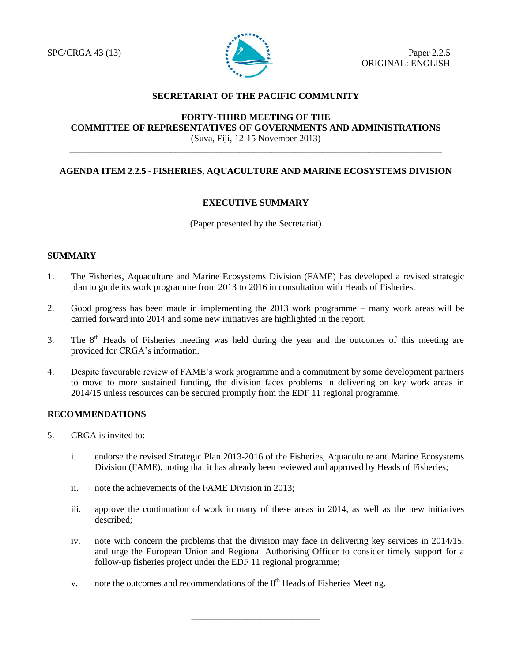

# **SECRETARIAT OF THE PACIFIC COMMUNITY**

# **FORTY-THIRD MEETING OF THE COMMITTEE OF REPRESENTATIVES OF GOVERNMENTS AND ADMINISTRATIONS** (Suva, Fiji, 12-15 November 2013)

# **AGENDA ITEM 2.2.5 - FISHERIES, AQUACULTURE AND MARINE ECOSYSTEMS DIVISION**

\_\_\_\_\_\_\_\_\_\_\_\_\_\_\_\_\_\_\_\_\_\_\_\_\_\_\_\_\_\_\_\_\_\_\_\_\_\_\_\_\_\_\_\_\_\_\_\_\_\_\_\_\_\_\_\_\_\_\_\_\_\_\_\_\_\_\_\_\_\_\_\_\_\_\_\_\_\_\_\_\_

# **EXECUTIVE SUMMARY**

(Paper presented by the Secretariat)

# **SUMMARY**

- 1. The Fisheries, Aquaculture and Marine Ecosystems Division (FAME) has developed a revised strategic plan to guide its work programme from 2013 to 2016 in consultation with Heads of Fisheries.
- 2. Good progress has been made in implementing the 2013 work programme many work areas will be carried forward into 2014 and some new initiatives are highlighted in the report.
- 3. The  $8<sup>th</sup>$  Heads of Fisheries meeting was held during the year and the outcomes of this meeting are provided for CRGA's information.
- 4. Despite favourable review of FAME's work programme and a commitment by some development partners to move to more sustained funding, the division faces problems in delivering on key work areas in 2014/15 unless resources can be secured promptly from the EDF 11 regional programme.

# **RECOMMENDATIONS**

- 5. CRGA is invited to:
	- i. endorse the revised Strategic Plan 2013-2016 of the Fisheries, Aquaculture and Marine Ecosystems Division (FAME), noting that it has already been reviewed and approved by Heads of Fisheries;
	- ii. note the achievements of the FAME Division in 2013;
	- iii. approve the continuation of work in many of these areas in 2014, as well as the new initiatives described;
	- iv. note with concern the problems that the division may face in delivering key services in 2014/15, and urge the European Union and Regional Authorising Officer to consider timely support for a follow-up fisheries project under the EDF 11 regional programme;

\_\_\_\_\_\_\_\_\_\_\_\_\_\_\_\_\_\_\_\_\_\_\_\_\_\_\_\_

v. note the outcomes and recommendations of the  $8<sup>th</sup>$  Heads of Fisheries Meeting.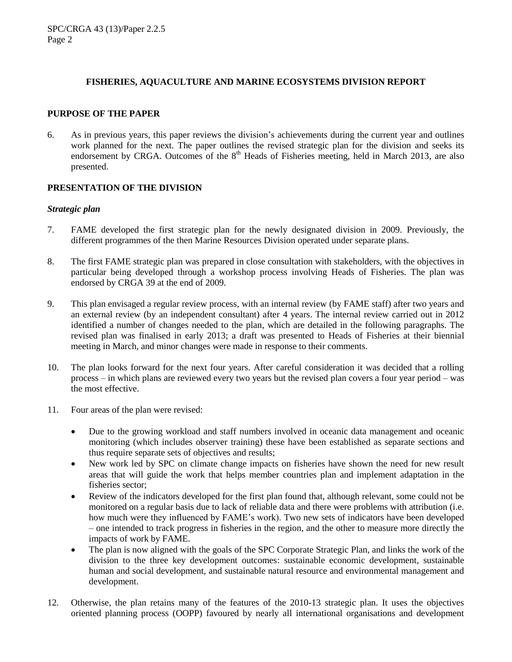### **FISHERIES, AQUACULTURE AND MARINE ECOSYSTEMS DIVISION REPORT**

#### **PURPOSE OF THE PAPER**

6. As in previous years, this paper reviews the division's achievements during the current year and outlines work planned for the next. The paper outlines the revised strategic plan for the division and seeks its endorsement by CRGA. Outcomes of the  $8<sup>th</sup>$  Heads of Fisheries meeting, held in March 2013, are also presented.

#### **PRESENTATION OF THE DIVISION**

#### *Strategic plan*

- 7. FAME developed the first strategic plan for the newly designated division in 2009. Previously, the different programmes of the then Marine Resources Division operated under separate plans.
- 8. The first FAME strategic plan was prepared in close consultation with stakeholders, with the objectives in particular being developed through a workshop process involving Heads of Fisheries. The plan was endorsed by CRGA 39 at the end of 2009.
- 9. This plan envisaged a regular review process, with an internal review (by FAME staff) after two years and an external review (by an independent consultant) after 4 years. The internal review carried out in 2012 identified a number of changes needed to the plan, which are detailed in the following paragraphs. The revised plan was finalised in early 2013; a draft was presented to Heads of Fisheries at their biennial meeting in March, and minor changes were made in response to their comments.
- 10. The plan looks forward for the next four years. After careful consideration it was decided that a rolling process – in which plans are reviewed every two years but the revised plan covers a four year period – was the most effective.
- 11. Four areas of the plan were revised:
	- Due to the growing workload and staff numbers involved in oceanic data management and oceanic monitoring (which includes observer training) these have been established as separate sections and thus require separate sets of objectives and results;
	- New work led by SPC on climate change impacts on fisheries have shown the need for new result areas that will guide the work that helps member countries plan and implement adaptation in the fisheries sector;
	- Review of the indicators developed for the first plan found that, although relevant, some could not be monitored on a regular basis due to lack of reliable data and there were problems with attribution (i.e. how much were they influenced by FAME's work). Two new sets of indicators have been developed – one intended to track progress in fisheries in the region, and the other to measure more directly the impacts of work by FAME.
	- The plan is now aligned with the goals of the SPC Corporate Strategic Plan, and links the work of the division to the three key development outcomes: sustainable economic development, sustainable human and social development, and sustainable natural resource and environmental management and development.
- 12. Otherwise, the plan retains many of the features of the 2010-13 strategic plan. It uses the objectives oriented planning process (OOPP) favoured by nearly all international organisations and development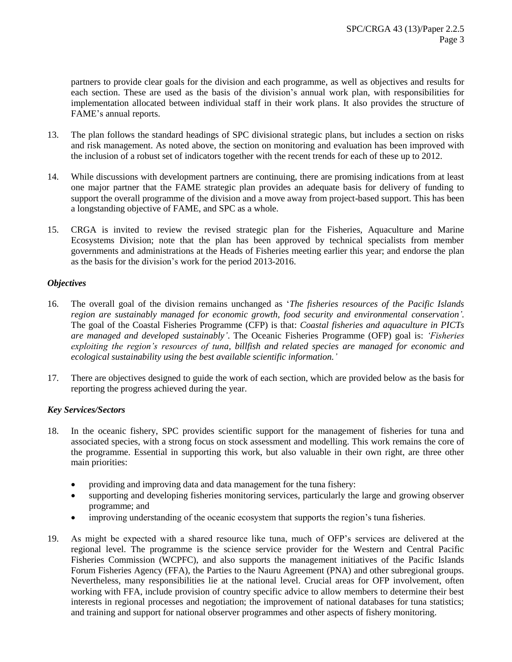partners to provide clear goals for the division and each programme, as well as objectives and results for each section. These are used as the basis of the division's annual work plan, with responsibilities for implementation allocated between individual staff in their work plans. It also provides the structure of FAME's annual reports.

- 13. The plan follows the standard headings of SPC divisional strategic plans, but includes a section on risks and risk management. As noted above, the section on monitoring and evaluation has been improved with the inclusion of a robust set of indicators together with the recent trends for each of these up to 2012.
- 14. While discussions with development partners are continuing, there are promising indications from at least one major partner that the FAME strategic plan provides an adequate basis for delivery of funding to support the overall programme of the division and a move away from project-based support. This has been a longstanding objective of FAME, and SPC as a whole.
- 15. CRGA is invited to review the revised strategic plan for the Fisheries, Aquaculture and Marine Ecosystems Division; note that the plan has been approved by technical specialists from member governments and administrations at the Heads of Fisheries meeting earlier this year; and endorse the plan as the basis for the division's work for the period 2013-2016.

# *Objectives*

- 16. The overall goal of the division remains unchanged as '*The fisheries resources of the Pacific Islands region are sustainably managed for economic growth, food security and environmental conservation'.*  The goal of the Coastal Fisheries Programme (CFP) is that: *Coastal fisheries and aquaculture in PICTs are managed and developed sustainably'*. The Oceanic Fisheries Programme (OFP) goal is: *'Fisheries exploiting the region's resources of tuna, billfish and related species are managed for economic and ecological sustainability using the best available scientific information.'*
- 17. There are objectives designed to guide the work of each section, which are provided below as the basis for reporting the progress achieved during the year.

# *Key Services/Sectors*

- 18. In the oceanic fishery, SPC provides scientific support for the management of fisheries for tuna and associated species, with a strong focus on stock assessment and modelling. This work remains the core of the programme. Essential in supporting this work, but also valuable in their own right, are three other main priorities:
	- providing and improving data and data management for the tuna fishery:
	- supporting and developing fisheries monitoring services, particularly the large and growing observer programme; and
	- improving understanding of the oceanic ecosystem that supports the region's tuna fisheries.
- 19. As might be expected with a shared resource like tuna, much of OFP's services are delivered at the regional level. The programme is the science service provider for the Western and Central Pacific Fisheries Commission (WCPFC), and also supports the management initiatives of the Pacific Islands Forum Fisheries Agency (FFA), the Parties to the Nauru Agreement (PNA) and other subregional groups. Nevertheless, many responsibilities lie at the national level. Crucial areas for OFP involvement, often working with FFA, include provision of country specific advice to allow members to determine their best interests in regional processes and negotiation; the improvement of national databases for tuna statistics; and training and support for national observer programmes and other aspects of fishery monitoring.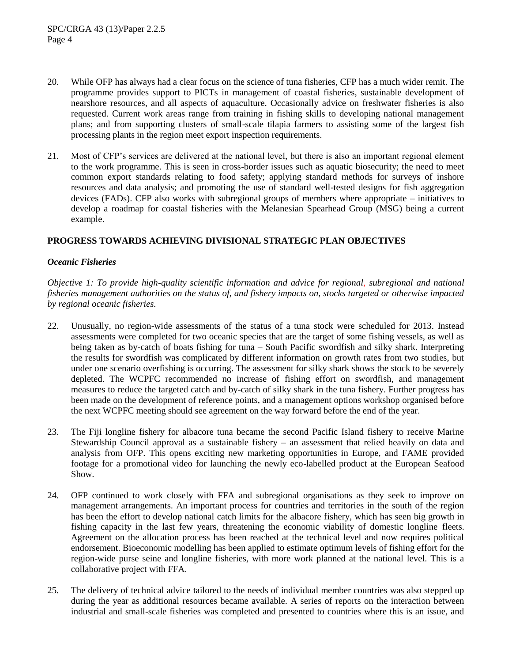- 20. While OFP has always had a clear focus on the science of tuna fisheries, CFP has a much wider remit. The programme provides support to PICTs in management of coastal fisheries, sustainable development of nearshore resources, and all aspects of aquaculture. Occasionally advice on freshwater fisheries is also requested. Current work areas range from training in fishing skills to developing national management plans; and from supporting clusters of small-scale tilapia farmers to assisting some of the largest fish processing plants in the region meet export inspection requirements.
- 21. Most of CFP's services are delivered at the national level, but there is also an important regional element to the work programme. This is seen in cross-border issues such as aquatic biosecurity; the need to meet common export standards relating to food safety; applying standard methods for surveys of inshore resources and data analysis; and promoting the use of standard well-tested designs for fish aggregation devices (FADs). CFP also works with subregional groups of members where appropriate – initiatives to develop a roadmap for coastal fisheries with the Melanesian Spearhead Group (MSG) being a current example.

# **PROGRESS TOWARDS ACHIEVING DIVISIONAL STRATEGIC PLAN OBJECTIVES**

# *Oceanic Fisheries*

*Objective 1: To provide high-quality scientific information and advice for regional, subregional and national fisheries management authorities on the status of, and fishery impacts on, stocks targeted or otherwise impacted by regional oceanic fisheries.*

- 22. Unusually, no region-wide assessments of the status of a tuna stock were scheduled for 2013. Instead assessments were completed for two oceanic species that are the target of some fishing vessels, as well as being taken as by-catch of boats fishing for tuna – South Pacific swordfish and silky shark. Interpreting the results for swordfish was complicated by different information on growth rates from two studies, but under one scenario overfishing is occurring. The assessment for silky shark shows the stock to be severely depleted. The WCPFC recommended no increase of fishing effort on swordfish, and management measures to reduce the targeted catch and by-catch of silky shark in the tuna fishery. Further progress has been made on the development of reference points, and a management options workshop organised before the next WCPFC meeting should see agreement on the way forward before the end of the year.
- 23. The Fiji longline fishery for albacore tuna became the second Pacific Island fishery to receive Marine Stewardship Council approval as a sustainable fishery – an assessment that relied heavily on data and analysis from OFP. This opens exciting new marketing opportunities in Europe, and FAME provided footage for a promotional video for launching the newly eco-labelled product at the European Seafood Show.
- 24. OFP continued to work closely with FFA and subregional organisations as they seek to improve on management arrangements. An important process for countries and territories in the south of the region has been the effort to develop national catch limits for the albacore fishery, which has seen big growth in fishing capacity in the last few years, threatening the economic viability of domestic longline fleets. Agreement on the allocation process has been reached at the technical level and now requires political endorsement. Bioeconomic modelling has been applied to estimate optimum levels of fishing effort for the region-wide purse seine and longline fisheries, with more work planned at the national level. This is a collaborative project with FFA.
- 25. The delivery of technical advice tailored to the needs of individual member countries was also stepped up during the year as additional resources became available. A series of reports on the interaction between industrial and small-scale fisheries was completed and presented to countries where this is an issue, and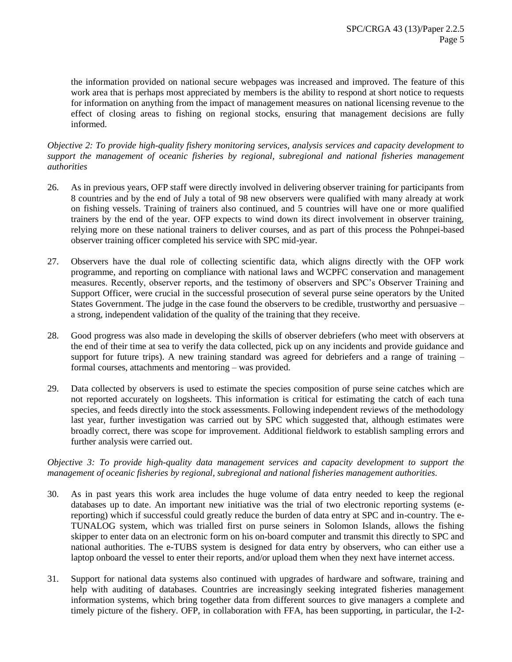the information provided on national secure webpages was increased and improved. The feature of this work area that is perhaps most appreciated by members is the ability to respond at short notice to requests for information on anything from the impact of management measures on national licensing revenue to the effect of closing areas to fishing on regional stocks, ensuring that management decisions are fully informed.

### *Objective 2: To provide high-quality fishery monitoring services, analysis services and capacity development to support the management of oceanic fisheries by regional, subregional and national fisheries management authorities*

- 26. As in previous years, OFP staff were directly involved in delivering observer training for participants from 8 countries and by the end of July a total of 98 new observers were qualified with many already at work on fishing vessels. Training of trainers also continued, and 5 countries will have one or more qualified trainers by the end of the year. OFP expects to wind down its direct involvement in observer training, relying more on these national trainers to deliver courses, and as part of this process the Pohnpei-based observer training officer completed his service with SPC mid-year.
- 27. Observers have the dual role of collecting scientific data, which aligns directly with the OFP work programme, and reporting on compliance with national laws and WCPFC conservation and management measures. Recently, observer reports, and the testimony of observers and SPC's Observer Training and Support Officer, were crucial in the successful prosecution of several purse seine operators by the United States Government. The judge in the case found the observers to be credible, trustworthy and persuasive – a strong, independent validation of the quality of the training that they receive.
- 28. Good progress was also made in developing the skills of observer debriefers (who meet with observers at the end of their time at sea to verify the data collected, pick up on any incidents and provide guidance and support for future trips). A new training standard was agreed for debriefers and a range of training  $$ formal courses, attachments and mentoring – was provided.
- 29. Data collected by observers is used to estimate the species composition of purse seine catches which are not reported accurately on logsheets. This information is critical for estimating the catch of each tuna species, and feeds directly into the stock assessments. Following independent reviews of the methodology last year, further investigation was carried out by SPC which suggested that, although estimates were broadly correct, there was scope for improvement. Additional fieldwork to establish sampling errors and further analysis were carried out.

#### *Objective 3: To provide high-quality data management services and capacity development to support the management of oceanic fisheries by regional, subregional and national fisheries management authorities.*

- 30. As in past years this work area includes the huge volume of data entry needed to keep the regional databases up to date. An important new initiative was the trial of two electronic reporting systems (ereporting) which if successful could greatly reduce the burden of data entry at SPC and in-country. The e-TUNALOG system, which was trialled first on purse seiners in Solomon Islands, allows the fishing skipper to enter data on an electronic form on his on-board computer and transmit this directly to SPC and national authorities. The e-TUBS system is designed for data entry by observers, who can either use a laptop onboard the vessel to enter their reports, and/or upload them when they next have internet access.
- 31. Support for national data systems also continued with upgrades of hardware and software, training and help with auditing of databases. Countries are increasingly seeking integrated fisheries management information systems, which bring together data from different sources to give managers a complete and timely picture of the fishery. OFP, in collaboration with FFA, has been supporting, in particular, the I-2-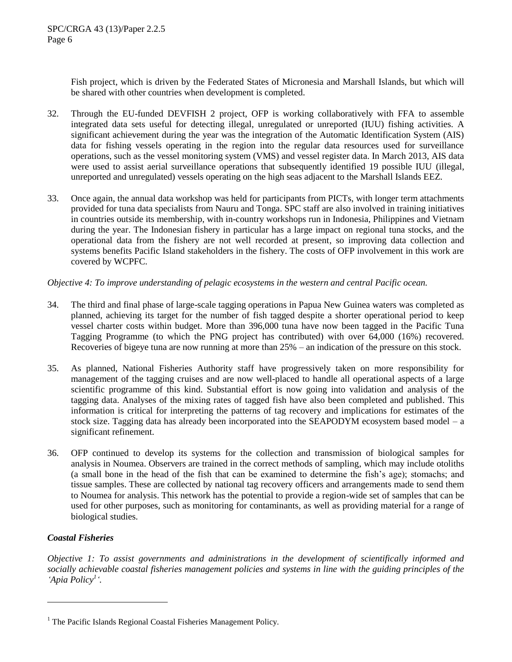Fish project, which is driven by the Federated States of Micronesia and Marshall Islands, but which will be shared with other countries when development is completed.

- 32. Through the EU-funded DEVFISH 2 project, OFP is working collaboratively with FFA to assemble integrated data sets useful for detecting illegal, unregulated or unreported (IUU) fishing activities. A significant achievement during the year was the integration of the Automatic Identification System (AIS) data for fishing vessels operating in the region into the regular data resources used for surveillance operations, such as the vessel monitoring system (VMS) and vessel register data. In March 2013, AIS data were used to assist aerial surveillance operations that subsequently identified 19 possible IUU (illegal, unreported and unregulated) vessels operating on the high seas adjacent to the Marshall Islands EEZ.
- 33. Once again, the annual data workshop was held for participants from PICTs, with longer term attachments provided for tuna data specialists from Nauru and Tonga. SPC staff are also involved in training initiatives in countries outside its membership, with in-country workshops run in Indonesia, Philippines and Vietnam during the year. The Indonesian fishery in particular has a large impact on regional tuna stocks, and the operational data from the fishery are not well recorded at present, so improving data collection and systems benefits Pacific Island stakeholders in the fishery. The costs of OFP involvement in this work are covered by WCPFC.

# *Objective 4: To improve understanding of pelagic ecosystems in the western and central Pacific ocean.*

- 34. The third and final phase of large-scale tagging operations in Papua New Guinea waters was completed as planned, achieving its target for the number of fish tagged despite a shorter operational period to keep vessel charter costs within budget. More than 396,000 tuna have now been tagged in the Pacific Tuna Tagging Programme (to which the PNG project has contributed) with over 64,000 (16%) recovered. Recoveries of bigeye tuna are now running at more than 25% – an indication of the pressure on this stock.
- 35. As planned, National Fisheries Authority staff have progressively taken on more responsibility for management of the tagging cruises and are now well-placed to handle all operational aspects of a large scientific programme of this kind. Substantial effort is now going into validation and analysis of the tagging data. Analyses of the mixing rates of tagged fish have also been completed and published. This information is critical for interpreting the patterns of tag recovery and implications for estimates of the stock size. Tagging data has already been incorporated into the SEAPODYM ecosystem based model – a significant refinement.
- 36. OFP continued to develop its systems for the collection and transmission of biological samples for analysis in Noumea. Observers are trained in the correct methods of sampling, which may include otoliths (a small bone in the head of the fish that can be examined to determine the fish's age); stomachs; and tissue samples. These are collected by national tag recovery officers and arrangements made to send them to Noumea for analysis. This network has the potential to provide a region-wide set of samples that can be used for other purposes, such as monitoring for contaminants, as well as providing material for a range of biological studies.

# *Coastal Fisheries*

 $\overline{a}$ 

*Objective 1: To assist governments and administrations in the development of scientifically informed and socially achievable coastal fisheries management policies and systems in line with the guiding principles of the 'Apia Policy<sup>1</sup> '.*

 $<sup>1</sup>$  The Pacific Islands Regional Coastal Fisheries Management Policy.</sup>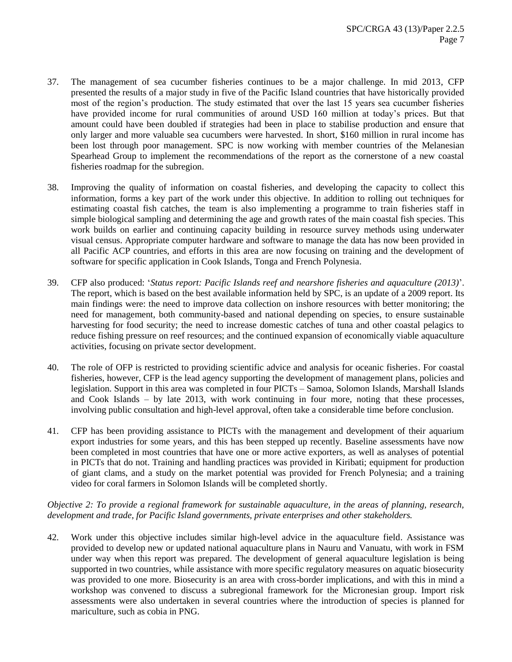- 37. The management of sea cucumber fisheries continues to be a major challenge. In mid 2013, CFP presented the results of a major study in five of the Pacific Island countries that have historically provided most of the region's production. The study estimated that over the last 15 years sea cucumber fisheries have provided income for rural communities of around USD 160 million at today's prices. But that amount could have been doubled if strategies had been in place to stabilise production and ensure that only larger and more valuable sea cucumbers were harvested. In short, \$160 million in rural income has been lost through poor management. SPC is now working with member countries of the Melanesian Spearhead Group to implement the recommendations of the report as the cornerstone of a new coastal fisheries roadmap for the subregion.
- 38. Improving the quality of information on coastal fisheries, and developing the capacity to collect this information, forms a key part of the work under this objective. In addition to rolling out techniques for estimating coastal fish catches, the team is also implementing a programme to train fisheries staff in simple biological sampling and determining the age and growth rates of the main coastal fish species. This work builds on earlier and continuing capacity building in resource survey methods using underwater visual census. Appropriate computer hardware and software to manage the data has now been provided in all Pacific ACP countries, and efforts in this area are now focusing on training and the development of software for specific application in Cook Islands, Tonga and French Polynesia.
- 39. CFP also produced: '*Status report: Pacific Islands reef and nearshore fisheries and aquaculture (2013)*'. The report, which is based on the best available information held by SPC, is an update of a 2009 report. Its main findings were: the need to improve data collection on inshore resources with better monitoring; the need for management, both community-based and national depending on species, to ensure sustainable harvesting for food security; the need to increase domestic catches of tuna and other coastal pelagics to reduce fishing pressure on reef resources; and the continued expansion of economically viable aquaculture activities, focusing on private sector development.
- 40. The role of OFP is restricted to providing scientific advice and analysis for oceanic fisheries. For coastal fisheries, however, CFP is the lead agency supporting the development of management plans, policies and legislation. Support in this area was completed in four PICTs – Samoa, Solomon Islands, Marshall Islands and Cook Islands – by late 2013, with work continuing in four more, noting that these processes, involving public consultation and high-level approval, often take a considerable time before conclusion.
- 41. CFP has been providing assistance to PICTs with the management and development of their aquarium export industries for some years, and this has been stepped up recently. Baseline assessments have now been completed in most countries that have one or more active exporters, as well as analyses of potential in PICTs that do not. Training and handling practices was provided in Kiribati; equipment for production of giant clams, and a study on the market potential was provided for French Polynesia; and a training video for coral farmers in Solomon Islands will be completed shortly.

# *Objective 2: To provide a regional framework for sustainable aquaculture, in the areas of planning, research, development and trade, for Pacific Island governments, private enterprises and other stakeholders.*

42. Work under this objective includes similar high-level advice in the aquaculture field. Assistance was provided to develop new or updated national aquaculture plans in Nauru and Vanuatu, with work in FSM under way when this report was prepared. The development of general aquaculture legislation is being supported in two countries, while assistance with more specific regulatory measures on aquatic biosecurity was provided to one more. Biosecurity is an area with cross-border implications, and with this in mind a workshop was convened to discuss a subregional framework for the Micronesian group. Import risk assessments were also undertaken in several countries where the introduction of species is planned for mariculture, such as cobia in PNG.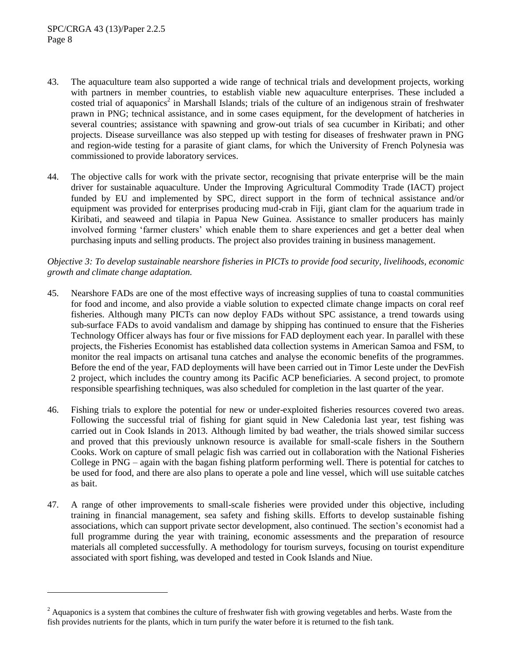$\overline{a}$ 

- 43. The aquaculture team also supported a wide range of technical trials and development projects, working with partners in member countries, to establish viable new aquaculture enterprises. These included a costed trial of aquaponics<sup>2</sup> in Marshall Islands; trials of the culture of an indigenous strain of freshwater prawn in PNG; technical assistance, and in some cases equipment, for the development of hatcheries in several countries; assistance with spawning and grow-out trials of sea cucumber in Kiribati; and other projects. Disease surveillance was also stepped up with testing for diseases of freshwater prawn in PNG and region-wide testing for a parasite of giant clams, for which the University of French Polynesia was commissioned to provide laboratory services.
- 44. The objective calls for work with the private sector, recognising that private enterprise will be the main driver for sustainable aquaculture. Under the Improving Agricultural Commodity Trade (IACT) project funded by EU and implemented by SPC, direct support in the form of technical assistance and/or equipment was provided for enterprises producing mud-crab in Fiji, giant clam for the aquarium trade in Kiribati, and seaweed and tilapia in Papua New Guinea. Assistance to smaller producers has mainly involved forming 'farmer clusters' which enable them to share experiences and get a better deal when purchasing inputs and selling products. The project also provides training in business management.

# *Objective 3: To develop sustainable nearshore fisheries in PICTs to provide food security, livelihoods, economic growth and climate change adaptation.*

- 45. Nearshore FADs are one of the most effective ways of increasing supplies of tuna to coastal communities for food and income, and also provide a viable solution to expected climate change impacts on coral reef fisheries. Although many PICTs can now deploy FADs without SPC assistance, a trend towards using sub-surface FADs to avoid vandalism and damage by shipping has continued to ensure that the Fisheries Technology Officer always has four or five missions for FAD deployment each year. In parallel with these projects, the Fisheries Economist has established data collection systems in American Samoa and FSM, to monitor the real impacts on artisanal tuna catches and analyse the economic benefits of the programmes. Before the end of the year, FAD deployments will have been carried out in Timor Leste under the DevFish 2 project, which includes the country among its Pacific ACP beneficiaries. A second project, to promote responsible spearfishing techniques, was also scheduled for completion in the last quarter of the year.
- 46. Fishing trials to explore the potential for new or under-exploited fisheries resources covered two areas. Following the successful trial of fishing for giant squid in New Caledonia last year, test fishing was carried out in Cook Islands in 2013. Although limited by bad weather, the trials showed similar success and proved that this previously unknown resource is available for small-scale fishers in the Southern Cooks. Work on capture of small pelagic fish was carried out in collaboration with the National Fisheries College in PNG – again with the bagan fishing platform performing well. There is potential for catches to be used for food, and there are also plans to operate a pole and line vessel, which will use suitable catches as bait.
- 47. A range of other improvements to small-scale fisheries were provided under this objective, including training in financial management, sea safety and fishing skills. Efforts to develop sustainable fishing associations, which can support private sector development, also continued. The section's economist had a full programme during the year with training, economic assessments and the preparation of resource materials all completed successfully. A methodology for tourism surveys, focusing on tourist expenditure associated with sport fishing, was developed and tested in Cook Islands and Niue.

 $<sup>2</sup>$  Aquaponics is a system that combines the culture of freshwater fish with growing vegetables and herbs. Waste from the</sup> fish provides nutrients for the plants, which in turn purify the water before it is returned to the fish tank.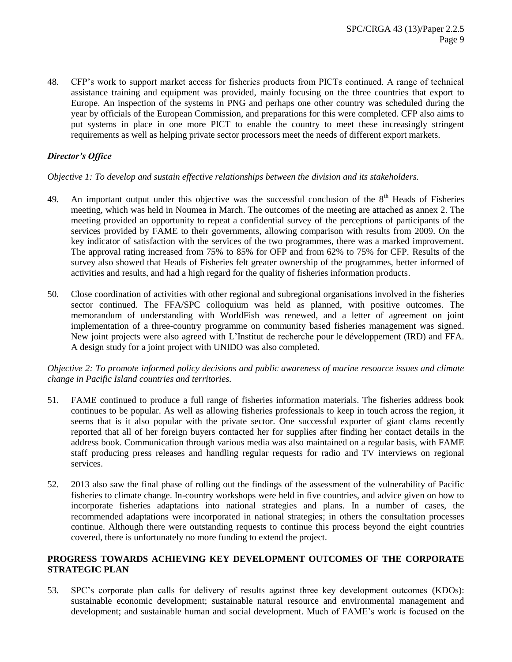48. CFP's work to support market access for fisheries products from PICTs continued. A range of technical assistance training and equipment was provided, mainly focusing on the three countries that export to Europe. An inspection of the systems in PNG and perhaps one other country was scheduled during the year by officials of the European Commission, and preparations for this were completed. CFP also aims to put systems in place in one more PICT to enable the country to meet these increasingly stringent requirements as well as helping private sector processors meet the needs of different export markets.

# *Director's Office*

# *Objective 1: To develop and sustain effective relationships between the division and its stakeholders.*

- 49. An important output under this objective was the successful conclusion of the  $8<sup>th</sup>$  Heads of Fisheries meeting, which was held in Noumea in March. The outcomes of the meeting are attached as annex 2. The meeting provided an opportunity to repeat a confidential survey of the perceptions of participants of the services provided by FAME to their governments, allowing comparison with results from 2009. On the key indicator of satisfaction with the services of the two programmes, there was a marked improvement. The approval rating increased from 75% to 85% for OFP and from 62% to 75% for CFP. Results of the survey also showed that Heads of Fisheries felt greater ownership of the programmes, better informed of activities and results, and had a high regard for the quality of fisheries information products.
- 50. Close coordination of activities with other regional and subregional organisations involved in the fisheries sector continued. The FFA/SPC colloquium was held as planned, with positive outcomes. The memorandum of understanding with WorldFish was renewed, and a letter of agreement on joint implementation of a three-country programme on community based fisheries management was signed. New joint projects were also agreed with L'Institut de recherche pour le développement (IRD) and FFA. A design study for a joint project with UNIDO was also completed.

# *Objective 2: To promote informed policy decisions and public awareness of marine resource issues and climate change in Pacific Island countries and territories.*

- 51. FAME continued to produce a full range of fisheries information materials. The fisheries address book continues to be popular. As well as allowing fisheries professionals to keep in touch across the region, it seems that is it also popular with the private sector. One successful exporter of giant clams recently reported that all of her foreign buyers contacted her for supplies after finding her contact details in the address book. Communication through various media was also maintained on a regular basis, with FAME staff producing press releases and handling regular requests for radio and TV interviews on regional services.
- 52. 2013 also saw the final phase of rolling out the findings of the assessment of the vulnerability of Pacific fisheries to climate change. In-country workshops were held in five countries, and advice given on how to incorporate fisheries adaptations into national strategies and plans. In a number of cases, the recommended adaptations were incorporated in national strategies; in others the consultation processes continue. Although there were outstanding requests to continue this process beyond the eight countries covered, there is unfortunately no more funding to extend the project.

# **PROGRESS TOWARDS ACHIEVING KEY DEVELOPMENT OUTCOMES OF THE CORPORATE STRATEGIC PLAN**

53. SPC's corporate plan calls for delivery of results against three key development outcomes (KDOs): sustainable economic development; sustainable natural resource and environmental management and development; and sustainable human and social development. Much of FAME's work is focused on the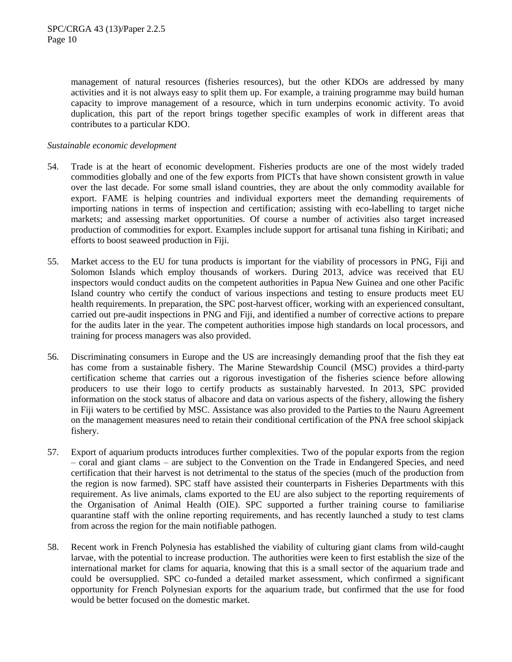management of natural resources (fisheries resources), but the other KDOs are addressed by many activities and it is not always easy to split them up. For example, a training programme may build human capacity to improve management of a resource, which in turn underpins economic activity. To avoid duplication, this part of the report brings together specific examples of work in different areas that contributes to a particular KDO.

# *Sustainable economic development*

- 54. Trade is at the heart of economic development. Fisheries products are one of the most widely traded commodities globally and one of the few exports from PICTs that have shown consistent growth in value over the last decade. For some small island countries, they are about the only commodity available for export. FAME is helping countries and individual exporters meet the demanding requirements of importing nations in terms of inspection and certification; assisting with eco-labelling to target niche markets; and assessing market opportunities. Of course a number of activities also target increased production of commodities for export. Examples include support for artisanal tuna fishing in Kiribati; and efforts to boost seaweed production in Fiji.
- 55. Market access to the EU for tuna products is important for the viability of processors in PNG, Fiji and Solomon Islands which employ thousands of workers. During 2013, advice was received that EU inspectors would conduct audits on the competent authorities in Papua New Guinea and one other Pacific Island country who certify the conduct of various inspections and testing to ensure products meet EU health requirements. In preparation, the SPC post-harvest officer, working with an experienced consultant, carried out pre-audit inspections in PNG and Fiji, and identified a number of corrective actions to prepare for the audits later in the year. The competent authorities impose high standards on local processors, and training for process managers was also provided.
- 56. Discriminating consumers in Europe and the US are increasingly demanding proof that the fish they eat has come from a sustainable fishery. The Marine Stewardship Council (MSC) provides a third-party certification scheme that carries out a rigorous investigation of the fisheries science before allowing producers to use their logo to certify products as sustainably harvested. In 2013, SPC provided information on the stock status of albacore and data on various aspects of the fishery, allowing the fishery in Fiji waters to be certified by MSC. Assistance was also provided to the Parties to the Nauru Agreement on the management measures need to retain their conditional certification of the PNA free school skipjack fishery.
- 57. Export of aquarium products introduces further complexities. Two of the popular exports from the region – coral and giant clams – are subject to the Convention on the Trade in Endangered Species, and need certification that their harvest is not detrimental to the status of the species (much of the production from the region is now farmed). SPC staff have assisted their counterparts in Fisheries Departments with this requirement. As live animals, clams exported to the EU are also subject to the reporting requirements of the Organisation of Animal Health (OIE). SPC supported a further training course to familiarise quarantine staff with the online reporting requirements, and has recently launched a study to test clams from across the region for the main notifiable pathogen.
- 58. Recent work in French Polynesia has established the viability of culturing giant clams from wild-caught larvae, with the potential to increase production. The authorities were keen to first establish the size of the international market for clams for aquaria, knowing that this is a small sector of the aquarium trade and could be oversupplied. SPC co-funded a detailed market assessment, which confirmed a significant opportunity for French Polynesian exports for the aquarium trade, but confirmed that the use for food would be better focused on the domestic market.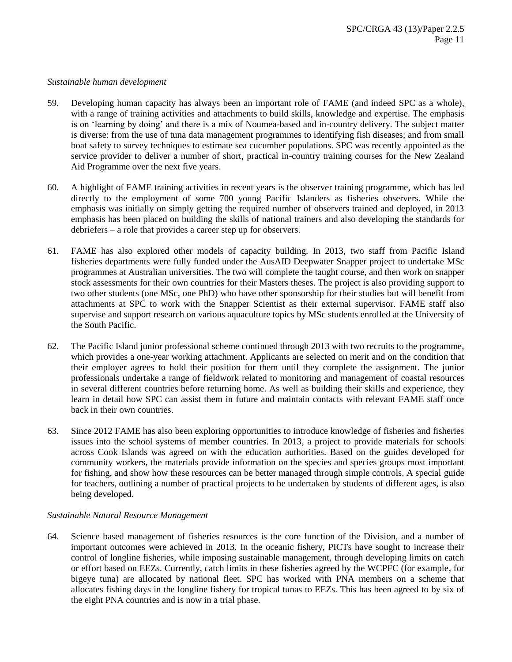#### *Sustainable human development*

- 59. Developing human capacity has always been an important role of FAME (and indeed SPC as a whole), with a range of training activities and attachments to build skills, knowledge and expertise. The emphasis is on 'learning by doing' and there is a mix of Noumea-based and in-country delivery. The subject matter is diverse: from the use of tuna data management programmes to identifying fish diseases; and from small boat safety to survey techniques to estimate sea cucumber populations. SPC was recently appointed as the service provider to deliver a number of short, practical in-country training courses for the New Zealand Aid Programme over the next five years.
- 60. A highlight of FAME training activities in recent years is the observer training programme, which has led directly to the employment of some 700 young Pacific Islanders as fisheries observers. While the emphasis was initially on simply getting the required number of observers trained and deployed, in 2013 emphasis has been placed on building the skills of national trainers and also developing the standards for debriefers – a role that provides a career step up for observers.
- 61. FAME has also explored other models of capacity building. In 2013, two staff from Pacific Island fisheries departments were fully funded under the AusAID Deepwater Snapper project to undertake MSc programmes at Australian universities. The two will complete the taught course, and then work on snapper stock assessments for their own countries for their Masters theses. The project is also providing support to two other students (one MSc, one PhD) who have other sponsorship for their studies but will benefit from attachments at SPC to work with the Snapper Scientist as their external supervisor. FAME staff also supervise and support research on various aquaculture topics by MSc students enrolled at the University of the South Pacific.
- 62. The Pacific Island junior professional scheme continued through 2013 with two recruits to the programme, which provides a one-year working attachment. Applicants are selected on merit and on the condition that their employer agrees to hold their position for them until they complete the assignment. The junior professionals undertake a range of fieldwork related to monitoring and management of coastal resources in several different countries before returning home. As well as building their skills and experience, they learn in detail how SPC can assist them in future and maintain contacts with relevant FAME staff once back in their own countries.
- 63. Since 2012 FAME has also been exploring opportunities to introduce knowledge of fisheries and fisheries issues into the school systems of member countries. In 2013, a project to provide materials for schools across Cook Islands was agreed on with the education authorities. Based on the guides developed for community workers, the materials provide information on the species and species groups most important for fishing, and show how these resources can be better managed through simple controls. A special guide for teachers, outlining a number of practical projects to be undertaken by students of different ages, is also being developed.

# *Sustainable Natural Resource Management*

64. Science based management of fisheries resources is the core function of the Division, and a number of important outcomes were achieved in 2013. In the oceanic fishery, PICTs have sought to increase their control of longline fisheries, while imposing sustainable management, through developing limits on catch or effort based on EEZs. Currently, catch limits in these fisheries agreed by the WCPFC (for example, for bigeye tuna) are allocated by national fleet. SPC has worked with PNA members on a scheme that allocates fishing days in the longline fishery for tropical tunas to EEZs. This has been agreed to by six of the eight PNA countries and is now in a trial phase.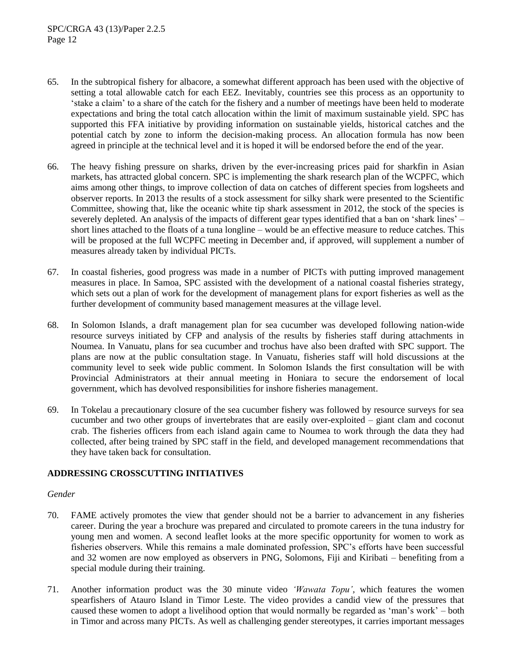- 65. In the subtropical fishery for albacore, a somewhat different approach has been used with the objective of setting a total allowable catch for each EEZ. Inevitably, countries see this process as an opportunity to 'stake a claim' to a share of the catch for the fishery and a number of meetings have been held to moderate expectations and bring the total catch allocation within the limit of maximum sustainable yield. SPC has supported this FFA initiative by providing information on sustainable yields, historical catches and the potential catch by zone to inform the decision-making process. An allocation formula has now been agreed in principle at the technical level and it is hoped it will be endorsed before the end of the year.
- 66. The heavy fishing pressure on sharks, driven by the ever-increasing prices paid for sharkfin in Asian markets, has attracted global concern. SPC is implementing the shark research plan of the WCPFC, which aims among other things, to improve collection of data on catches of different species from logsheets and observer reports. In 2013 the results of a stock assessment for silky shark were presented to the Scientific Committee, showing that, like the oceanic white tip shark assessment in 2012, the stock of the species is severely depleted. An analysis of the impacts of different gear types identified that a ban on 'shark lines' – short lines attached to the floats of a tuna longline – would be an effective measure to reduce catches. This will be proposed at the full WCPFC meeting in December and, if approved, will supplement a number of measures already taken by individual PICTs.
- 67. In coastal fisheries, good progress was made in a number of PICTs with putting improved management measures in place. In Samoa, SPC assisted with the development of a national coastal fisheries strategy, which sets out a plan of work for the development of management plans for export fisheries as well as the further development of community based management measures at the village level.
- 68. In Solomon Islands, a draft management plan for sea cucumber was developed following nation-wide resource surveys initiated by CFP and analysis of the results by fisheries staff during attachments in Noumea. In Vanuatu, plans for sea cucumber and trochus have also been drafted with SPC support. The plans are now at the public consultation stage. In Vanuatu, fisheries staff will hold discussions at the community level to seek wide public comment. In Solomon Islands the first consultation will be with Provincial Administrators at their annual meeting in Honiara to secure the endorsement of local government, which has devolved responsibilities for inshore fisheries management.
- 69. In Tokelau a precautionary closure of the sea cucumber fishery was followed by resource surveys for sea cucumber and two other groups of invertebrates that are easily over-exploited – giant clam and coconut crab. The fisheries officers from each island again came to Noumea to work through the data they had collected, after being trained by SPC staff in the field, and developed management recommendations that they have taken back for consultation.

# **ADDRESSING CROSSCUTTING INITIATIVES**

# *Gender*

- 70. FAME actively promotes the view that gender should not be a barrier to advancement in any fisheries career. During the year a brochure was prepared and circulated to promote careers in the tuna industry for young men and women. A second leaflet looks at the more specific opportunity for women to work as fisheries observers. While this remains a male dominated profession, SPC's efforts have been successful and 32 women are now employed as observers in PNG, Solomons, Fiji and Kiribati – benefiting from a special module during their training.
- 71. Another information product was the 30 minute video *'Wawata Topu',* which features the women spearfishers of Atauro Island in Timor Leste. The video provides a candid view of the pressures that caused these women to adopt a livelihood option that would normally be regarded as 'man's work' – both in Timor and across many PICTs. As well as challenging gender stereotypes, it carries important messages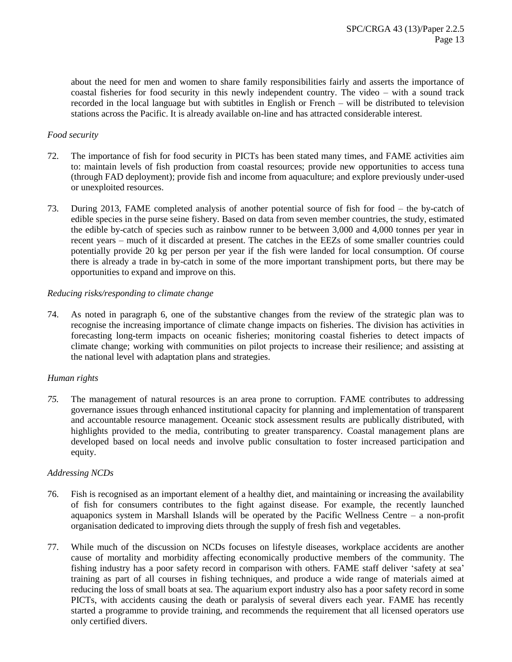about the need for men and women to share family responsibilities fairly and asserts the importance of coastal fisheries for food security in this newly independent country. The video – with a sound track recorded in the local language but with subtitles in English or French – will be distributed to television stations across the Pacific. It is already available on-line and has attracted considerable interest.

### *Food security*

- 72. The importance of fish for food security in PICTs has been stated many times, and FAME activities aim to: maintain levels of fish production from coastal resources; provide new opportunities to access tuna (through FAD deployment); provide fish and income from aquaculture; and explore previously under-used or unexploited resources.
- 73. During 2013, FAME completed analysis of another potential source of fish for food the by-catch of edible species in the purse seine fishery. Based on data from seven member countries, the study, estimated the edible by-catch of species such as rainbow runner to be between 3,000 and 4,000 tonnes per year in recent years – much of it discarded at present. The catches in the EEZs of some smaller countries could potentially provide 20 kg per person per year if the fish were landed for local consumption. Of course there is already a trade in by-catch in some of the more important transhipment ports, but there may be opportunities to expand and improve on this.

#### *Reducing risks/responding to climate change*

74. As noted in paragraph 6, one of the substantive changes from the review of the strategic plan was to recognise the increasing importance of climate change impacts on fisheries. The division has activities in forecasting long-term impacts on oceanic fisheries; monitoring coastal fisheries to detect impacts of climate change; working with communities on pilot projects to increase their resilience; and assisting at the national level with adaptation plans and strategies.

#### *Human rights*

*75.* The management of natural resources is an area prone to corruption. FAME contributes to addressing governance issues through enhanced institutional capacity for planning and implementation of transparent and accountable resource management. Oceanic stock assessment results are publically distributed, with highlights provided to the media, contributing to greater transparency. Coastal management plans are developed based on local needs and involve public consultation to foster increased participation and equity.

#### *Addressing NCDs*

- 76. Fish is recognised as an important element of a healthy diet, and maintaining or increasing the availability of fish for consumers contributes to the fight against disease. For example, the recently launched aquaponics system in Marshall Islands will be operated by the Pacific Wellness Centre – a non-profit organisation dedicated to improving diets through the supply of fresh fish and vegetables.
- 77. While much of the discussion on NCDs focuses on lifestyle diseases, workplace accidents are another cause of mortality and morbidity affecting economically productive members of the community. The fishing industry has a poor safety record in comparison with others. FAME staff deliver 'safety at sea' training as part of all courses in fishing techniques, and produce a wide range of materials aimed at reducing the loss of small boats at sea. The aquarium export industry also has a poor safety record in some PICTs, with accidents causing the death or paralysis of several divers each year. FAME has recently started a programme to provide training, and recommends the requirement that all licensed operators use only certified divers.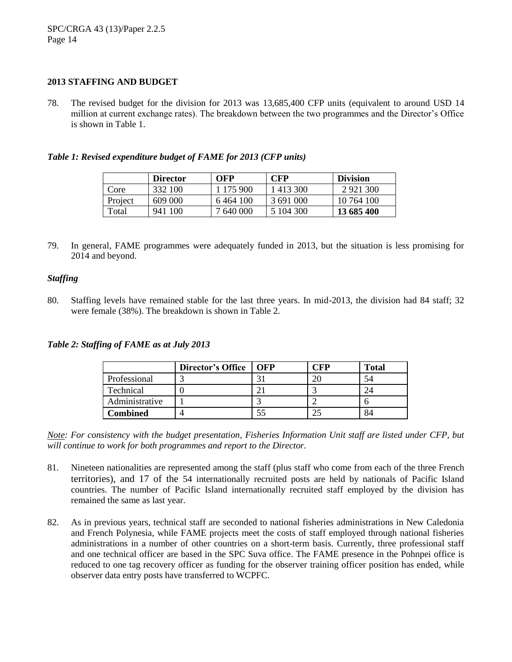# **2013 STAFFING AND BUDGET**

78. The revised budget for the division for 2013 was 13,685,400 CFP units (equivalent to around USD 14 million at current exchange rates). The breakdown between the two programmes and the Director's Office is shown in Table 1.

# *Table 1: Revised expenditure budget of FAME for 2013 (CFP units)*

|         | <b>Director</b> | OFP       | <b>CFP</b> | <b>Division</b> |
|---------|-----------------|-----------|------------|-----------------|
| Core    | 332 100         | 1 175 900 | 1 413 300  | 2 9 2 1 3 0 0   |
| Project | 609 000         | 6464 100  | 3691000    | 10 764 100      |
| Total   | 941 100         | 7 640 000 | 5 104 300  | 13 685 400      |

79. In general, FAME programmes were adequately funded in 2013, but the situation is less promising for 2014 and beyond.

# *Staffing*

80. Staffing levels have remained stable for the last three years. In mid-2013, the division had 84 staff; 32 were female (38%). The breakdown is shown in Table 2.

*Table 2: Staffing of FAME as at July 2013*

|                | <b>Director's Office</b> | OFP | `FP | <b>Total</b> |
|----------------|--------------------------|-----|-----|--------------|
| Professional   |                          |     |     |              |
| Technical      |                          |     |     |              |
| Administrative |                          |     |     |              |
| Combined       |                          |     |     |              |

*Note: For consistency with the budget presentation, Fisheries Information Unit staff are listed under CFP, but will continue to work for both programmes and report to the Director.*

- 81. Nineteen nationalities are represented among the staff (plus staff who come from each of the three French territories), and 17 of the 54 internationally recruited posts are held by nationals of Pacific Island countries. The number of Pacific Island internationally recruited staff employed by the division has remained the same as last year.
- 82. As in previous years, technical staff are seconded to national fisheries administrations in New Caledonia and French Polynesia, while FAME projects meet the costs of staff employed through national fisheries administrations in a number of other countries on a short-term basis. Currently, three professional staff and one technical officer are based in the SPC Suva office. The FAME presence in the Pohnpei office is reduced to one tag recovery officer as funding for the observer training officer position has ended, while observer data entry posts have transferred to WCPFC.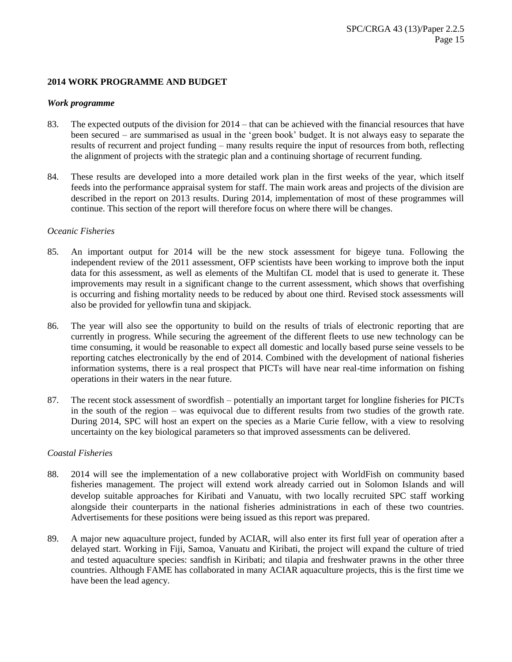# **2014 WORK PROGRAMME AND BUDGET**

#### *Work programme*

- 83. The expected outputs of the division for 2014 that can be achieved with the financial resources that have been secured – are summarised as usual in the 'green book' budget. It is not always easy to separate the results of recurrent and project funding – many results require the input of resources from both, reflecting the alignment of projects with the strategic plan and a continuing shortage of recurrent funding.
- 84. These results are developed into a more detailed work plan in the first weeks of the year, which itself feeds into the performance appraisal system for staff. The main work areas and projects of the division are described in the report on 2013 results. During 2014, implementation of most of these programmes will continue. This section of the report will therefore focus on where there will be changes.

#### *Oceanic Fisheries*

- 85. An important output for 2014 will be the new stock assessment for bigeye tuna. Following the independent review of the 2011 assessment, OFP scientists have been working to improve both the input data for this assessment, as well as elements of the Multifan CL model that is used to generate it. These improvements may result in a significant change to the current assessment, which shows that overfishing is occurring and fishing mortality needs to be reduced by about one third. Revised stock assessments will also be provided for yellowfin tuna and skipjack.
- 86. The year will also see the opportunity to build on the results of trials of electronic reporting that are currently in progress. While securing the agreement of the different fleets to use new technology can be time consuming, it would be reasonable to expect all domestic and locally based purse seine vessels to be reporting catches electronically by the end of 2014. Combined with the development of national fisheries information systems, there is a real prospect that PICTs will have near real-time information on fishing operations in their waters in the near future.
- 87. The recent stock assessment of swordfish potentially an important target for longline fisheries for PICTs in the south of the region – was equivocal due to different results from two studies of the growth rate. During 2014, SPC will host an expert on the species as a Marie Curie fellow, with a view to resolving uncertainty on the key biological parameters so that improved assessments can be delivered.

# *Coastal Fisheries*

- 88. 2014 will see the implementation of a new collaborative project with WorldFish on community based fisheries management. The project will extend work already carried out in Solomon Islands and will develop suitable approaches for Kiribati and Vanuatu, with two locally recruited SPC staff working alongside their counterparts in the national fisheries administrations in each of these two countries. Advertisements for these positions were being issued as this report was prepared.
- 89. A major new aquaculture project, funded by ACIAR, will also enter its first full year of operation after a delayed start. Working in Fiji, Samoa, Vanuatu and Kiribati, the project will expand the culture of tried and tested aquaculture species: sandfish in Kiribati; and tilapia and freshwater prawns in the other three countries. Although FAME has collaborated in many ACIAR aquaculture projects, this is the first time we have been the lead agency.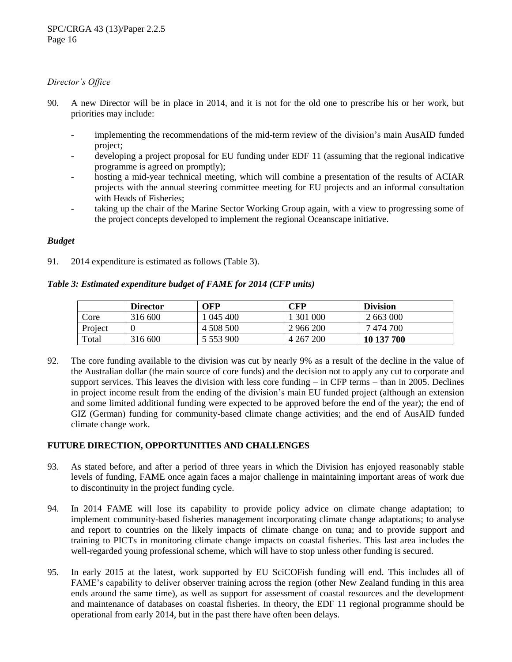# *Director's Office*

- 90. A new Director will be in place in 2014, and it is not for the old one to prescribe his or her work, but priorities may include:
	- implementing the recommendations of the mid-term review of the division's main AusAID funded project;
	- developing a project proposal for EU funding under EDF 11 (assuming that the regional indicative programme is agreed on promptly);
	- hosting a mid-year technical meeting, which will combine a presentation of the results of ACIAR projects with the annual steering committee meeting for EU projects and an informal consultation with Heads of Fisheries;
	- taking up the chair of the Marine Sector Working Group again, with a view to progressing some of the project concepts developed to implement the regional Oceanscape initiative.

# *Budget*

91. 2014 expenditure is estimated as follows (Table 3).

# *Table 3: Estimated expenditure budget of FAME for 2014 (CFP units)*

|               | <b>Director</b> | OFP           | CFP       | <b>Division</b> |
|---------------|-----------------|---------------|-----------|-----------------|
| $\text{Core}$ | 316 600         | l 045 400     | 301 000   | 2 663 000       |
| Project       |                 | 4 508 500     | 2 966 200 | 7474700         |
| Total         | 316 600         | 5 5 5 3 9 0 0 | 4 267 200 | 10 137 700      |

92. The core funding available to the division was cut by nearly 9% as a result of the decline in the value of the Australian dollar (the main source of core funds) and the decision not to apply any cut to corporate and support services. This leaves the division with less core funding – in CFP terms – than in 2005. Declines in project income result from the ending of the division's main EU funded project (although an extension and some limited additional funding were expected to be approved before the end of the year); the end of GIZ (German) funding for community-based climate change activities; and the end of AusAID funded climate change work.

# **FUTURE DIRECTION, OPPORTUNITIES AND CHALLENGES**

- 93. As stated before, and after a period of three years in which the Division has enjoyed reasonably stable levels of funding, FAME once again faces a major challenge in maintaining important areas of work due to discontinuity in the project funding cycle.
- 94. In 2014 FAME will lose its capability to provide policy advice on climate change adaptation; to implement community-based fisheries management incorporating climate change adaptations; to analyse and report to countries on the likely impacts of climate change on tuna; and to provide support and training to PICTs in monitoring climate change impacts on coastal fisheries. This last area includes the well-regarded young professional scheme, which will have to stop unless other funding is secured.
- 95. In early 2015 at the latest, work supported by EU SciCOFish funding will end. This includes all of FAME's capability to deliver observer training across the region (other New Zealand funding in this area ends around the same time), as well as support for assessment of coastal resources and the development and maintenance of databases on coastal fisheries. In theory, the EDF 11 regional programme should be operational from early 2014, but in the past there have often been delays.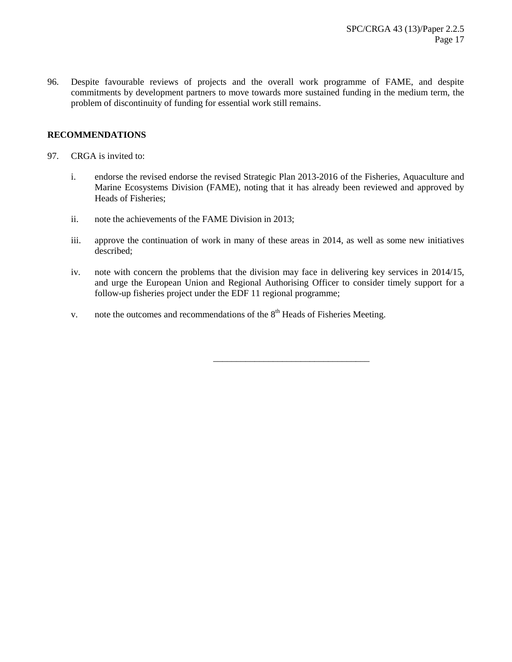96. Despite favourable reviews of projects and the overall work programme of FAME, and despite commitments by development partners to move towards more sustained funding in the medium term, the problem of discontinuity of funding for essential work still remains.

# **RECOMMENDATIONS**

- 97. CRGA is invited to:
	- i. endorse the revised endorse the revised Strategic Plan 2013-2016 of the Fisheries, Aquaculture and Marine Ecosystems Division (FAME), noting that it has already been reviewed and approved by Heads of Fisheries;
	- ii. note the achievements of the FAME Division in 2013;
	- iii. approve the continuation of work in many of these areas in 2014, as well as some new initiatives described;
	- iv. note with concern the problems that the division may face in delivering key services in 2014/15, and urge the European Union and Regional Authorising Officer to consider timely support for a follow-up fisheries project under the EDF 11 regional programme;

\_\_\_\_\_\_\_\_\_\_\_\_\_\_\_\_\_\_\_\_\_\_\_\_\_\_\_\_\_\_\_\_\_\_

v. note the outcomes and recommendations of the  $8<sup>th</sup>$  Heads of Fisheries Meeting.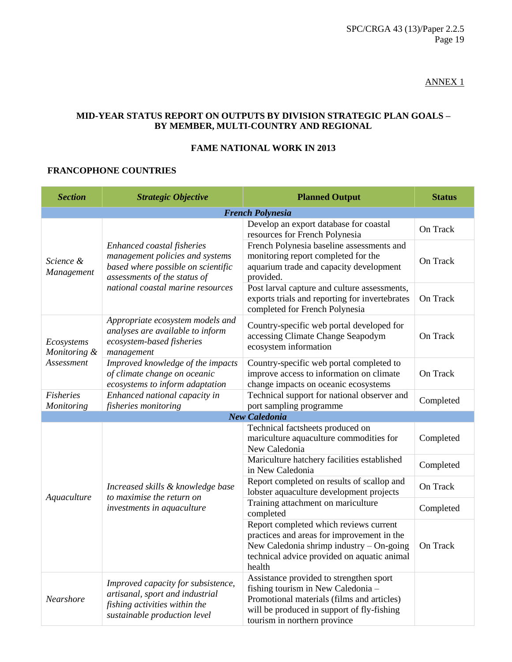# ANNEX 1

# **MID-YEAR STATUS REPORT ON OUTPUTS BY DIVISION STRATEGIC PLAN GOALS – BY MEMBER, MULTI-COUNTRY AND REGIONAL**

# **FAME NATIONAL WORK IN 2013**

# **FRANCOPHONE COUNTRIES**

| <b>Section</b>                           | <b>Strategic Objective</b>                                                                                                             | <b>Planned Output</b>                                                                                                                                                                                     | <b>Status</b> |  |  |  |  |
|------------------------------------------|----------------------------------------------------------------------------------------------------------------------------------------|-----------------------------------------------------------------------------------------------------------------------------------------------------------------------------------------------------------|---------------|--|--|--|--|
|                                          | <b>French Polynesia</b>                                                                                                                |                                                                                                                                                                                                           |               |  |  |  |  |
|                                          |                                                                                                                                        | Develop an export database for coastal<br>resources for French Polynesia                                                                                                                                  | On Track      |  |  |  |  |
| Science &<br>Management                  | Enhanced coastal fisheries<br>management policies and systems<br>based where possible on scientific<br>assessments of the status of    | French Polynesia baseline assessments and<br>monitoring report completed for the<br>aquarium trade and capacity development<br>provided.                                                                  | On Track      |  |  |  |  |
|                                          | national coastal marine resources                                                                                                      | Post larval capture and culture assessments,<br>exports trials and reporting for invertebrates<br>completed for French Polynesia                                                                          | On Track      |  |  |  |  |
| Ecosystems<br>Monitoring &<br>Assessment | Appropriate ecosystem models and<br>analyses are available to inform<br>ecosystem-based fisheries<br>management                        | Country-specific web portal developed for<br>accessing Climate Change Seapodym<br>ecosystem information                                                                                                   | On Track      |  |  |  |  |
|                                          | Improved knowledge of the impacts<br>of climate change on oceanic<br>ecosystems to inform adaptation                                   | Country-specific web portal completed to<br>improve access to information on climate<br>change impacts on oceanic ecosystems                                                                              | On Track      |  |  |  |  |
| <b>Fisheries</b><br>Monitoring           | Enhanced national capacity in<br>fisheries monitoring                                                                                  | Technical support for national observer and<br>port sampling programme                                                                                                                                    | Completed     |  |  |  |  |
|                                          |                                                                                                                                        | <b>New Caledonia</b>                                                                                                                                                                                      |               |  |  |  |  |
|                                          |                                                                                                                                        | Technical factsheets produced on<br>mariculture aquaculture commodities for<br>New Caledonia                                                                                                              | Completed     |  |  |  |  |
|                                          | Increased skills & knowledge base                                                                                                      | Mariculture hatchery facilities established<br>in New Caledonia                                                                                                                                           | Completed     |  |  |  |  |
|                                          |                                                                                                                                        | Report completed on results of scallop and<br>lobster aquaculture development projects                                                                                                                    | On Track      |  |  |  |  |
| Aquaculture                              | to maximise the return on<br>investments in aquaculture                                                                                | Training attachment on mariculture<br>completed                                                                                                                                                           | Completed     |  |  |  |  |
|                                          |                                                                                                                                        | Report completed which reviews current<br>practices and areas for improvement in the<br>New Caledonia shrimp industry - On-going<br>technical advice provided on aquatic animal<br>health                 | On Track      |  |  |  |  |
| Nearshore                                | Improved capacity for subsistence,<br>artisanal, sport and industrial<br>fishing activities within the<br>sustainable production level | Assistance provided to strengthen sport<br>fishing tourism in New Caledonia -<br>Promotional materials (films and articles)<br>will be produced in support of fly-fishing<br>tourism in northern province |               |  |  |  |  |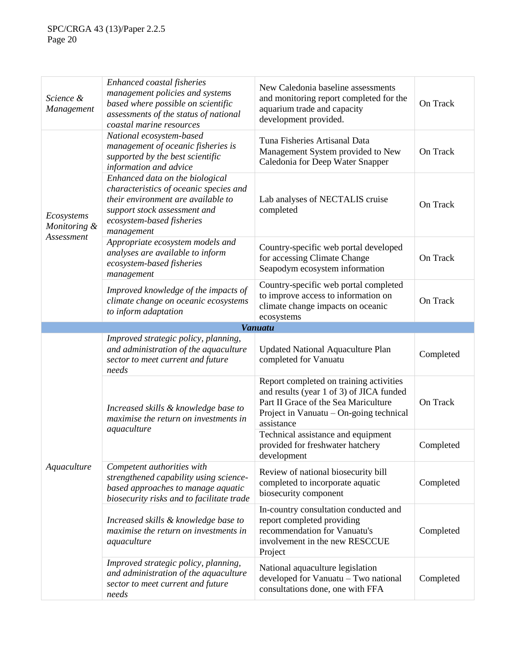| Science &<br><b>Management</b>           | Enhanced coastal fisheries<br>management policies and systems<br>based where possible on scientific<br>assessments of the status of national<br>coastal marine resources                   | New Caledonia baseline assessments<br>and monitoring report completed for the<br>aquarium trade and capacity<br>development provided.                                                | On Track  |
|------------------------------------------|--------------------------------------------------------------------------------------------------------------------------------------------------------------------------------------------|--------------------------------------------------------------------------------------------------------------------------------------------------------------------------------------|-----------|
| Ecosystems<br>Monitoring &<br>Assessment | National ecosystem-based<br>management of oceanic fisheries is<br>supported by the best scientific<br>information and advice                                                               | Tuna Fisheries Artisanal Data<br>Management System provided to New<br>Caledonia for Deep Water Snapper                                                                               | On Track  |
|                                          | Enhanced data on the biological<br>characteristics of oceanic species and<br>their environment are available to<br>support stock assessment and<br>ecosystem-based fisheries<br>management | Lab analyses of NECTALIS cruise<br>completed                                                                                                                                         | On Track  |
|                                          | Appropriate ecosystem models and<br>analyses are available to inform<br>ecosystem-based fisheries<br>management                                                                            | Country-specific web portal developed<br>for accessing Climate Change<br>Seapodym ecosystem information                                                                              | On Track  |
|                                          | Improved knowledge of the impacts of<br>climate change on oceanic ecosystems<br>to inform adaptation                                                                                       | Country-specific web portal completed<br>to improve access to information on<br>climate change impacts on oceanic<br>ecosystems                                                      | On Track  |
|                                          |                                                                                                                                                                                            | <b>Vanuatu</b>                                                                                                                                                                       |           |
|                                          | Improved strategic policy, planning,<br>and administration of the aquaculture<br>sector to meet current and future<br>needs                                                                | <b>Updated National Aquaculture Plan</b><br>completed for Vanuatu                                                                                                                    | Completed |
|                                          | Increased skills & knowledge base to<br>maximise the return on investments in                                                                                                              | Report completed on training activities<br>and results (year 1 of 3) of JICA funded<br>Part II Grace of the Sea Mariculture<br>Project in Vanuatu – On-going technical<br>assistance | On Track  |
|                                          | aquaculture                                                                                                                                                                                | Technical assistance and equipment<br>provided for freshwater hatchery<br>development                                                                                                | Completed |
| Aquaculture                              | Competent authorities with<br>strengthened capability using science-<br>based approaches to manage aquatic<br>biosecurity risks and to facilitate trade                                    | Review of national biosecurity bill<br>completed to incorporate aquatic<br>biosecurity component                                                                                     | Completed |
|                                          | Increased skills & knowledge base to<br>maximise the return on investments in<br>aquaculture                                                                                               | In-country consultation conducted and<br>report completed providing<br>recommendation for Vanuatu's<br>involvement in the new RESCCUE<br>Project                                     | Completed |
|                                          | Improved strategic policy, planning,<br>and administration of the aquaculture<br>sector to meet current and future<br>needs                                                                | National aquaculture legislation<br>developed for Vanuatu - Two national<br>consultations done, one with FFA                                                                         | Completed |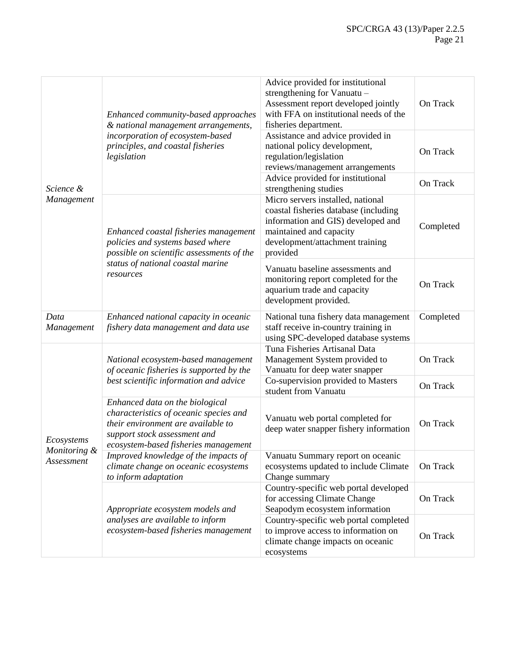|                                          | Enhanced community-based approaches<br>& national management arrangements,                                                                                                              | Advice provided for institutional<br>strengthening for Vanuatu -<br>Assessment report developed jointly<br>with FFA on institutional needs of the<br>fisheries department.                 | On Track  |
|------------------------------------------|-----------------------------------------------------------------------------------------------------------------------------------------------------------------------------------------|--------------------------------------------------------------------------------------------------------------------------------------------------------------------------------------------|-----------|
|                                          | incorporation of ecosystem-based<br>principles, and coastal fisheries<br>legislation                                                                                                    | Assistance and advice provided in<br>national policy development,<br>regulation/legislation<br>reviews/management arrangements                                                             | On Track  |
| Science &                                |                                                                                                                                                                                         | Advice provided for institutional<br>strengthening studies                                                                                                                                 | On Track  |
| Management                               | Enhanced coastal fisheries management<br>policies and systems based where<br>possible on scientific assessments of the<br>status of national coastal marine<br>resources                | Micro servers installed, national<br>coastal fisheries database (including<br>information and GIS) developed and<br>maintained and capacity<br>development/attachment training<br>provided | Completed |
|                                          |                                                                                                                                                                                         | Vanuatu baseline assessments and<br>monitoring report completed for the<br>aquarium trade and capacity<br>development provided.                                                            | On Track  |
| Data<br>Management                       | Enhanced national capacity in oceanic<br>fishery data management and data use                                                                                                           | National tuna fishery data management<br>staff receive in-country training in<br>using SPC-developed database systems                                                                      | Completed |
|                                          | National ecosystem-based management<br>of oceanic fisheries is supported by the<br>best scientific information and advice                                                               | Tuna Fisheries Artisanal Data<br>Management System provided to<br>Vanuatu for deep water snapper                                                                                           | On Track  |
|                                          |                                                                                                                                                                                         | Co-supervision provided to Masters<br>student from Vanuatu                                                                                                                                 | On Track  |
| Ecosystems<br>Monitoring &<br>Assessment | Enhanced data on the biological<br>characteristics of oceanic species and<br>their environment are available to<br>support stock assessment and<br>ecosystem-based fisheries management | Vanuatu web portal completed for<br>deep water snapper fishery information                                                                                                                 | On Track  |
|                                          | Improved knowledge of the impacts of<br>climate change on oceanic ecosystems<br>to inform adaptation                                                                                    | Vanuatu Summary report on oceanic<br>ecosystems updated to include Climate<br>Change summary                                                                                               | On Track  |
|                                          | Appropriate ecosystem models and                                                                                                                                                        | Country-specific web portal developed<br>for accessing Climate Change<br>Seapodym ecosystem information                                                                                    | On Track  |
|                                          | analyses are available to inform<br>ecosystem-based fisheries management                                                                                                                | Country-specific web portal completed<br>to improve access to information on<br>climate change impacts on oceanic<br>ecosystems                                                            | On Track  |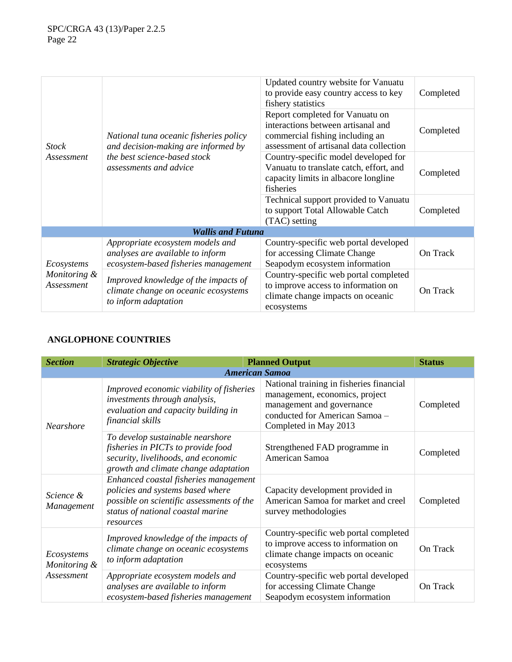| <b>Stock</b><br>Assessment               |                                                                                                                                         | Updated country website for Vanuatu<br>to provide easy country access to key<br>fishery statistics                                                  | Completed |
|------------------------------------------|-----------------------------------------------------------------------------------------------------------------------------------------|-----------------------------------------------------------------------------------------------------------------------------------------------------|-----------|
|                                          | National tuna oceanic fisheries policy<br>and decision-making are informed by<br>the best science-based stock<br>assessments and advice | Report completed for Vanuatu on<br>interactions between artisanal and<br>commercial fishing including an<br>assessment of artisanal data collection | Completed |
|                                          |                                                                                                                                         | Country-specific model developed for<br>Vanuatu to translate catch, effort, and<br>capacity limits in albacore longline<br>fisheries                | Completed |
|                                          |                                                                                                                                         | Technical support provided to Vanuatu<br>to support Total Allowable Catch<br>(TAC) setting                                                          | Completed |
|                                          | <b>Wallis and Futuna</b>                                                                                                                |                                                                                                                                                     |           |
| Ecosystems<br>Monitoring &<br>Assessment | Appropriate ecosystem models and<br>analyses are available to inform<br>ecosystem-based fisheries management                            | Country-specific web portal developed<br>for accessing Climate Change<br>Seapodym ecosystem information                                             | On Track  |
|                                          | Improved knowledge of the impacts of<br>climate change on oceanic ecosystems<br>to inform adaptation                                    | Country-specific web portal completed<br>to improve access to information on<br>climate change impacts on oceanic<br>ecosystems                     | On Track  |

# **ANGLOPHONE COUNTRIES**

| <b>Section</b>                           | <b>Strategic Objective</b>                                                                                                                                               |  | <b>Planned Output</b>                                                                                                                                              | <b>Status</b> |
|------------------------------------------|--------------------------------------------------------------------------------------------------------------------------------------------------------------------------|--|--------------------------------------------------------------------------------------------------------------------------------------------------------------------|---------------|
|                                          |                                                                                                                                                                          |  | <b>American Samoa</b>                                                                                                                                              |               |
| Nearshore                                | Improved economic viability of fisheries<br>investments through analysis,<br>evaluation and capacity building in<br>financial skills                                     |  | National training in fisheries financial<br>management, economics, project<br>management and governance<br>conducted for American Samoa -<br>Completed in May 2013 | Completed     |
|                                          | To develop sustainable nearshore<br>fisheries in PICTs to provide food<br>security, livelihoods, and economic<br>growth and climate change adaptation                    |  | Strengthened FAD programme in<br>American Samoa                                                                                                                    | Completed     |
| Science &<br>Management                  | Enhanced coastal fisheries management<br>policies and systems based where<br>possible on scientific assessments of the<br>status of national coastal marine<br>resources |  | Capacity development provided in<br>American Samoa for market and creel<br>survey methodologies                                                                    | Completed     |
| Ecosystems<br>Monitoring &<br>Assessment | Improved knowledge of the impacts of<br>climate change on oceanic ecosystems<br>to inform adaptation                                                                     |  | Country-specific web portal completed<br>to improve access to information on<br>climate change impacts on oceanic<br>ecosystems                                    | On Track      |
|                                          | Appropriate ecosystem models and<br>analyses are available to inform<br>ecosystem-based fisheries management                                                             |  | Country-specific web portal developed<br>for accessing Climate Change<br>Seapodym ecosystem information                                                            | On Track      |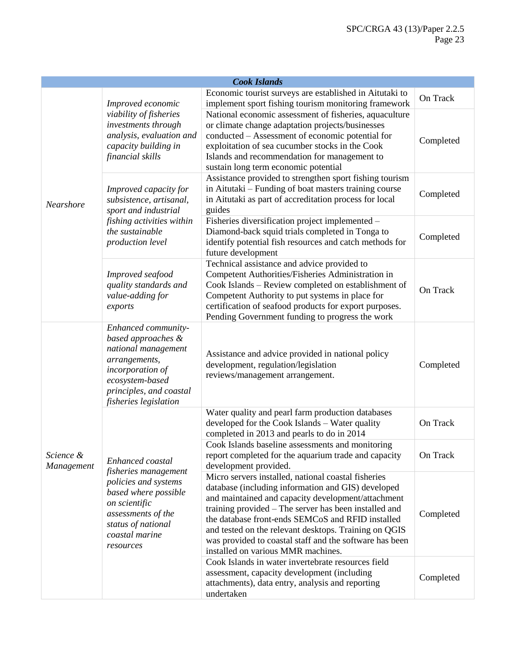| <b>Cook Islands</b>     |                                                                                                                                                                                      |                                                                                                                                                                                                                                                                                                                                                                                                                                         |           |
|-------------------------|--------------------------------------------------------------------------------------------------------------------------------------------------------------------------------------|-----------------------------------------------------------------------------------------------------------------------------------------------------------------------------------------------------------------------------------------------------------------------------------------------------------------------------------------------------------------------------------------------------------------------------------------|-----------|
|                         | Improved economic                                                                                                                                                                    | Economic tourist surveys are established in Aitutaki to<br>implement sport fishing tourism monitoring framework                                                                                                                                                                                                                                                                                                                         | On Track  |
| Nearshore               | viability of fisheries<br>investments through<br>analysis, evaluation and<br>capacity building in<br>financial skills                                                                | National economic assessment of fisheries, aquaculture<br>or climate change adaptation projects/businesses<br>conducted - Assessment of economic potential for<br>exploitation of sea cucumber stocks in the Cook<br>Islands and recommendation for management to<br>sustain long term economic potential                                                                                                                               | Completed |
|                         | Improved capacity for<br>subsistence, artisanal,<br>sport and industrial                                                                                                             | Assistance provided to strengthen sport fishing tourism<br>in Aitutaki – Funding of boat masters training course<br>in Aitutaki as part of accreditation process for local<br>guides                                                                                                                                                                                                                                                    | Completed |
|                         | fishing activities within<br>the sustainable<br>production level                                                                                                                     | Fisheries diversification project implemented -<br>Diamond-back squid trials completed in Tonga to<br>identify potential fish resources and catch methods for<br>future development                                                                                                                                                                                                                                                     | Completed |
|                         | Improved seafood<br>quality standards and<br>value-adding for<br>exports                                                                                                             | Technical assistance and advice provided to<br>Competent Authorities/Fisheries Administration in<br>Cook Islands - Review completed on establishment of<br>Competent Authority to put systems in place for<br>certification of seafood products for export purposes.<br>Pending Government funding to progress the work                                                                                                                 | On Track  |
|                         | Enhanced community-<br>based approaches &<br>national management<br>arrangements,<br>incorporation of<br>ecosystem-based<br>principles, and coastal<br>fisheries legislation         | Assistance and advice provided in national policy<br>development, regulation/legislation<br>reviews/management arrangement.                                                                                                                                                                                                                                                                                                             | Completed |
|                         | Enhanced coastal<br>fisheries management<br>policies and systems<br>based where possible<br>on scientific<br>assessments of the<br>status of national<br>coastal marine<br>resources | Water quality and pearl farm production databases<br>developed for the Cook Islands - Water quality<br>completed in 2013 and pearls to do in 2014                                                                                                                                                                                                                                                                                       | On Track  |
| Science &<br>Management |                                                                                                                                                                                      | Cook Islands baseline assessments and monitoring<br>report completed for the aquarium trade and capacity<br>development provided.                                                                                                                                                                                                                                                                                                       | On Track  |
|                         |                                                                                                                                                                                      | Micro servers installed, national coastal fisheries<br>database (including information and GIS) developed<br>and maintained and capacity development/attachment<br>training provided – The server has been installed and<br>the database front-ends SEMCoS and RFID installed<br>and tested on the relevant desktops. Training on QGIS<br>was provided to coastal staff and the software has been<br>installed on various MMR machines. | Completed |
|                         |                                                                                                                                                                                      | Cook Islands in water invertebrate resources field<br>assessment, capacity development (including<br>attachments), data entry, analysis and reporting<br>undertaken                                                                                                                                                                                                                                                                     | Completed |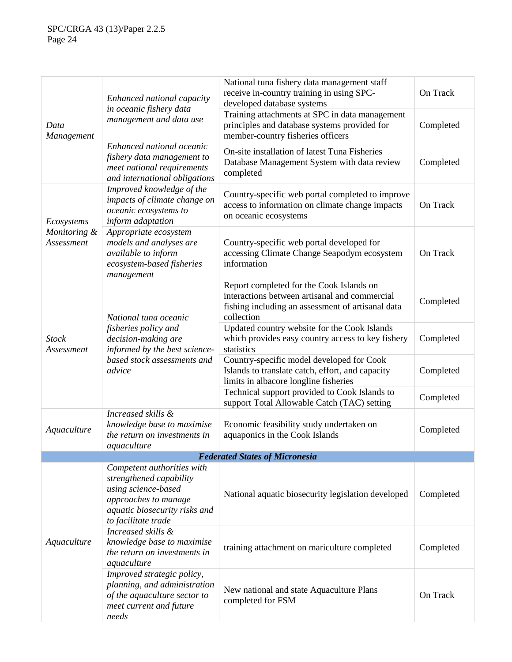|                            | Enhanced national capacity                                                                                                                                   | National tuna fishery data management staff<br>receive in-country training in using SPC-<br>developed database systems                                       | On Track  |
|----------------------------|--------------------------------------------------------------------------------------------------------------------------------------------------------------|--------------------------------------------------------------------------------------------------------------------------------------------------------------|-----------|
| Data<br>Management         | in oceanic fishery data<br>management and data use                                                                                                           | Training attachments at SPC in data management<br>principles and database systems provided for<br>member-country fisheries officers                          | Completed |
|                            | Enhanced national oceanic<br>fishery data management to<br>meet national requirements<br>and international obligations                                       | On-site installation of latest Tuna Fisheries<br>Database Management System with data review<br>completed                                                    | Completed |
| Ecosystems                 | Improved knowledge of the<br>impacts of climate change on<br>oceanic ecosystems to<br>inform adaptation                                                      | Country-specific web portal completed to improve<br>access to information on climate change impacts<br>on oceanic ecosystems                                 | On Track  |
| Monitoring &<br>Assessment | Appropriate ecosystem<br>models and analyses are<br>available to inform<br>ecosystem-based fisheries<br>management                                           | Country-specific web portal developed for<br>accessing Climate Change Seapodym ecosystem<br>information                                                      | On Track  |
| <b>Stock</b><br>Assessment | National tuna oceanic<br>fisheries policy and<br>decision-making are<br>informed by the best science-<br>based stock assessments and<br>advice               | Report completed for the Cook Islands on<br>interactions between artisanal and commercial<br>fishing including an assessment of artisanal data<br>collection | Completed |
|                            |                                                                                                                                                              | Updated country website for the Cook Islands<br>which provides easy country access to key fishery<br>statistics                                              | Completed |
|                            |                                                                                                                                                              | Country-specific model developed for Cook<br>Islands to translate catch, effort, and capacity<br>limits in albacore longline fisheries                       | Completed |
|                            |                                                                                                                                                              | Technical support provided to Cook Islands to<br>support Total Allowable Catch (TAC) setting                                                                 | Completed |
| Aquaculture                | Increased skills &<br>knowledge base to maximise<br>the return on investments in<br>aquaculture                                                              | Economic feasibility study undertaken on<br>aquaponics in the Cook Islands                                                                                   | Completed |
|                            |                                                                                                                                                              | <b>Federated States of Micronesia</b>                                                                                                                        |           |
|                            | Competent authorities with<br>strengthened capability<br>using science-based<br>approaches to manage<br>aquatic biosecurity risks and<br>to facilitate trade | National aquatic biosecurity legislation developed                                                                                                           | Completed |
| Aquaculture                | Increased skills &<br>knowledge base to maximise<br>the return on investments in<br>aquaculture                                                              | training attachment on mariculture completed                                                                                                                 | Completed |
|                            | Improved strategic policy,<br>planning, and administration<br>of the aquaculture sector to<br>meet current and future<br>needs                               | New national and state Aquaculture Plans<br>completed for FSM                                                                                                | On Track  |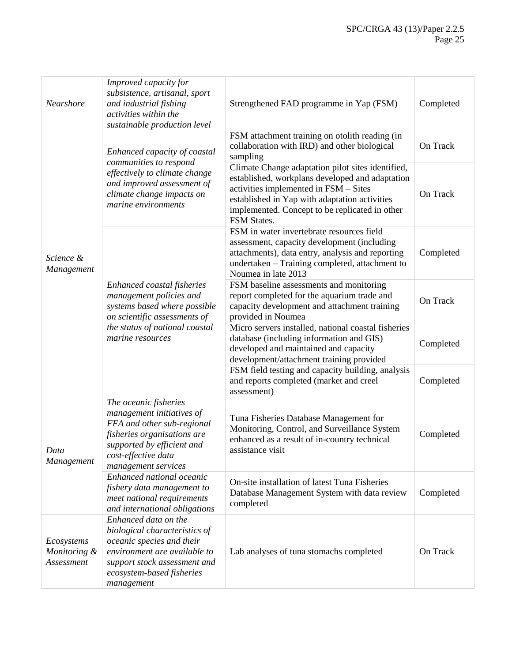| Nearshore                                | Improved capacity for<br>subsistence, artisanal, sport<br>and industrial fishing<br>activities within the<br>sustainable production level                                                     | Strengthened FAD programme in Yap (FSM)                                                                                                                                                                                                                         | Completed |
|------------------------------------------|-----------------------------------------------------------------------------------------------------------------------------------------------------------------------------------------------|-----------------------------------------------------------------------------------------------------------------------------------------------------------------------------------------------------------------------------------------------------------------|-----------|
|                                          | Enhanced capacity of coastal                                                                                                                                                                  | FSM attachment training on otolith reading (in<br>collaboration with IRD) and other biological<br>sampling                                                                                                                                                      | On Track  |
| Science &<br>Management                  | communities to respond<br>effectively to climate change<br>and improved assessment of<br>climate change impacts on<br>marine environments                                                     | Climate Change adaptation pilot sites identified,<br>established, workplans developed and adaptation<br>activities implemented in FSM - Sites<br>established in Yap with adaptation activities<br>implemented. Concept to be replicated in other<br>FSM States. | On Track  |
|                                          |                                                                                                                                                                                               | FSM in water invertebrate resources field<br>assessment, capacity development (including<br>attachments), data entry, analysis and reporting<br>undertaken - Training completed, attachment to<br>Noumea in late 2013                                           | Completed |
|                                          | Enhanced coastal fisheries<br>management policies and<br>systems based where possible<br>on scientific assessments of<br>the status of national coastal<br>marine resources                   | FSM baseline assessments and monitoring<br>report completed for the aquarium trade and<br>capacity development and attachment training<br>provided in Noumea                                                                                                    | On Track  |
|                                          |                                                                                                                                                                                               | Micro servers installed, national coastal fisheries<br>database (including information and GIS)<br>developed and maintained and capacity<br>development/attachment training provided                                                                            | Completed |
|                                          |                                                                                                                                                                                               | FSM field testing and capacity building, analysis<br>and reports completed (market and creel<br>assessment)                                                                                                                                                     | Completed |
| Data<br>Management                       | The oceanic fisheries<br>management initiatives of<br>FFA and other sub-regional<br>fisheries organisations are<br>supported by efficient and<br>cost-effective data<br>management services   | Tuna Fisheries Database Management for<br>Monitoring, Control, and Surveillance System<br>enhanced as a result of in-country technical<br>assistance visit                                                                                                      | Completed |
|                                          | Enhanced national oceanic<br>fishery data management to<br>meet national requirements<br>and international obligations                                                                        | On-site installation of latest Tuna Fisheries<br>Database Management System with data review<br>completed                                                                                                                                                       | Completed |
| Ecosystems<br>Monitoring &<br>Assessment | Enhanced data on the<br>biological characteristics of<br>oceanic species and their<br>environment are available to<br>support stock assessment and<br>ecosystem-based fisheries<br>management | Lab analyses of tuna stomachs completed                                                                                                                                                                                                                         | On Track  |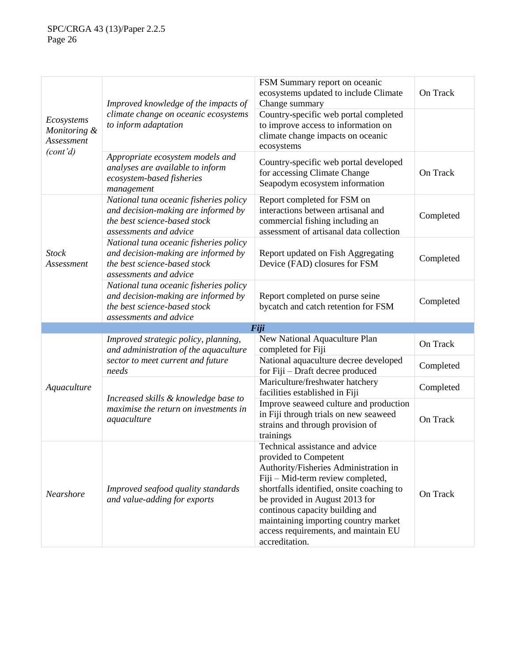| Ecosystems<br>Monitoring &<br>Assessment | Improved knowledge of the impacts of                                                                                                    | FSM Summary report on oceanic<br>ecosystems updated to include Climate<br>Change summary                                                                                                                                                                                                                                                                   | On Track  |
|------------------------------------------|-----------------------------------------------------------------------------------------------------------------------------------------|------------------------------------------------------------------------------------------------------------------------------------------------------------------------------------------------------------------------------------------------------------------------------------------------------------------------------------------------------------|-----------|
|                                          | climate change on oceanic ecosystems<br>to inform adaptation                                                                            | Country-specific web portal completed<br>to improve access to information on<br>climate change impacts on oceanic<br>ecosystems                                                                                                                                                                                                                            |           |
| (cont'd)                                 | Appropriate ecosystem models and<br>analyses are available to inform<br>ecosystem-based fisheries<br>management                         | Country-specific web portal developed<br>for accessing Climate Change<br>Seapodym ecosystem information                                                                                                                                                                                                                                                    | On Track  |
| <b>Stock</b><br>Assessment               | National tuna oceanic fisheries policy<br>and decision-making are informed by<br>the best science-based stock<br>assessments and advice | Report completed for FSM on<br>interactions between artisanal and<br>commercial fishing including an<br>assessment of artisanal data collection                                                                                                                                                                                                            | Completed |
|                                          | National tuna oceanic fisheries policy<br>and decision-making are informed by<br>the best science-based stock<br>assessments and advice | Report updated on Fish Aggregating<br>Device (FAD) closures for FSM                                                                                                                                                                                                                                                                                        | Completed |
|                                          | National tuna oceanic fisheries policy<br>and decision-making are informed by<br>the best science-based stock<br>assessments and advice | Report completed on purse seine<br>bycatch and catch retention for FSM                                                                                                                                                                                                                                                                                     | Completed |
|                                          |                                                                                                                                         | Fiji                                                                                                                                                                                                                                                                                                                                                       |           |
|                                          | Improved strategic policy, planning,<br>and administration of the aquaculture<br>sector to meet current and future<br>needs             | New National Aquaculture Plan<br>completed for Fiji                                                                                                                                                                                                                                                                                                        | On Track  |
|                                          |                                                                                                                                         | National aquaculture decree developed<br>for Fiji - Draft decree produced                                                                                                                                                                                                                                                                                  | Completed |
| Aquaculture                              | Increased skills & knowledge base to<br>maximise the return on investments in<br>aquaculture                                            | Mariculture/freshwater hatchery<br>facilities established in Fiji                                                                                                                                                                                                                                                                                          | Completed |
|                                          |                                                                                                                                         | Improve seaweed culture and production<br>in Fiji through trials on new seaweed<br>strains and through provision of<br>trainings                                                                                                                                                                                                                           | On Track  |
| <b>Nearshore</b>                         | Improved seafood quality standards<br>and value-adding for exports                                                                      | Technical assistance and advice<br>provided to Competent<br>Authority/Fisheries Administration in<br>Fiji - Mid-term review completed,<br>shortfalls identified, onsite coaching to<br>be provided in August 2013 for<br>continous capacity building and<br>maintaining importing country market<br>access requirements, and maintain EU<br>accreditation. | On Track  |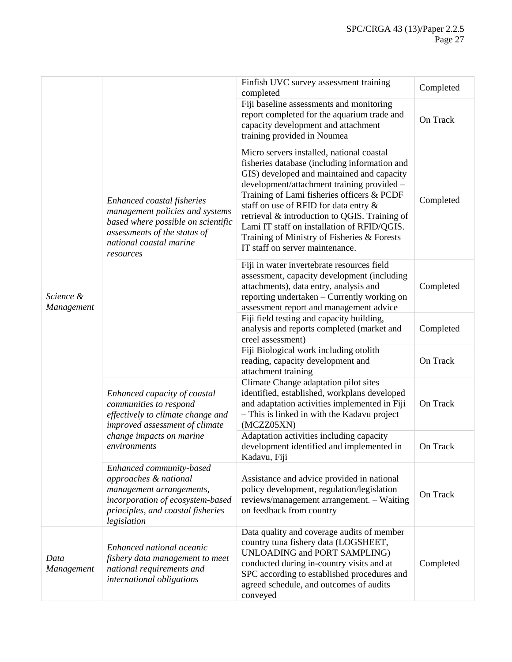| Science &<br>Management | Enhanced coastal fisheries<br>management policies and systems<br>based where possible on scientific<br>assessments of the status of<br>national coastal marine<br>resources | Finfish UVC survey assessment training<br>completed                                                                                                                                                                                                                                                                                                                                                                                                             | Completed |
|-------------------------|-----------------------------------------------------------------------------------------------------------------------------------------------------------------------------|-----------------------------------------------------------------------------------------------------------------------------------------------------------------------------------------------------------------------------------------------------------------------------------------------------------------------------------------------------------------------------------------------------------------------------------------------------------------|-----------|
|                         |                                                                                                                                                                             | Fiji baseline assessments and monitoring<br>report completed for the aquarium trade and<br>capacity development and attachment<br>training provided in Noumea                                                                                                                                                                                                                                                                                                   | On Track  |
|                         |                                                                                                                                                                             | Micro servers installed, national coastal<br>fisheries database (including information and<br>GIS) developed and maintained and capacity<br>development/attachment training provided -<br>Training of Lami fisheries officers & PCDF<br>staff on use of RFID for data entry &<br>retrieval & introduction to QGIS. Training of<br>Lami IT staff on installation of RFID/QGIS.<br>Training of Ministry of Fisheries & Forests<br>IT staff on server maintenance. | Completed |
|                         |                                                                                                                                                                             | Fiji in water invertebrate resources field<br>assessment, capacity development (including<br>attachments), data entry, analysis and<br>reporting undertaken - Currently working on<br>assessment report and management advice                                                                                                                                                                                                                                   | Completed |
|                         |                                                                                                                                                                             | Fiji field testing and capacity building,<br>analysis and reports completed (market and<br>creel assessment)                                                                                                                                                                                                                                                                                                                                                    | Completed |
|                         |                                                                                                                                                                             | Fiji Biological work including otolith<br>reading, capacity development and<br>attachment training                                                                                                                                                                                                                                                                                                                                                              | On Track  |
|                         | Enhanced capacity of coastal<br>communities to respond<br>effectively to climate change and<br>improved assessment of climate<br>change impacts on marine<br>environments   | Climate Change adaptation pilot sites<br>identified, established, workplans developed<br>and adaptation activities implemented in Fiji<br>- This is linked in with the Kadavu project<br>(MCZZ05XN)                                                                                                                                                                                                                                                             | On Track  |
|                         |                                                                                                                                                                             | Adaptation activities including capacity<br>development identified and implemented in<br>Kadavu, Fiji                                                                                                                                                                                                                                                                                                                                                           | On Track  |
|                         | Enhanced community-based<br>approaches & national<br>management arrangements,<br>incorporation of ecosystem-based<br>principles, and coastal fisheries<br>legislation       | Assistance and advice provided in national<br>policy development, regulation/legislation<br>reviews/management arrangement. - Waiting<br>on feedback from country                                                                                                                                                                                                                                                                                               | On Track  |
| Data<br>Management      | Enhanced national oceanic<br>fishery data management to meet<br>national requirements and<br>international obligations                                                      | Data quality and coverage audits of member<br>country tuna fishery data (LOGSHEET,<br><b>UNLOADING and PORT SAMPLING)</b><br>conducted during in-country visits and at<br>SPC according to established procedures and<br>agreed schedule, and outcomes of audits<br>conveyed                                                                                                                                                                                    | Completed |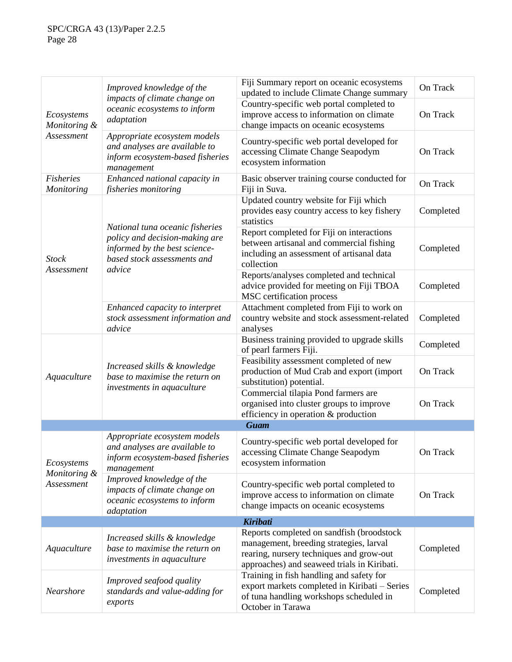| Ecosystems<br>Monitoring &               | Improved knowledge of the<br>impacts of climate change on<br>oceanic ecosystems to inform<br>adaptation         | Fiji Summary report on oceanic ecosystems<br>updated to include Climate Change summary                                                                                          | On Track  |
|------------------------------------------|-----------------------------------------------------------------------------------------------------------------|---------------------------------------------------------------------------------------------------------------------------------------------------------------------------------|-----------|
|                                          |                                                                                                                 | Country-specific web portal completed to<br>improve access to information on climate<br>change impacts on oceanic ecosystems                                                    | On Track  |
| Assessment                               | Appropriate ecosystem models<br>and analyses are available to<br>inform ecosystem-based fisheries<br>management | Country-specific web portal developed for<br>accessing Climate Change Seapodym<br>ecosystem information                                                                         | On Track  |
| <b>Fisheries</b><br>Monitoring           | Enhanced national capacity in<br>fisheries monitoring                                                           | Basic observer training course conducted for<br>Fiji in Suva.                                                                                                                   | On Track  |
|                                          | National tuna oceanic fisheries                                                                                 | Updated country website for Fiji which<br>provides easy country access to key fishery<br>statistics                                                                             | Completed |
| <b>Stock</b>                             | policy and decision-making are<br>informed by the best science-<br>based stock assessments and                  | Report completed for Fiji on interactions<br>between artisanal and commercial fishing<br>including an assessment of artisanal data<br>collection                                | Completed |
| Assessment                               | advice                                                                                                          | Reports/analyses completed and technical<br>advice provided for meeting on Fiji TBOA<br>MSC certification process                                                               | Completed |
|                                          | Enhanced capacity to interpret<br>stock assessment information and<br>advice                                    | Attachment completed from Fiji to work on<br>country website and stock assessment-related<br>analyses                                                                           | Completed |
|                                          | Increased skills & knowledge<br>base to maximise the return on<br>investments in aquaculture                    | Business training provided to upgrade skills<br>of pearl farmers Fiji.                                                                                                          | Completed |
| Aquaculture                              |                                                                                                                 | Feasibility assessment completed of new<br>production of Mud Crab and export (import<br>substitution) potential.                                                                | On Track  |
|                                          |                                                                                                                 | Commercial tilapia Pond farmers are<br>organised into cluster groups to improve<br>efficiency in operation & production                                                         | On Track  |
|                                          |                                                                                                                 | <b>Guam</b>                                                                                                                                                                     |           |
| Ecosystems<br>Monitoring &<br>Assessment | Appropriate ecosystem models<br>and analyses are available to<br>inform ecosystem-based fisheries<br>management | Country-specific web portal developed for<br>accessing Climate Change Seapodym<br>ecosystem information                                                                         | On Track  |
|                                          | Improved knowledge of the<br>impacts of climate change on<br>oceanic ecosystems to inform<br>adaptation         | Country-specific web portal completed to<br>improve access to information on climate<br>change impacts on oceanic ecosystems                                                    | On Track  |
|                                          |                                                                                                                 | <b>Kiribati</b>                                                                                                                                                                 |           |
| Aquaculture                              | Increased skills & knowledge<br>base to maximise the return on<br>investments in aquaculture                    | Reports completed on sandfish (broodstock<br>management, breeding strategies, larval<br>rearing, nursery techniques and grow-out<br>approaches) and seaweed trials in Kiribati. | Completed |
| Nearshore                                | Improved seafood quality<br>standards and value-adding for<br>exports                                           | Training in fish handling and safety for<br>export markets completed in Kiribati - Series<br>of tuna handling workshops scheduled in<br>October in Tarawa                       | Completed |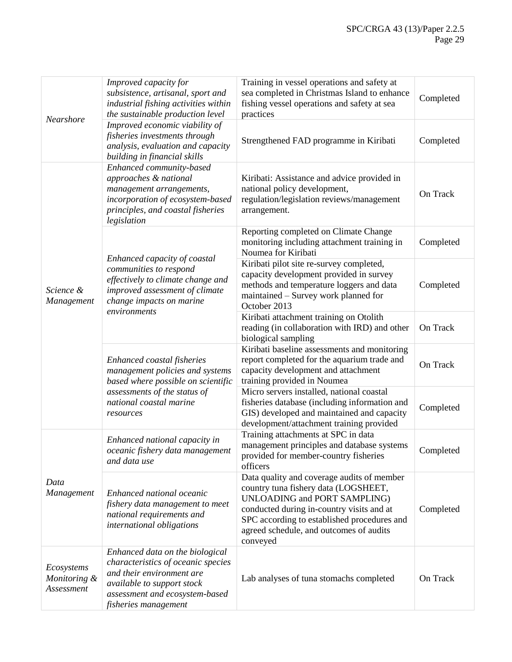| Nearshore                                | Improved capacity for<br>subsistence, artisanal, sport and<br>industrial fishing activities within<br>the sustainable production level                                                     | Training in vessel operations and safety at<br>sea completed in Christmas Island to enhance<br>fishing vessel operations and safety at sea<br>practices                                                                                                                      | Completed |
|------------------------------------------|--------------------------------------------------------------------------------------------------------------------------------------------------------------------------------------------|------------------------------------------------------------------------------------------------------------------------------------------------------------------------------------------------------------------------------------------------------------------------------|-----------|
|                                          | Improved economic viability of<br>fisheries investments through<br>analysis, evaluation and capacity<br>building in financial skills                                                       | Strengthened FAD programme in Kiribati                                                                                                                                                                                                                                       | Completed |
|                                          | Enhanced community-based<br>approaches & national<br>management arrangements,<br>incorporation of ecosystem-based<br>principles, and coastal fisheries<br>legislation                      | Kiribati: Assistance and advice provided in<br>national policy development,<br>regulation/legislation reviews/management<br>arrangement.                                                                                                                                     | On Track  |
|                                          |                                                                                                                                                                                            | Reporting completed on Climate Change<br>monitoring including attachment training in<br>Noumea for Kiribati                                                                                                                                                                  | Completed |
| Science &<br>Management                  | Enhanced capacity of coastal<br>communities to respond<br>effectively to climate change and<br>improved assessment of climate<br>change impacts on marine<br>environments                  | Kiribati pilot site re-survey completed,<br>capacity development provided in survey<br>methods and temperature loggers and data<br>maintained – Survey work planned for<br>October 2013                                                                                      | Completed |
|                                          |                                                                                                                                                                                            | Kiribati attachment training on Otolith<br>reading (in collaboration with IRD) and other<br>biological sampling                                                                                                                                                              | On Track  |
|                                          | Enhanced coastal fisheries<br>management policies and systems<br>based where possible on scientific<br>assessments of the status of<br>national coastal marine<br>resources                | Kiribati baseline assessments and monitoring<br>report completed for the aquarium trade and<br>capacity development and attachment<br>training provided in Noumea                                                                                                            | On Track  |
|                                          |                                                                                                                                                                                            | Micro servers installed, national coastal<br>fisheries database (including information and<br>GIS) developed and maintained and capacity<br>development/attachment training provided                                                                                         | Completed |
| Data<br>Management                       | Enhanced national capacity in<br>oceanic fishery data management<br>and data use                                                                                                           | Training attachments at SPC in data<br>management principles and database systems<br>provided for member-country fisheries<br>officers                                                                                                                                       | Completed |
|                                          | Enhanced national oceanic<br>fishery data management to meet<br>national requirements and<br>international obligations                                                                     | Data quality and coverage audits of member<br>country tuna fishery data (LOGSHEET,<br><b>UNLOADING and PORT SAMPLING)</b><br>conducted during in-country visits and at<br>SPC according to established procedures and<br>agreed schedule, and outcomes of audits<br>conveyed | Completed |
| Ecosystems<br>Monitoring &<br>Assessment | Enhanced data on the biological<br>characteristics of oceanic species<br>and their environment are<br>available to support stock<br>assessment and ecosystem-based<br>fisheries management | Lab analyses of tuna stomachs completed                                                                                                                                                                                                                                      | On Track  |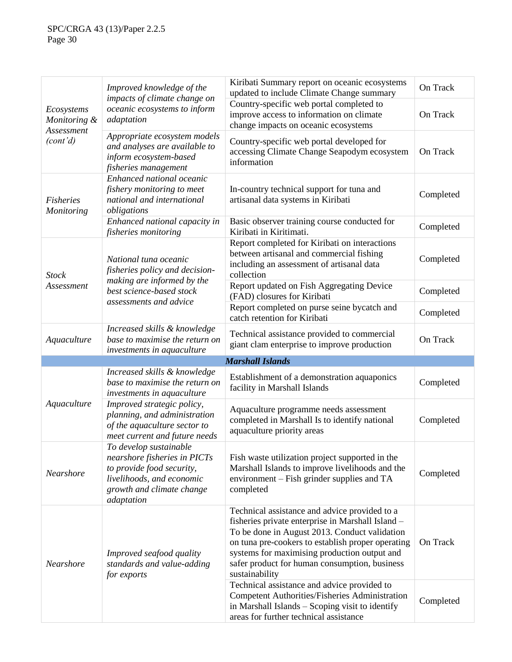| Ecosystems<br>Monitoring &<br>Assessment | Improved knowledge of the<br>impacts of climate change on                                                                                                   | Kiribati Summary report on oceanic ecosystems<br>updated to include Climate Change summary                                                                                                                                                                                                                                                                                 | On Track  |
|------------------------------------------|-------------------------------------------------------------------------------------------------------------------------------------------------------------|----------------------------------------------------------------------------------------------------------------------------------------------------------------------------------------------------------------------------------------------------------------------------------------------------------------------------------------------------------------------------|-----------|
|                                          | oceanic ecosystems to inform<br>adaptation                                                                                                                  | Country-specific web portal completed to<br>improve access to information on climate<br>change impacts on oceanic ecosystems                                                                                                                                                                                                                                               | On Track  |
| (cont'd)                                 | Appropriate ecosystem models<br>and analyses are available to<br>inform ecosystem-based<br>fisheries management                                             | Country-specific web portal developed for<br>accessing Climate Change Seapodym ecosystem<br>information                                                                                                                                                                                                                                                                    | On Track  |
| <b>Fisheries</b><br>Monitoring           | Enhanced national oceanic<br>fishery monitoring to meet<br>national and international<br>obligations                                                        | In-country technical support for tuna and<br>artisanal data systems in Kiribati                                                                                                                                                                                                                                                                                            | Completed |
|                                          | Enhanced national capacity in<br>fisheries monitoring                                                                                                       | Basic observer training course conducted for<br>Kiribati in Kiritimati.                                                                                                                                                                                                                                                                                                    | Completed |
| <b>Stock</b>                             | National tuna oceanic<br>fisheries policy and decision-                                                                                                     | Report completed for Kiribati on interactions<br>between artisanal and commercial fishing<br>including an assessment of artisanal data<br>collection                                                                                                                                                                                                                       | Completed |
| Assessment                               | making are informed by the<br>best science-based stock                                                                                                      | Report updated on Fish Aggregating Device<br>(FAD) closures for Kiribati                                                                                                                                                                                                                                                                                                   | Completed |
|                                          | assessments and advice                                                                                                                                      | Report completed on purse seine bycatch and<br>catch retention for Kiribati                                                                                                                                                                                                                                                                                                | Completed |
| Aquaculture                              | Increased skills & knowledge<br>base to maximise the return on                                                                                              | Technical assistance provided to commercial<br>giant clam enterprise to improve production                                                                                                                                                                                                                                                                                 | On Track  |
|                                          | investments in aquaculture                                                                                                                                  |                                                                                                                                                                                                                                                                                                                                                                            |           |
|                                          |                                                                                                                                                             | <b>Marshall Islands</b>                                                                                                                                                                                                                                                                                                                                                    |           |
|                                          | Increased skills & knowledge<br>base to maximise the return on<br>investments in aquaculture                                                                | Establishment of a demonstration aquaponics<br>facility in Marshall Islands                                                                                                                                                                                                                                                                                                | Completed |
| Aquaculture                              | Improved strategic policy,<br>planning, and administration<br>of the aquaculture sector to<br>meet current and future needs                                 | Aquaculture programme needs assessment<br>completed in Marshall Is to identify national<br>aquaculture priority areas                                                                                                                                                                                                                                                      | Completed |
| Nearshore                                | To develop sustainable<br>nearshore fisheries in PICTs<br>to provide food security,<br>livelihoods, and economic<br>growth and climate change<br>adaptation | Fish waste utilization project supported in the<br>Marshall Islands to improve livelihoods and the<br>environment – Fish grinder supplies and TA<br>completed                                                                                                                                                                                                              | Completed |
| Nearshore                                | Improved seafood quality<br>standards and value-adding<br>for exports                                                                                       | Technical assistance and advice provided to a<br>fisheries private enterprise in Marshall Island -<br>To be done in August 2013. Conduct validation<br>on tuna pre-cookers to establish proper operating<br>systems for maximising production output and<br>safer product for human consumption, business<br>sustainability<br>Technical assistance and advice provided to | On Track  |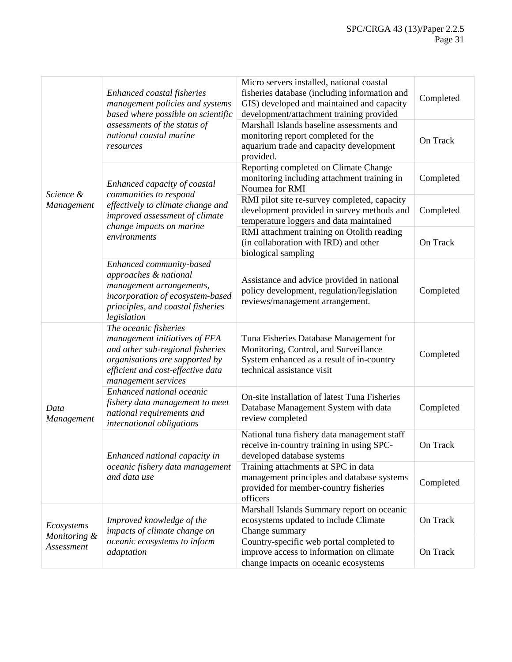|                                          | Enhanced coastal fisheries<br>management policies and systems<br>based where possible on scientific                                                                                      | Micro servers installed, national coastal<br>fisheries database (including information and<br>GIS) developed and maintained and capacity<br>development/attachment training provided | Completed |
|------------------------------------------|------------------------------------------------------------------------------------------------------------------------------------------------------------------------------------------|--------------------------------------------------------------------------------------------------------------------------------------------------------------------------------------|-----------|
|                                          | assessments of the status of<br>national coastal marine<br>resources                                                                                                                     | Marshall Islands baseline assessments and<br>monitoring report completed for the<br>aquarium trade and capacity development<br>provided.                                             | On Track  |
| Science &                                | Enhanced capacity of coastal<br>communities to respond                                                                                                                                   | Reporting completed on Climate Change<br>monitoring including attachment training in<br>Noumea for RMI                                                                               | Completed |
| Management                               | effectively to climate change and<br>improved assessment of climate                                                                                                                      | RMI pilot site re-survey completed, capacity<br>development provided in survey methods and<br>temperature loggers and data maintained                                                | Completed |
|                                          | change impacts on marine<br>environments                                                                                                                                                 | RMI attachment training on Otolith reading<br>(in collaboration with IRD) and other<br>biological sampling                                                                           | On Track  |
|                                          | Enhanced community-based<br>approaches & national<br>management arrangements,<br>incorporation of ecosystem-based<br>principles, and coastal fisheries<br>legislation                    | Assistance and advice provided in national<br>policy development, regulation/legislation<br>reviews/management arrangement.                                                          | Completed |
|                                          | The oceanic fisheries<br>management initiatives of FFA<br>and other sub-regional fisheries<br>organisations are supported by<br>efficient and cost-effective data<br>management services | Tuna Fisheries Database Management for<br>Monitoring, Control, and Surveillance<br>System enhanced as a result of in-country<br>technical assistance visit                           | Completed |
| Data<br>Management                       | Enhanced national oceanic<br>fishery data management to meet<br>national requirements and<br>international obligations                                                                   | On-site installation of latest Tuna Fisheries<br>Database Management System with data<br>review completed                                                                            | Completed |
|                                          | Enhanced national capacity in<br>oceanic fishery data management<br>and data use                                                                                                         | National tuna fishery data management staff<br>receive in-country training in using SPC-<br>developed database systems                                                               | On Track  |
|                                          |                                                                                                                                                                                          | Training attachments at SPC in data<br>management principles and database systems<br>provided for member-country fisheries<br>officers                                               | Completed |
| Ecosystems<br>Monitoring &<br>Assessment | Improved knowledge of the<br>impacts of climate change on                                                                                                                                | Marshall Islands Summary report on oceanic<br>ecosystems updated to include Climate<br>Change summary                                                                                | On Track  |
|                                          | oceanic ecosystems to inform<br>adaptation                                                                                                                                               | Country-specific web portal completed to<br>improve access to information on climate<br>change impacts on oceanic ecosystems                                                         | On Track  |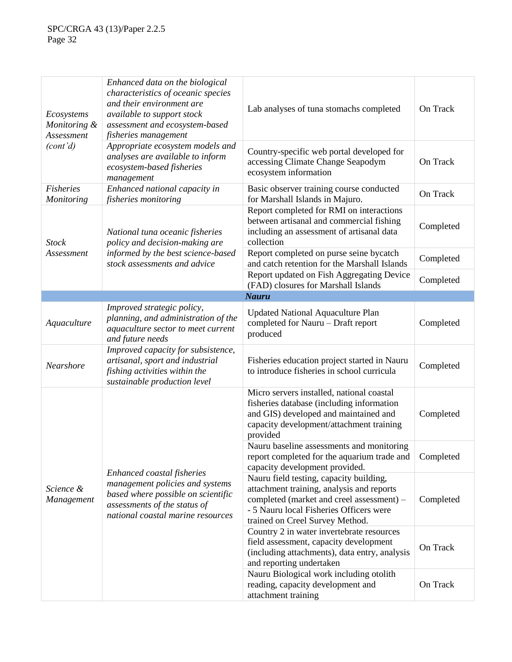| Ecosystems<br>Monitoring &<br>Assessment | Enhanced data on the biological<br>characteristics of oceanic species<br>and their environment are<br>available to support stock<br>assessment and ecosystem-based<br>fisheries management | Lab analyses of tuna stomachs completed                                                                                                                                                                         | On Track  |
|------------------------------------------|--------------------------------------------------------------------------------------------------------------------------------------------------------------------------------------------|-----------------------------------------------------------------------------------------------------------------------------------------------------------------------------------------------------------------|-----------|
| (cont'd)                                 | Appropriate ecosystem models and<br>analyses are available to inform<br>ecosystem-based fisheries<br>management                                                                            | Country-specific web portal developed for<br>accessing Climate Change Seapodym<br>ecosystem information                                                                                                         | On Track  |
| <b>Fisheries</b><br><b>Monitoring</b>    | Enhanced national capacity in<br>fisheries monitoring                                                                                                                                      | Basic observer training course conducted<br>for Marshall Islands in Majuro.                                                                                                                                     | On Track  |
| <b>Stock</b>                             | National tuna oceanic fisheries<br>policy and decision-making are                                                                                                                          | Report completed for RMI on interactions<br>between artisanal and commercial fishing<br>including an assessment of artisanal data<br>collection                                                                 | Completed |
| Assessment                               | informed by the best science-based<br>stock assessments and advice                                                                                                                         | Report completed on purse seine bycatch<br>and catch retention for the Marshall Islands                                                                                                                         | Completed |
|                                          |                                                                                                                                                                                            | Report updated on Fish Aggregating Device<br>(FAD) closures for Marshall Islands                                                                                                                                | Completed |
|                                          |                                                                                                                                                                                            | <b>Nauru</b>                                                                                                                                                                                                    |           |
| Aquaculture                              | Improved strategic policy,<br>planning, and administration of the<br>aquaculture sector to meet current<br>and future needs                                                                | <b>Updated National Aquaculture Plan</b><br>completed for Nauru - Draft report<br>produced                                                                                                                      | Completed |
| Nearshore                                | Improved capacity for subsistence,<br>artisanal, sport and industrial<br>fishing activities within the<br>sustainable production level                                                     | Fisheries education project started in Nauru<br>to introduce fisheries in school curricula                                                                                                                      | Completed |
|                                          | Enhanced coastal fisheries<br>management policies and systems<br>based where possible on scientific<br>assessments of the status of<br>national coastal marine resources                   | Micro servers installed, national coastal<br>fisheries database (including information<br>and GIS) developed and maintained and<br>capacity development/attachment training<br>provided                         | Completed |
|                                          |                                                                                                                                                                                            | Nauru baseline assessments and monitoring<br>report completed for the aquarium trade and<br>capacity development provided.                                                                                      | Completed |
| Science &<br>Management                  |                                                                                                                                                                                            | Nauru field testing, capacity building,<br>attachment training, analysis and reports<br>completed (market and creel assessment) -<br>- 5 Nauru local Fisheries Officers were<br>trained on Creel Survey Method. | Completed |
|                                          |                                                                                                                                                                                            | Country 2 in water invertebrate resources<br>field assessment, capacity development<br>(including attachments), data entry, analysis<br>and reporting undertaken                                                | On Track  |
|                                          |                                                                                                                                                                                            | Nauru Biological work including otolith<br>reading, capacity development and<br>attachment training                                                                                                             | On Track  |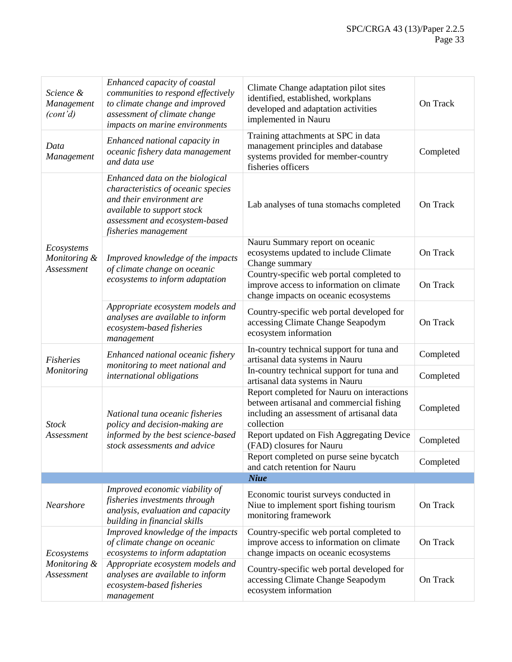| Science &<br>Management<br>(cont'd) | Enhanced capacity of coastal<br>communities to respond effectively<br>to climate change and improved<br>assessment of climate change<br>impacts on marine environments                     | Climate Change adaptation pilot sites<br>identified, established, workplans<br>developed and adaptation activities<br>implemented in Nauru        | On Track  |
|-------------------------------------|--------------------------------------------------------------------------------------------------------------------------------------------------------------------------------------------|---------------------------------------------------------------------------------------------------------------------------------------------------|-----------|
| Data<br>Management                  | Enhanced national capacity in<br>oceanic fishery data management<br>and data use                                                                                                           | Training attachments at SPC in data<br>management principles and database<br>systems provided for member-country<br>fisheries officers            | Completed |
|                                     | Enhanced data on the biological<br>characteristics of oceanic species<br>and their environment are<br>available to support stock<br>assessment and ecosystem-based<br>fisheries management | Lab analyses of tuna stomachs completed                                                                                                           | On Track  |
| Ecosystems<br>Monitoring &          | Improved knowledge of the impacts                                                                                                                                                          | Nauru Summary report on oceanic<br>ecosystems updated to include Climate<br>Change summary                                                        | On Track  |
| Assessment                          | of climate change on oceanic<br>ecosystems to inform adaptation                                                                                                                            | Country-specific web portal completed to<br>improve access to information on climate<br>change impacts on oceanic ecosystems                      | On Track  |
|                                     | Appropriate ecosystem models and<br>analyses are available to inform<br>ecosystem-based fisheries<br>management                                                                            | Country-specific web portal developed for<br>accessing Climate Change Seapodym<br>ecosystem information                                           | On Track  |
| <b>Fisheries</b>                    | Enhanced national oceanic fishery<br>monitoring to meet national and<br>international obligations                                                                                          | In-country technical support for tuna and<br>artisanal data systems in Nauru                                                                      | Completed |
| Monitoring                          |                                                                                                                                                                                            | In-country technical support for tuna and<br>artisanal data systems in Nauru                                                                      | Completed |
| <b>Stock</b>                        | National tuna oceanic fisheries<br>policy and decision-making are<br>informed by the best science-based<br>stock assessments and advice                                                    | Report completed for Nauru on interactions<br>between artisanal and commercial fishing<br>including an assessment of artisanal data<br>collection | Completed |
| Assessment                          |                                                                                                                                                                                            | Report updated on Fish Aggregating Device<br>(FAD) closures for Nauru                                                                             | Completed |
|                                     |                                                                                                                                                                                            | Report completed on purse seine bycatch<br>and catch retention for Nauru                                                                          | Completed |
|                                     |                                                                                                                                                                                            | <b>Niue</b>                                                                                                                                       |           |
| Nearshore                           | Improved economic viability of<br>fisheries investments through<br>analysis, evaluation and capacity<br>building in financial skills                                                       | Economic tourist surveys conducted in<br>Niue to implement sport fishing tourism<br>monitoring framework                                          | On Track  |
| Ecosystems                          | Improved knowledge of the impacts<br>of climate change on oceanic<br>ecosystems to inform adaptation                                                                                       | Country-specific web portal completed to<br>improve access to information on climate<br>change impacts on oceanic ecosystems                      | On Track  |
| Monitoring &<br>Assessment          | Appropriate ecosystem models and<br>analyses are available to inform<br>ecosystem-based fisheries<br>management                                                                            | Country-specific web portal developed for<br>accessing Climate Change Seapodym<br>ecosystem information                                           | On Track  |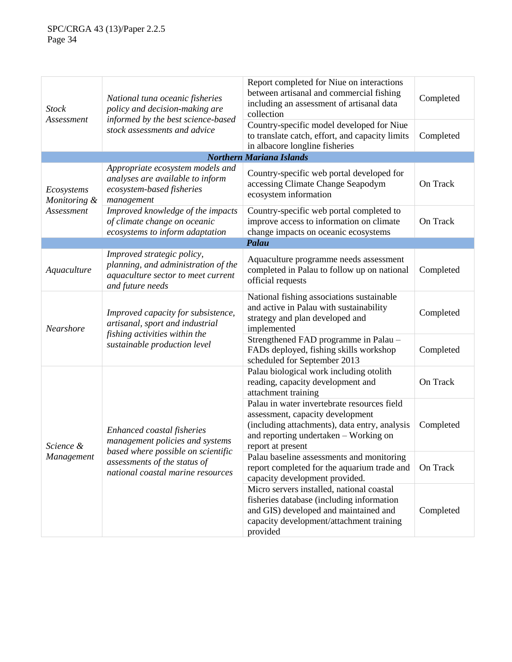| <b>Stock</b>               | National tuna oceanic fisheries<br>policy and decision-making are                                                                      | Report completed for Niue on interactions<br>between artisanal and commercial fishing<br>including an assessment of artisanal data<br>collection                                               | Completed |
|----------------------------|----------------------------------------------------------------------------------------------------------------------------------------|------------------------------------------------------------------------------------------------------------------------------------------------------------------------------------------------|-----------|
| Assessment                 | informed by the best science-based<br>stock assessments and advice                                                                     | Country-specific model developed for Niue<br>to translate catch, effort, and capacity limits<br>in albacore longline fisheries                                                                 | Completed |
|                            |                                                                                                                                        | <b>Northern Mariana Islands</b>                                                                                                                                                                |           |
| Ecosystems<br>Monitoring & | Appropriate ecosystem models and<br>analyses are available to inform<br>ecosystem-based fisheries<br>management                        | Country-specific web portal developed for<br>accessing Climate Change Seapodym<br>ecosystem information                                                                                        | On Track  |
| Assessment                 | Improved knowledge of the impacts<br>of climate change on oceanic<br>ecosystems to inform adaptation                                   | Country-specific web portal completed to<br>improve access to information on climate<br>change impacts on oceanic ecosystems                                                                   | On Track  |
|                            |                                                                                                                                        | Palau                                                                                                                                                                                          |           |
| Aquaculture                | Improved strategic policy,<br>planning, and administration of the<br>aquaculture sector to meet current<br>and future needs            | Aquaculture programme needs assessment<br>completed in Palau to follow up on national<br>official requests                                                                                     | Completed |
| Nearshore                  | Improved capacity for subsistence,<br>artisanal, sport and industrial<br>fishing activities within the<br>sustainable production level | National fishing associations sustainable<br>and active in Palau with sustainability<br>strategy and plan developed and<br>implemented                                                         | Completed |
|                            |                                                                                                                                        | Strengthened FAD programme in Palau -<br>FADs deployed, fishing skills workshop<br>scheduled for September 2013                                                                                | Completed |
| Science &<br>Management    | Enhanced coastal fisheries<br>management policies and systems<br>based where possible on scientific                                    | Palau biological work including otolith<br>reading, capacity development and<br>attachment training                                                                                            | On Track  |
|                            |                                                                                                                                        | Palau in water invertebrate resources field<br>assessment, capacity development<br>(including attachments), data entry, analysis<br>and reporting undertaken - Working on<br>report at present | Completed |
|                            | assessments of the status of<br>national coastal marine resources                                                                      | Palau baseline assessments and monitoring<br>report completed for the aquarium trade and<br>capacity development provided.                                                                     | On Track  |
|                            |                                                                                                                                        | Micro servers installed, national coastal<br>fisheries database (including information<br>and GIS) developed and maintained and<br>capacity development/attachment training<br>provided        | Completed |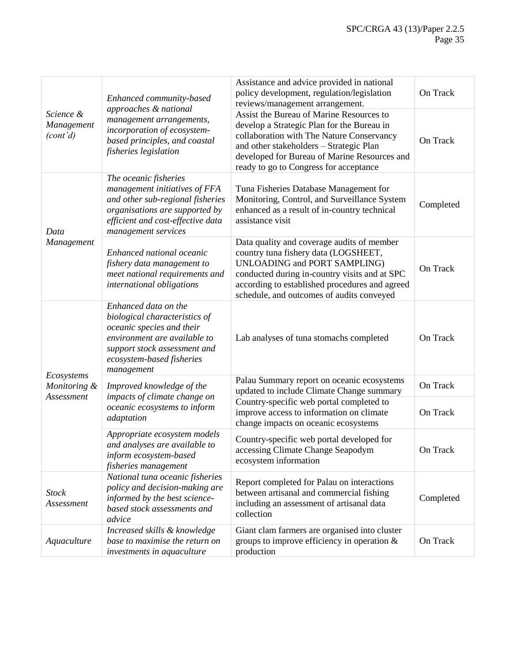| Science &<br>Management<br>(cont'd) | Enhanced community-based<br>approaches & national<br>management arrangements,<br>incorporation of ecosystem-<br>based principles, and coastal<br>fisheries legislation                        | Assistance and advice provided in national<br>policy development, regulation/legislation<br>reviews/management arrangement.                                                                                                                                               | On Track  |
|-------------------------------------|-----------------------------------------------------------------------------------------------------------------------------------------------------------------------------------------------|---------------------------------------------------------------------------------------------------------------------------------------------------------------------------------------------------------------------------------------------------------------------------|-----------|
|                                     |                                                                                                                                                                                               | Assist the Bureau of Marine Resources to<br>develop a Strategic Plan for the Bureau in<br>collaboration with The Nature Conservancy<br>and other stakeholders - Strategic Plan<br>developed for Bureau of Marine Resources and<br>ready to go to Congress for acceptance  | On Track  |
| Data<br>Management                  | The oceanic fisheries<br>management initiatives of FFA<br>and other sub-regional fisheries<br>organisations are supported by<br>efficient and cost-effective data<br>management services      | Tuna Fisheries Database Management for<br>Monitoring, Control, and Surveillance System<br>enhanced as a result of in-country technical<br>assistance visit                                                                                                                | Completed |
|                                     | Enhanced national oceanic<br>fishery data management to<br>meet national requirements and<br>international obligations                                                                        | Data quality and coverage audits of member<br>country tuna fishery data (LOGSHEET,<br><b>UNLOADING and PORT SAMPLING)</b><br>conducted during in-country visits and at SPC<br>according to established procedures and agreed<br>schedule, and outcomes of audits conveyed | On Track  |
|                                     | Enhanced data on the<br>biological characteristics of<br>oceanic species and their<br>environment are available to<br>support stock assessment and<br>ecosystem-based fisheries<br>management | Lab analyses of tuna stomachs completed                                                                                                                                                                                                                                   | On Track  |
| Ecosystems<br>Monitoring &          | Improved knowledge of the                                                                                                                                                                     | Palau Summary report on oceanic ecosystems<br>updated to include Climate Change summary                                                                                                                                                                                   | On Track  |
| Assessment                          | impacts of climate change on<br>oceanic ecosystems to inform<br>adaptation                                                                                                                    | Country-specific web portal completed to<br>improve access to information on climate<br>change impacts on oceanic ecosystems                                                                                                                                              | On Track  |
|                                     | Appropriate ecosystem models<br>and analyses are available to<br>inform ecosystem-based<br>fisheries management                                                                               | Country-specific web portal developed for<br>accessing Climate Change Seapodym<br>ecosystem information                                                                                                                                                                   | On Track  |
| <b>Stock</b><br>Assessment          | National tuna oceanic fisheries<br>policy and decision-making are<br>informed by the best science-<br>based stock assessments and<br>advice                                                   | Report completed for Palau on interactions<br>between artisanal and commercial fishing<br>including an assessment of artisanal data<br>collection                                                                                                                         | Completed |
| Aquaculture                         | Increased skills & knowledge<br>base to maximise the return on<br>investments in aquaculture                                                                                                  | Giant clam farmers are organised into cluster<br>groups to improve efficiency in operation $\&$<br>production                                                                                                                                                             | On Track  |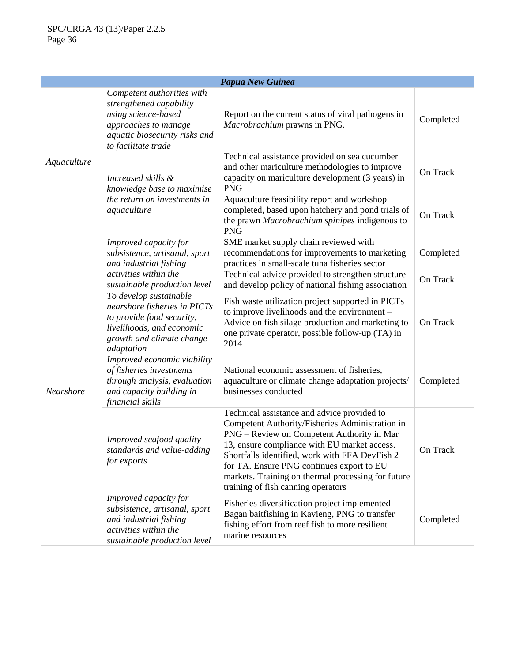| Papua New Guinea |                                                                                                                                                              |                                                                                                                                                                                                                                                                                                                                                                                         |           |
|------------------|--------------------------------------------------------------------------------------------------------------------------------------------------------------|-----------------------------------------------------------------------------------------------------------------------------------------------------------------------------------------------------------------------------------------------------------------------------------------------------------------------------------------------------------------------------------------|-----------|
| Aquaculture      | Competent authorities with<br>strengthened capability<br>using science-based<br>approaches to manage<br>aquatic biosecurity risks and<br>to facilitate trade | Report on the current status of viral pathogens in<br>Macrobrachium prawns in PNG.                                                                                                                                                                                                                                                                                                      | Completed |
|                  | Increased skills &<br>knowledge base to maximise                                                                                                             | Technical assistance provided on sea cucumber<br>and other mariculture methodologies to improve<br>capacity on mariculture development (3 years) in<br><b>PNG</b>                                                                                                                                                                                                                       | On Track  |
|                  | the return on investments in<br>aquaculture                                                                                                                  | Aquaculture feasibility report and workshop<br>completed, based upon hatchery and pond trials of<br>the prawn Macrobrachium spinipes indigenous to<br><b>PNG</b>                                                                                                                                                                                                                        | On Track  |
|                  | Improved capacity for<br>subsistence, artisanal, sport<br>and industrial fishing                                                                             | SME market supply chain reviewed with<br>recommendations for improvements to marketing<br>practices in small-scale tuna fisheries sector                                                                                                                                                                                                                                                | Completed |
|                  | activities within the<br>sustainable production level                                                                                                        | Technical advice provided to strengthen structure<br>and develop policy of national fishing association                                                                                                                                                                                                                                                                                 | On Track  |
| Nearshore        | To develop sustainable<br>nearshore fisheries in PICTs<br>to provide food security,<br>livelihoods, and economic<br>growth and climate change<br>adaptation  | Fish waste utilization project supported in PICTs<br>to improve livelihoods and the environment -<br>Advice on fish silage production and marketing to<br>one private operator, possible follow-up (TA) in<br>2014                                                                                                                                                                      | On Track  |
|                  | Improved economic viability<br>of fisheries investments<br>through analysis, evaluation<br>and capacity building in<br>financial skills                      | National economic assessment of fisheries,<br>aquaculture or climate change adaptation projects/<br>businesses conducted                                                                                                                                                                                                                                                                | Completed |
|                  | Improved seafood quality<br>standards and value-adding<br>for exports                                                                                        | Technical assistance and advice provided to<br>Competent Authority/Fisheries Administration in<br>PNG – Review on Competent Authority in Mar<br>13, ensure compliance with EU market access.<br>Shortfalls identified, work with FFA DevFish 2<br>for TA. Ensure PNG continues export to EU<br>markets. Training on thermal processing for future<br>training of fish canning operators | On Track  |
|                  | Improved capacity for<br>subsistence, artisanal, sport<br>and industrial fishing<br>activities within the<br>sustainable production level                    | Fisheries diversification project implemented -<br>Bagan baitfishing in Kavieng, PNG to transfer<br>fishing effort from reef fish to more resilient<br>marine resources                                                                                                                                                                                                                 | Completed |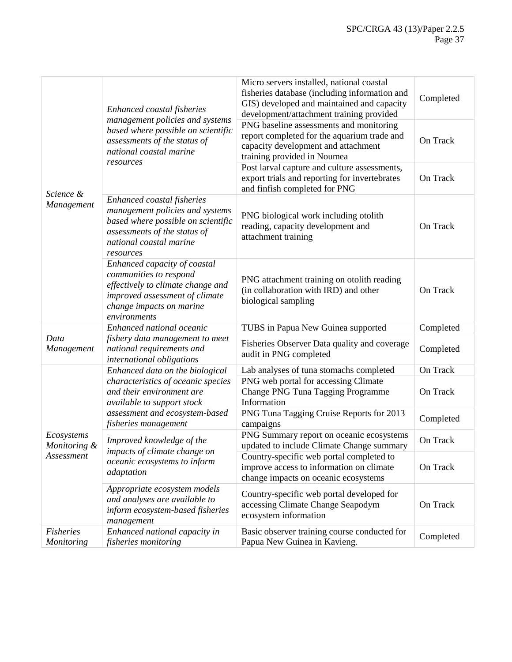|                            | Enhanced coastal fisheries<br>management policies and systems<br>based where possible on scientific<br>assessments of the status of<br>national coastal marine              | Micro servers installed, national coastal<br>fisheries database (including information and<br>GIS) developed and maintained and capacity<br>development/attachment training provided | Completed |
|----------------------------|-----------------------------------------------------------------------------------------------------------------------------------------------------------------------------|--------------------------------------------------------------------------------------------------------------------------------------------------------------------------------------|-----------|
|                            |                                                                                                                                                                             | PNG baseline assessments and monitoring<br>report completed for the aquarium trade and<br>capacity development and attachment<br>training provided in Noumea                         | On Track  |
|                            | resources                                                                                                                                                                   | Post larval capture and culture assessments,<br>export trials and reporting for invertebrates<br>and finfish completed for PNG                                                       | On Track  |
| Science &<br>Management    | Enhanced coastal fisheries<br>management policies and systems<br>based where possible on scientific<br>assessments of the status of<br>national coastal marine<br>resources | PNG biological work including otolith<br>reading, capacity development and<br>attachment training                                                                                    | On Track  |
|                            | Enhanced capacity of coastal<br>communities to respond<br>effectively to climate change and<br>improved assessment of climate<br>change impacts on marine<br>environments   | PNG attachment training on otolith reading<br>(in collaboration with IRD) and other<br>biological sampling                                                                           | On Track  |
|                            | Enhanced national oceanic                                                                                                                                                   | TUBS in Papua New Guinea supported                                                                                                                                                   | Completed |
| Data<br>Management         | fishery data management to meet<br>national requirements and<br>international obligations                                                                                   | Fisheries Observer Data quality and coverage<br>audit in PNG completed                                                                                                               | Completed |
|                            | Enhanced data on the biological                                                                                                                                             | Lab analyses of tuna stomachs completed                                                                                                                                              | On Track  |
|                            | characteristics of oceanic species<br>and their environment are<br>available to support stock<br>assessment and ecosystem-based<br>fisheries management                     | PNG web portal for accessing Climate<br>Change PNG Tuna Tagging Programme<br>Information                                                                                             | On Track  |
|                            |                                                                                                                                                                             | PNG Tuna Tagging Cruise Reports for 2013<br>campaigns                                                                                                                                | Completed |
| Ecosystems<br>Monitoring & | Improved knowledge of the<br>impacts of climate change on<br>oceanic ecosystems to inform<br>adaptation                                                                     | PNG Summary report on oceanic ecosystems<br>updated to include Climate Change summary                                                                                                | On Track  |
| Assessment                 |                                                                                                                                                                             | Country-specific web portal completed to<br>improve access to information on climate<br>change impacts on oceanic ecosystems                                                         | On Track  |
|                            | Appropriate ecosystem models<br>and analyses are available to<br>inform ecosystem-based fisheries<br>management                                                             | Country-specific web portal developed for<br>accessing Climate Change Seapodym<br>ecosystem information                                                                              | On Track  |
| Fisheries<br>Monitoring    | Enhanced national capacity in<br>fisheries monitoring                                                                                                                       | Basic observer training course conducted for<br>Papua New Guinea in Kavieng.                                                                                                         | Completed |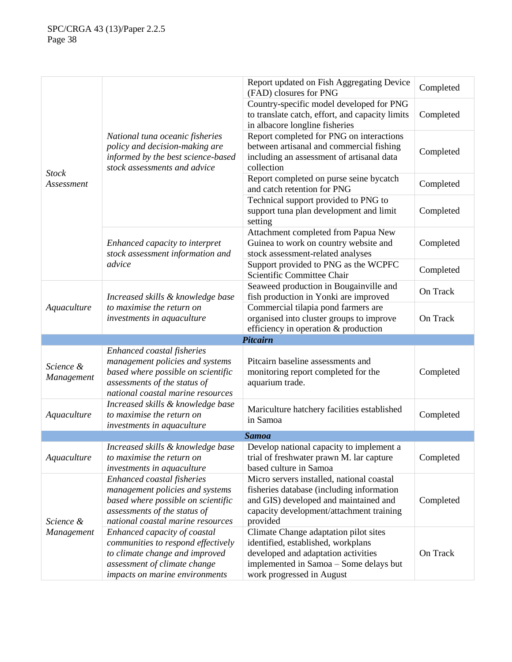|                                   |                                                                                                                                                                          | Report updated on Fish Aggregating Device<br>(FAD) closures for PNG                                                                                                                       | Completed |
|-----------------------------------|--------------------------------------------------------------------------------------------------------------------------------------------------------------------------|-------------------------------------------------------------------------------------------------------------------------------------------------------------------------------------------|-----------|
|                                   | National tuna oceanic fisheries<br>policy and decision-making are<br>informed by the best science-based<br>stock assessments and advice                                  | Country-specific model developed for PNG<br>to translate catch, effort, and capacity limits<br>in albacore longline fisheries                                                             | Completed |
|                                   |                                                                                                                                                                          | Report completed for PNG on interactions<br>between artisanal and commercial fishing<br>including an assessment of artisanal data<br>collection                                           | Completed |
| <b>Stock</b><br><i>Assessment</i> |                                                                                                                                                                          | Report completed on purse seine bycatch<br>and catch retention for PNG                                                                                                                    | Completed |
|                                   |                                                                                                                                                                          | Technical support provided to PNG to<br>support tuna plan development and limit<br>setting                                                                                                | Completed |
|                                   | Enhanced capacity to interpret<br>stock assessment information and                                                                                                       | Attachment completed from Papua New<br>Guinea to work on country website and<br>stock assessment-related analyses                                                                         | Completed |
|                                   | advice                                                                                                                                                                   | Support provided to PNG as the WCPFC<br>Scientific Committee Chair                                                                                                                        | Completed |
|                                   | Increased skills & knowledge base                                                                                                                                        | Seaweed production in Bougainville and<br>fish production in Yonki are improved                                                                                                           | On Track  |
| Aquaculture                       | to maximise the return on<br>investments in aquaculture                                                                                                                  | Commercial tilapia pond farmers are<br>organised into cluster groups to improve<br>efficiency in operation & production                                                                   | On Track  |
|                                   |                                                                                                                                                                          | <b>Pitcairn</b>                                                                                                                                                                           |           |
| Science &<br>Management           | Enhanced coastal fisheries<br>management policies and systems<br>based where possible on scientific<br>assessments of the status of<br>national coastal marine resources | Pitcairn baseline assessments and<br>monitoring report completed for the<br>aquarium trade.                                                                                               | Completed |
| Aquaculture                       | Increased skills & knowledge base<br>to maximise the return on<br>investments in aquaculture                                                                             | Mariculture hatchery facilities established<br>in Samoa                                                                                                                                   | Completed |
|                                   |                                                                                                                                                                          | <b>Samoa</b>                                                                                                                                                                              |           |
| Aquaculture                       | Increased skills & knowledge base<br>to maximise the return on<br>investments in aquaculture                                                                             | Develop national capacity to implement a<br>trial of freshwater prawn M. lar capture<br>based culture in Samoa                                                                            | Completed |
| Science &<br>Management           | Enhanced coastal fisheries<br>management policies and systems<br>based where possible on scientific<br>assessments of the status of<br>national coastal marine resources | Micro servers installed, national coastal<br>fisheries database (including information<br>and GIS) developed and maintained and<br>capacity development/attachment training<br>provided   | Completed |
|                                   | Enhanced capacity of coastal<br>communities to respond effectively<br>to climate change and improved<br>assessment of climate change<br>impacts on marine environments   | Climate Change adaptation pilot sites<br>identified, established, workplans<br>developed and adaptation activities<br>implemented in Samoa - Some delays but<br>work progressed in August | On Track  |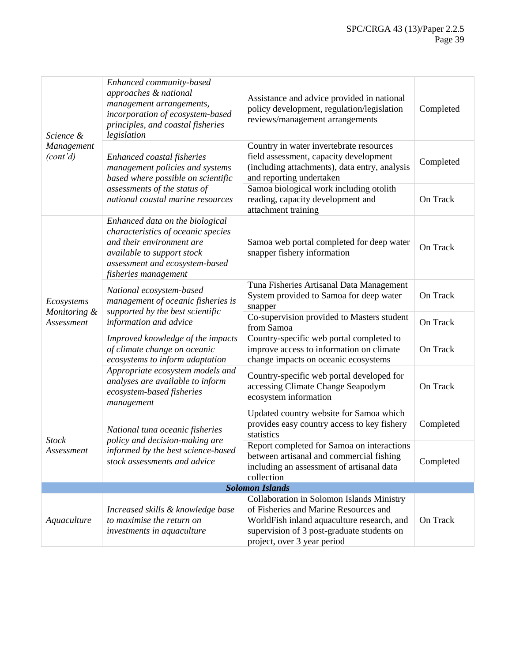| Science &<br>Management<br>(cont'd) | Enhanced community-based<br>approaches & national<br>management arrangements,<br>incorporation of ecosystem-based<br>principles, and coastal fisheries<br>legislation                      | Assistance and advice provided in national<br>policy development, regulation/legislation<br>reviews/management arrangements                                                                                   | Completed |
|-------------------------------------|--------------------------------------------------------------------------------------------------------------------------------------------------------------------------------------------|---------------------------------------------------------------------------------------------------------------------------------------------------------------------------------------------------------------|-----------|
|                                     | Enhanced coastal fisheries<br>management policies and systems<br>based where possible on scientific                                                                                        | Country in water invertebrate resources<br>field assessment, capacity development<br>(including attachments), data entry, analysis<br>and reporting undertaken                                                | Completed |
|                                     | assessments of the status of<br>national coastal marine resources                                                                                                                          | Samoa biological work including otolith<br>reading, capacity development and<br>attachment training                                                                                                           | On Track  |
|                                     | Enhanced data on the biological<br>characteristics of oceanic species<br>and their environment are<br>available to support stock<br>assessment and ecosystem-based<br>fisheries management | Samoa web portal completed for deep water<br>snapper fishery information                                                                                                                                      | On Track  |
| Ecosystems                          | National ecosystem-based<br>management of oceanic fisheries is                                                                                                                             | Tuna Fisheries Artisanal Data Management<br>System provided to Samoa for deep water<br>snapper                                                                                                                | On Track  |
| Monitoring &<br>Assessment          | supported by the best scientific<br>information and advice                                                                                                                                 | Co-supervision provided to Masters student<br>from Samoa                                                                                                                                                      | On Track  |
|                                     | Improved knowledge of the impacts<br>of climate change on oceanic<br>ecosystems to inform adaptation                                                                                       | Country-specific web portal completed to<br>improve access to information on climate<br>change impacts on oceanic ecosystems                                                                                  | On Track  |
|                                     | Appropriate ecosystem models and<br>analyses are available to inform<br>ecosystem-based fisheries<br>management                                                                            | Country-specific web portal developed for<br>accessing Climate Change Seapodym<br>ecosystem information                                                                                                       | On Track  |
|                                     | National tuna oceanic fisheries                                                                                                                                                            | Updated country website for Samoa which<br>provides easy country access to key fishery<br>statistics                                                                                                          | Completed |
| <b>Stock</b><br>Assessment          | policy and decision-making are<br>informed by the best science-based<br>stock assessments and advice                                                                                       | Report completed for Samoa on interactions<br>between artisanal and commercial fishing<br>including an assessment of artisanal data<br>collection                                                             | Completed |
|                                     |                                                                                                                                                                                            | <b>Solomon Islands</b>                                                                                                                                                                                        |           |
| Aquaculture                         | Increased skills & knowledge base<br>to maximise the return on<br>investments in aquaculture                                                                                               | Collaboration in Solomon Islands Ministry<br>of Fisheries and Marine Resources and<br>WorldFish inland aquaculture research, and<br>supervision of 3 post-graduate students on<br>project, over 3 year period | On Track  |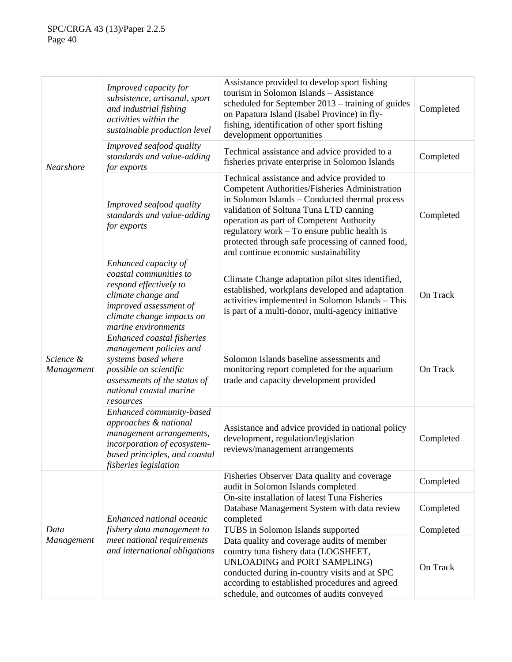|                         | Improved capacity for<br>subsistence, artisanal, sport<br>and industrial fishing<br>activities within the<br>sustainable production level                                      | Assistance provided to develop sport fishing<br>tourism in Solomon Islands - Assistance<br>scheduled for September 2013 – training of guides<br>on Papatura Island (Isabel Province) in fly-<br>fishing, identification of other sport fishing<br>development opportunities                                                                                                               | Completed |
|-------------------------|--------------------------------------------------------------------------------------------------------------------------------------------------------------------------------|-------------------------------------------------------------------------------------------------------------------------------------------------------------------------------------------------------------------------------------------------------------------------------------------------------------------------------------------------------------------------------------------|-----------|
| Nearshore               | Improved seafood quality<br>standards and value-adding<br>for exports                                                                                                          | Technical assistance and advice provided to a<br>fisheries private enterprise in Solomon Islands                                                                                                                                                                                                                                                                                          | Completed |
|                         | Improved seafood quality<br>standards and value-adding<br>for exports                                                                                                          | Technical assistance and advice provided to<br><b>Competent Authorities/Fisheries Administration</b><br>in Solomon Islands - Conducted thermal process<br>validation of Soltuna Tuna LTD canning<br>operation as part of Competent Authority<br>regulatory work - To ensure public health is<br>protected through safe processing of canned food,<br>and continue economic sustainability | Completed |
| Science &<br>Management | Enhanced capacity of<br>coastal communities to<br>respond effectively to<br>climate change and<br>improved assessment of<br>climate change impacts on<br>marine environments   | Climate Change adaptation pilot sites identified,<br>established, workplans developed and adaptation<br>activities implemented in Solomon Islands - This<br>is part of a multi-donor, multi-agency initiative                                                                                                                                                                             | On Track  |
|                         | Enhanced coastal fisheries<br>management policies and<br>systems based where<br>possible on scientific<br>assessments of the status of<br>national coastal marine<br>resources | Solomon Islands baseline assessments and<br>monitoring report completed for the aquarium<br>trade and capacity development provided                                                                                                                                                                                                                                                       | On Track  |
|                         | Enhanced community-based<br>approaches & national<br>management arrangements,<br>incorporation of ecosystem-<br>based principles, and coastal<br>fisheries legislation         | Assistance and advice provided in national policy<br>development, regulation/legislation<br>reviews/management arrangements                                                                                                                                                                                                                                                               | Completed |
|                         |                                                                                                                                                                                | Fisheries Observer Data quality and coverage<br>audit in Solomon Islands completed                                                                                                                                                                                                                                                                                                        | Completed |
|                         | Enhanced national oceanic                                                                                                                                                      | On-site installation of latest Tuna Fisheries<br>Database Management System with data review<br>completed                                                                                                                                                                                                                                                                                 | Completed |
| Data                    | fishery data management to                                                                                                                                                     | TUBS in Solomon Islands supported                                                                                                                                                                                                                                                                                                                                                         | Completed |
| Management              | meet national requirements<br>and international obligations                                                                                                                    | Data quality and coverage audits of member<br>country tuna fishery data (LOGSHEET,<br>UNLOADING and PORT SAMPLING)<br>conducted during in-country visits and at SPC<br>according to established procedures and agreed<br>schedule, and outcomes of audits conveyed                                                                                                                        | On Track  |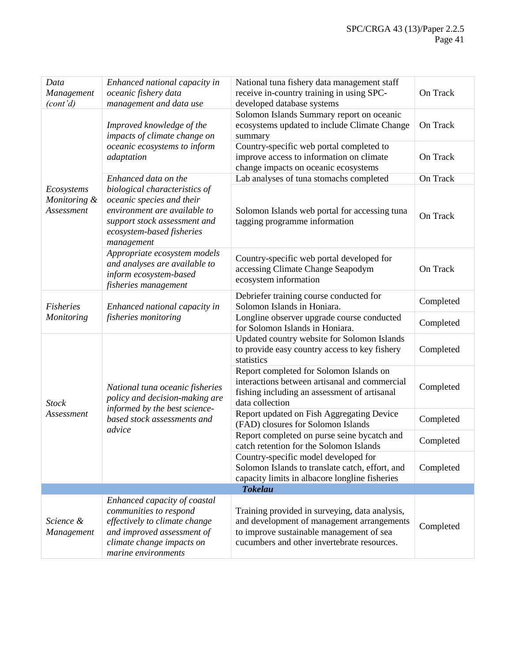| Data<br>Management<br>(cont'd)           | Enhanced national capacity in<br>oceanic fishery data<br>management and data use                                                                                          | National tuna fishery data management staff<br>receive in-country training in using SPC-<br>developed database systems                                                                  |           |  |  |
|------------------------------------------|---------------------------------------------------------------------------------------------------------------------------------------------------------------------------|-----------------------------------------------------------------------------------------------------------------------------------------------------------------------------------------|-----------|--|--|
|                                          | Improved knowledge of the<br>impacts of climate change on                                                                                                                 | Solomon Islands Summary report on oceanic<br>ecosystems updated to include Climate Change<br>summary                                                                                    | On Track  |  |  |
|                                          | oceanic ecosystems to inform<br>adaptation                                                                                                                                | Country-specific web portal completed to<br>improve access to information on climate<br>change impacts on oceanic ecosystems                                                            | On Track  |  |  |
|                                          | Enhanced data on the                                                                                                                                                      | Lab analyses of tuna stomachs completed                                                                                                                                                 | On Track  |  |  |
| Ecosystems<br>Monitoring &<br>Assessment | biological characteristics of<br>oceanic species and their<br>environment are available to<br>support stock assessment and<br>ecosystem-based fisheries<br>management     | Solomon Islands web portal for accessing tuna<br>tagging programme information                                                                                                          | On Track  |  |  |
|                                          | Appropriate ecosystem models<br>and analyses are available to<br>inform ecosystem-based<br>fisheries management                                                           | Country-specific web portal developed for<br>accessing Climate Change Seapodym<br>ecosystem information                                                                                 | On Track  |  |  |
| <b>Fisheries</b>                         | Enhanced national capacity in<br>fisheries monitoring                                                                                                                     | Debriefer training course conducted for<br>Solomon Islands in Honiara.                                                                                                                  | Completed |  |  |
| Monitoring                               |                                                                                                                                                                           | Longline observer upgrade course conducted<br>for Solomon Islands in Honiara.                                                                                                           | Completed |  |  |
|                                          | National tuna oceanic fisheries<br>policy and decision-making are<br>informed by the best science-<br>based stock assessments and                                         | Updated country website for Solomon Islands<br>to provide easy country access to key fishery<br>statistics                                                                              | Completed |  |  |
| <b>Stock</b>                             |                                                                                                                                                                           | Report completed for Solomon Islands on<br>interactions between artisanal and commercial<br>fishing including an assessment of artisanal<br>data collection                             | Completed |  |  |
| Assessment                               |                                                                                                                                                                           | Report updated on Fish Aggregating Device<br>(FAD) closures for Solomon Islands                                                                                                         | Completed |  |  |
|                                          | advice                                                                                                                                                                    | Report completed on purse seine bycatch and<br>catch retention for the Solomon Islands                                                                                                  | Completed |  |  |
|                                          |                                                                                                                                                                           | Country-specific model developed for<br>Solomon Islands to translate catch, effort, and<br>capacity limits in albacore longline fisheries                                               | Completed |  |  |
|                                          |                                                                                                                                                                           | <b>Tokelau</b>                                                                                                                                                                          |           |  |  |
| Science &<br>Management                  | Enhanced capacity of coastal<br>communities to respond<br>effectively to climate change<br>and improved assessment of<br>climate change impacts on<br>marine environments | Training provided in surveying, data analysis,<br>and development of management arrangements<br>to improve sustainable management of sea<br>cucumbers and other invertebrate resources. | Completed |  |  |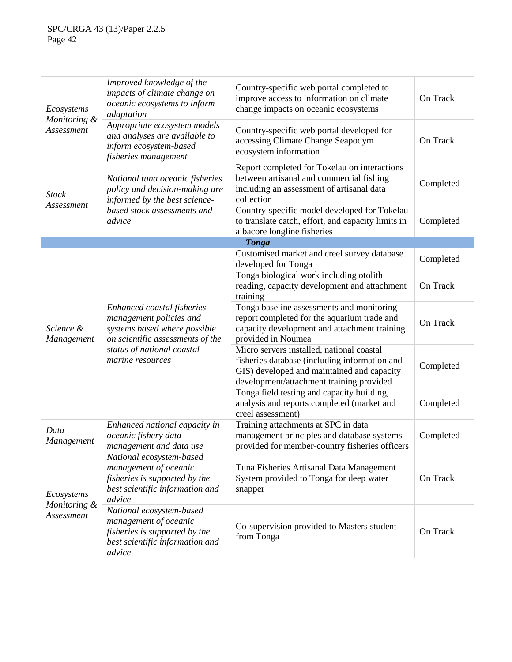| Ecosystems                               | Improved knowledge of the<br>impacts of climate change on<br>oceanic ecosystems to inform<br>adaptation                                                                     | Country-specific web portal completed to<br>improve access to information on climate<br>change impacts on oceanic ecosystems                                                         | On Track  |
|------------------------------------------|-----------------------------------------------------------------------------------------------------------------------------------------------------------------------------|--------------------------------------------------------------------------------------------------------------------------------------------------------------------------------------|-----------|
| Monitoring &<br>Assessment               | Appropriate ecosystem models<br>and analyses are available to<br>inform ecosystem-based<br>fisheries management                                                             | Country-specific web portal developed for<br>accessing Climate Change Seapodym<br>ecosystem information                                                                              | On Track  |
| <b>Stock</b>                             | National tuna oceanic fisheries<br>policy and decision-making are<br>informed by the best science-                                                                          | Report completed for Tokelau on interactions<br>between artisanal and commercial fishing<br>including an assessment of artisanal data<br>collection                                  | Completed |
| Assessment                               | based stock assessments and<br>advice                                                                                                                                       | Country-specific model developed for Tokelau<br>to translate catch, effort, and capacity limits in<br>albacore longline fisheries                                                    | Completed |
|                                          |                                                                                                                                                                             | <b>Tonga</b>                                                                                                                                                                         |           |
| Science &<br>Management                  |                                                                                                                                                                             | Customised market and creel survey database<br>developed for Tonga                                                                                                                   | Completed |
|                                          |                                                                                                                                                                             | Tonga biological work including otolith<br>reading, capacity development and attachment<br>training                                                                                  |           |
|                                          | Enhanced coastal fisheries<br>management policies and<br>systems based where possible<br>on scientific assessments of the<br>status of national coastal<br>marine resources | Tonga baseline assessments and monitoring<br>report completed for the aquarium trade and<br>capacity development and attachment training<br>provided in Noumea                       | On Track  |
|                                          |                                                                                                                                                                             | Micro servers installed, national coastal<br>fisheries database (including information and<br>GIS) developed and maintained and capacity<br>development/attachment training provided | Completed |
|                                          |                                                                                                                                                                             | Tonga field testing and capacity building,<br>analysis and reports completed (market and<br>creel assessment)                                                                        | Completed |
| Data<br>Management                       | Enhanced national capacity in<br>oceanic fishery data<br>management and data use                                                                                            | Training attachments at SPC in data<br>management principles and database systems<br>provided for member-country fisheries officers                                                  | Completed |
| Ecosystems<br>Monitoring &<br>Assessment | National ecosystem-based<br>management of oceanic<br>fisheries is supported by the<br>best scientific information and<br>advice                                             | Tuna Fisheries Artisanal Data Management<br>System provided to Tonga for deep water<br>snapper                                                                                       | On Track  |
|                                          | National ecosystem-based<br>management of oceanic<br>fisheries is supported by the<br>best scientific information and<br>advice                                             | Co-supervision provided to Masters student<br>from Tonga                                                                                                                             | On Track  |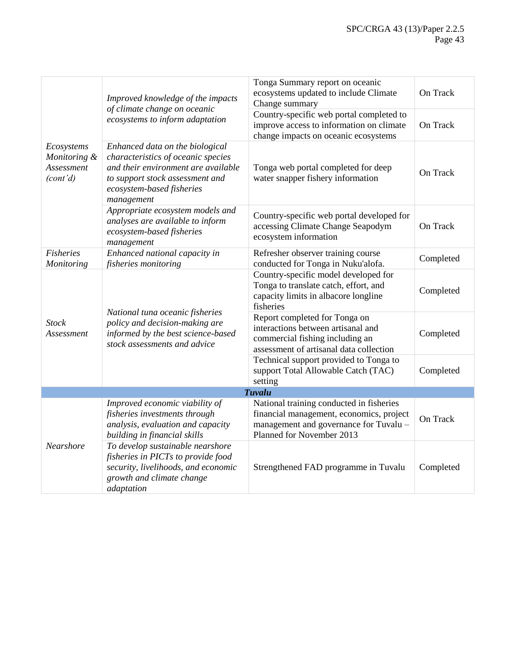|                                                      | Improved knowledge of the impacts                                                                                                                                                          | Tonga Summary report on oceanic<br>ecosystems updated to include Climate<br>Change summary                                                                  | On Track  |
|------------------------------------------------------|--------------------------------------------------------------------------------------------------------------------------------------------------------------------------------------------|-------------------------------------------------------------------------------------------------------------------------------------------------------------|-----------|
|                                                      | of climate change on oceanic<br>ecosystems to inform adaptation                                                                                                                            | Country-specific web portal completed to<br>improve access to information on climate<br>change impacts on oceanic ecosystems                                | On Track  |
| Ecosystems<br>Monitoring &<br>Assessment<br>(cont'd) | Enhanced data on the biological<br>characteristics of oceanic species<br>and their environment are available<br>to support stock assessment and<br>ecosystem-based fisheries<br>management | Tonga web portal completed for deep<br>water snapper fishery information                                                                                    | On Track  |
|                                                      | Appropriate ecosystem models and<br>analyses are available to inform<br>ecosystem-based fisheries<br>management                                                                            | Country-specific web portal developed for<br>accessing Climate Change Seapodym<br>ecosystem information                                                     | On Track  |
| <b>Fisheries</b><br>Monitoring                       | Enhanced national capacity in<br>Refresher observer training course<br>conducted for Tonga in Nuku'alofa.<br><i>fisheries monitoring</i>                                                   |                                                                                                                                                             | Completed |
|                                                      |                                                                                                                                                                                            | Country-specific model developed for<br>Tonga to translate catch, effort, and<br>capacity limits in albacore longline<br>fisheries                          | Completed |
| <b>Stock</b><br>Assessment                           | National tuna oceanic fisheries<br>policy and decision-making are<br>informed by the best science-based<br>stock assessments and advice                                                    | Report completed for Tonga on<br>interactions between artisanal and<br>commercial fishing including an<br>assessment of artisanal data collection           | Completed |
|                                                      |                                                                                                                                                                                            | Technical support provided to Tonga to<br>support Total Allowable Catch (TAC)<br>setting                                                                    | Completed |
|                                                      |                                                                                                                                                                                            | <b>Tuvalu</b>                                                                                                                                               |           |
| Nearshore                                            | Improved economic viability of<br>fisheries investments through<br>analysis, evaluation and capacity<br>building in financial skills                                                       | National training conducted in fisheries<br>financial management, economics, project<br>management and governance for Tuvalu -<br>Planned for November 2013 | On Track  |
|                                                      | To develop sustainable nearshore<br>fisheries in PICTs to provide food<br>security, livelihoods, and economic<br>growth and climate change<br>adaptation                                   | Strengthened FAD programme in Tuvalu                                                                                                                        | Completed |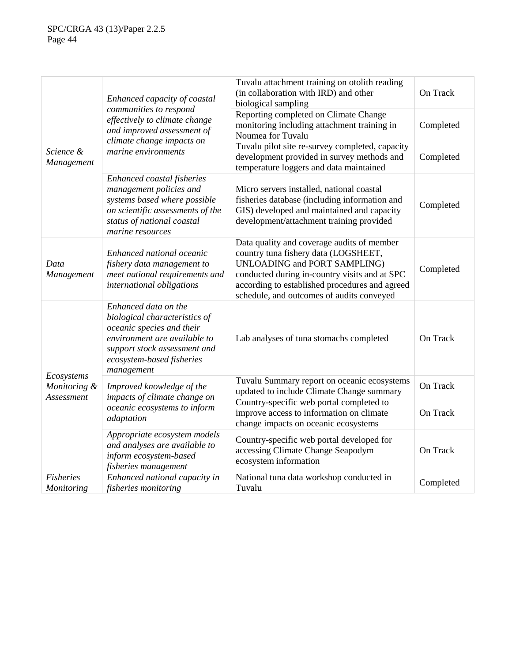|                                | Enhanced capacity of coastal<br>communities to respond                                                                                                                                        | Tuvalu attachment training on otolith reading<br>(in collaboration with IRD) and other<br>biological sampling                                                                                                                                                      | On Track  |  |
|--------------------------------|-----------------------------------------------------------------------------------------------------------------------------------------------------------------------------------------------|--------------------------------------------------------------------------------------------------------------------------------------------------------------------------------------------------------------------------------------------------------------------|-----------|--|
|                                | effectively to climate change<br>and improved assessment of                                                                                                                                   | Reporting completed on Climate Change<br>monitoring including attachment training in<br>Noumea for Tuvalu                                                                                                                                                          | Completed |  |
| Science &<br>Management        | climate change impacts on<br>marine environments                                                                                                                                              | Tuvalu pilot site re-survey completed, capacity<br>development provided in survey methods and<br>temperature loggers and data maintained                                                                                                                           | Completed |  |
|                                | Enhanced coastal fisheries<br>management policies and<br>systems based where possible<br>on scientific assessments of the<br>status of national coastal<br>marine resources                   | Micro servers installed, national coastal<br>fisheries database (including information and<br>GIS) developed and maintained and capacity<br>development/attachment training provided                                                                               | Completed |  |
| Data<br>Management             | Enhanced national oceanic<br>fishery data management to<br>meet national requirements and<br>international obligations                                                                        | Data quality and coverage audits of member<br>country tuna fishery data (LOGSHEET,<br>UNLOADING and PORT SAMPLING)<br>conducted during in-country visits and at SPC<br>according to established procedures and agreed<br>schedule, and outcomes of audits conveyed | Completed |  |
|                                | Enhanced data on the<br>biological characteristics of<br>oceanic species and their<br>environment are available to<br>support stock assessment and<br>ecosystem-based fisheries<br>management | Lab analyses of tuna stomachs completed                                                                                                                                                                                                                            | On Track  |  |
| Ecosystems<br>Monitoring &     | Improved knowledge of the<br>impacts of climate change on                                                                                                                                     | Tuvalu Summary report on oceanic ecosystems<br>updated to include Climate Change summary                                                                                                                                                                           | On Track  |  |
| Assessment                     | oceanic ecosystems to inform<br>adaptation                                                                                                                                                    | Country-specific web portal completed to<br>improve access to information on climate<br>change impacts on oceanic ecosystems                                                                                                                                       | On Track  |  |
|                                | Appropriate ecosystem models<br>and analyses are available to<br>inform ecosystem-based<br>fisheries management                                                                               | Country-specific web portal developed for<br>accessing Climate Change Seapodym<br>ecosystem information                                                                                                                                                            | On Track  |  |
| <b>Fisheries</b><br>Monitoring | Enhanced national capacity in<br>fisheries monitoring                                                                                                                                         | National tuna data workshop conducted in<br>Completed<br>Tuvalu                                                                                                                                                                                                    |           |  |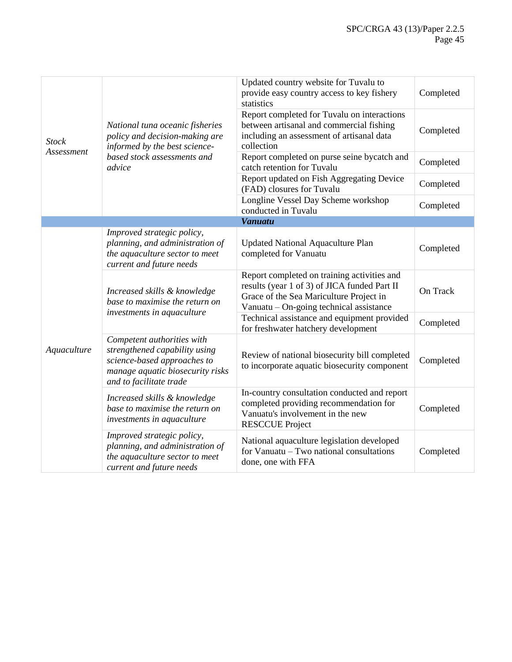| <b>Stock</b> |                                                                                                                                                           | Updated country website for Tuvalu to<br>provide easy country access to key fishery<br>statistics                                                                                 | Completed |
|--------------|-----------------------------------------------------------------------------------------------------------------------------------------------------------|-----------------------------------------------------------------------------------------------------------------------------------------------------------------------------------|-----------|
|              | National tuna oceanic fisheries<br>policy and decision-making are<br>informed by the best science-                                                        | Report completed for Tuvalu on interactions<br>between artisanal and commercial fishing<br>including an assessment of artisanal data<br>collection                                | Completed |
| Assessment   | based stock assessments and<br>advice                                                                                                                     | Report completed on purse seine bycatch and<br>catch retention for Tuvalu                                                                                                         | Completed |
|              |                                                                                                                                                           | Report updated on Fish Aggregating Device<br>(FAD) closures for Tuvalu                                                                                                            | Completed |
|              |                                                                                                                                                           | Longline Vessel Day Scheme workshop<br>conducted in Tuvalu                                                                                                                        | Completed |
|              |                                                                                                                                                           | <b>Vanuatu</b>                                                                                                                                                                    |           |
|              | Improved strategic policy,<br>planning, and administration of<br>the aquaculture sector to meet<br>current and future needs                               | <b>Updated National Aquaculture Plan</b><br>completed for Vanuatu                                                                                                                 | Completed |
|              | Increased skills & knowledge<br>base to maximise the return on                                                                                            | Report completed on training activities and<br>results (year 1 of 3) of JICA funded Part II<br>Grace of the Sea Mariculture Project in<br>Vanuatu – On-going technical assistance | On Track  |
|              | investments in aquaculture                                                                                                                                | Technical assistance and equipment provided<br>for freshwater hatchery development                                                                                                | Completed |
| Aquaculture  | Competent authorities with<br>strengthened capability using<br>science-based approaches to<br>manage aquatic biosecurity risks<br>and to facilitate trade | Review of national biosecurity bill completed<br>to incorporate aquatic biosecurity component                                                                                     | Completed |
|              | Increased skills & knowledge<br>base to maximise the return on<br>investments in aquaculture                                                              | In-country consultation conducted and report<br>completed providing recommendation for<br>Vanuatu's involvement in the new<br><b>RESCCUE Project</b>                              | Completed |
|              | Improved strategic policy,<br>planning, and administration of<br>the aquaculture sector to meet<br>current and future needs                               | National aquaculture legislation developed<br>for Vanuatu – Two national consultations<br>done, one with FFA                                                                      | Completed |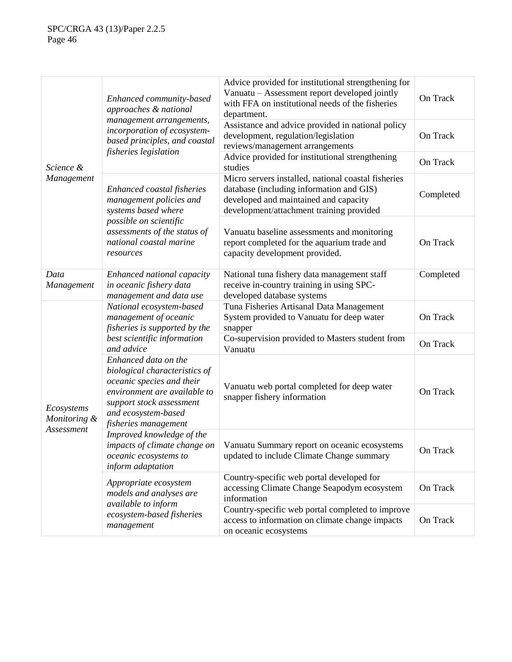|                                          | Enhanced community-based<br>approaches & national                                                                                                                                             | Advice provided for institutional strengthening for<br>Vanuatu - Assessment report developed jointly<br>with FFA on institutional needs of the fisheries<br>department.              | On Track  |
|------------------------------------------|-----------------------------------------------------------------------------------------------------------------------------------------------------------------------------------------------|--------------------------------------------------------------------------------------------------------------------------------------------------------------------------------------|-----------|
|                                          | management arrangements,<br>incorporation of ecosystem-<br>based principles, and coastal<br>fisheries legislation                                                                             | Assistance and advice provided in national policy<br>development, regulation/legislation<br>reviews/management arrangements                                                          | On Track  |
| Science &                                |                                                                                                                                                                                               | Advice provided for institutional strengthening<br>studies                                                                                                                           | On Track  |
| Management                               | Enhanced coastal fisheries<br>management policies and<br>systems based where                                                                                                                  | Micro servers installed, national coastal fisheries<br>database (including information and GIS)<br>developed and maintained and capacity<br>development/attachment training provided | Completed |
|                                          | possible on scientific<br>assessments of the status of<br>national coastal marine<br>resources                                                                                                | Vanuatu baseline assessments and monitoring<br>report completed for the aquarium trade and<br>capacity development provided.                                                         | On Track  |
| Data<br>Management                       | Enhanced national capacity<br>in oceanic fishery data<br>management and data use                                                                                                              | National tuna fishery data management staff<br>receive in-country training in using SPC-<br>developed database systems                                                               | Completed |
|                                          | National ecosystem-based<br>management of oceanic<br>fisheries is supported by the                                                                                                            | Tuna Fisheries Artisanal Data Management<br>System provided to Vanuatu for deep water<br>snapper                                                                                     | On Track  |
|                                          | best scientific information<br>and advice                                                                                                                                                     | Co-supervision provided to Masters student from<br>Vanuatu                                                                                                                           | On Track  |
| Ecosystems<br>Monitoring &<br>Assessment | Enhanced data on the<br>biological characteristics of<br>oceanic species and their<br>environment are available to<br>support stock assessment<br>and ecosystem-based<br>fisheries management | Vanuatu web portal completed for deep water<br>snapper fishery information                                                                                                           | On Track  |
|                                          | Improved knowledge of the<br>impacts of climate change on<br>oceanic ecosystems to<br>inform adaptation                                                                                       | Vanuatu Summary report on oceanic ecosystems<br>updated to include Climate Change summary                                                                                            | On Track  |
|                                          | Appropriate ecosystem<br>models and analyses are                                                                                                                                              | Country-specific web portal developed for<br>accessing Climate Change Seapodym ecosystem<br>information                                                                              | On Track  |
|                                          | available to inform<br>ecosystem-based fisheries<br>management                                                                                                                                | Country-specific web portal completed to improve<br>access to information on climate change impacts<br>on oceanic ecosystems                                                         | On Track  |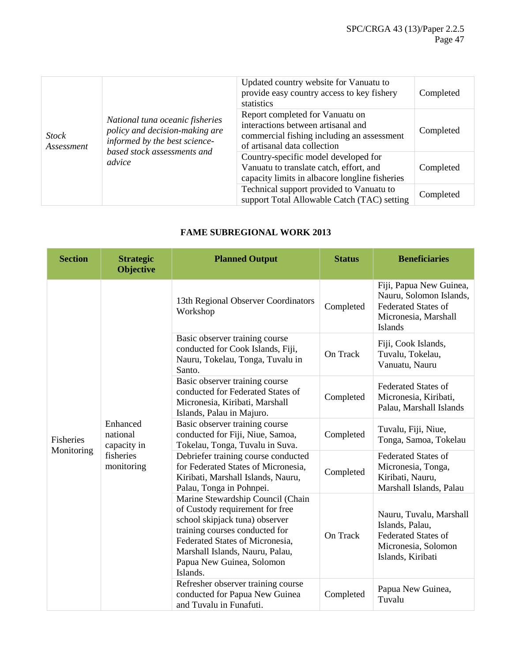| <b>Stock</b><br>Assessment |                                                                                                                                             | Updated country website for Vanuatu to<br>provide easy country access to key fishery<br>statistics                                                  | Completed |
|----------------------------|---------------------------------------------------------------------------------------------------------------------------------------------|-----------------------------------------------------------------------------------------------------------------------------------------------------|-----------|
|                            | National tuna oceanic fisheries<br>policy and decision-making are<br>informed by the best science-<br>based stock assessments and<br>advice | Report completed for Vanuatu on<br>interactions between artisanal and<br>commercial fishing including an assessment<br>of artisanal data collection | Completed |
|                            |                                                                                                                                             | Country-specific model developed for<br>Vanuatu to translate catch, effort, and<br>capacity limits in albacore longline fisheries                   | Completed |
|                            |                                                                                                                                             | Technical support provided to Vanuatu to<br>support Total Allowable Catch (TAC) setting                                                             | Completed |

# **FAME SUBREGIONAL WORK 2013**

| <b>Section</b>                 | <b>Strategic</b><br><b>Objective</b>                           | <b>Planned Output</b>                                                                                                                                                                                                                                   | <b>Status</b>   | <b>Beneficiaries</b>                                                                                                       |
|--------------------------------|----------------------------------------------------------------|---------------------------------------------------------------------------------------------------------------------------------------------------------------------------------------------------------------------------------------------------------|-----------------|----------------------------------------------------------------------------------------------------------------------------|
| <b>Fisheries</b><br>Monitoring |                                                                | 13th Regional Observer Coordinators<br>Workshop                                                                                                                                                                                                         | Completed       | Fiji, Papua New Guinea,<br>Nauru, Solomon Islands,<br><b>Federated States of</b><br>Micronesia, Marshall<br><b>Islands</b> |
|                                |                                                                | Basic observer training course<br>conducted for Cook Islands, Fiji,<br>Nauru, Tokelau, Tonga, Tuvalu in<br>Santo.                                                                                                                                       | <b>On Track</b> | Fiji, Cook Islands,<br>Tuvalu, Tokelau,<br>Vanuatu, Nauru                                                                  |
|                                | Enhanced<br>national<br>capacity in<br>fisheries<br>monitoring | Basic observer training course<br>conducted for Federated States of<br>Micronesia, Kiribati, Marshall<br>Islands, Palau in Majuro.                                                                                                                      | Completed       | <b>Federated States of</b><br>Micronesia, Kiribati,<br>Palau, Marshall Islands                                             |
|                                |                                                                | Basic observer training course<br>conducted for Fiji, Niue, Samoa,<br>Tokelau, Tonga, Tuvalu in Suva.                                                                                                                                                   | Completed       | Tuvalu, Fiji, Niue,<br>Tonga, Samoa, Tokelau                                                                               |
|                                |                                                                | Debriefer training course conducted<br>for Federated States of Micronesia,<br>Kiribati, Marshall Islands, Nauru,<br>Palau, Tonga in Pohnpei.                                                                                                            | Completed       | <b>Federated States of</b><br>Micronesia, Tonga,<br>Kiribati, Nauru,<br>Marshall Islands, Palau                            |
|                                |                                                                | Marine Stewardship Council (Chain<br>of Custody requirement for free<br>school skipjack tuna) observer<br>training courses conducted for<br>Federated States of Micronesia,<br>Marshall Islands, Nauru, Palau,<br>Papua New Guinea, Solomon<br>Islands. | On Track        | Nauru, Tuvalu, Marshall<br>Islands, Palau,<br><b>Federated States of</b><br>Micronesia, Solomon<br>Islands, Kiribati       |
|                                |                                                                | Refresher observer training course<br>conducted for Papua New Guinea<br>and Tuvalu in Funafuti.                                                                                                                                                         | Completed       | Papua New Guinea,<br>Tuvalu                                                                                                |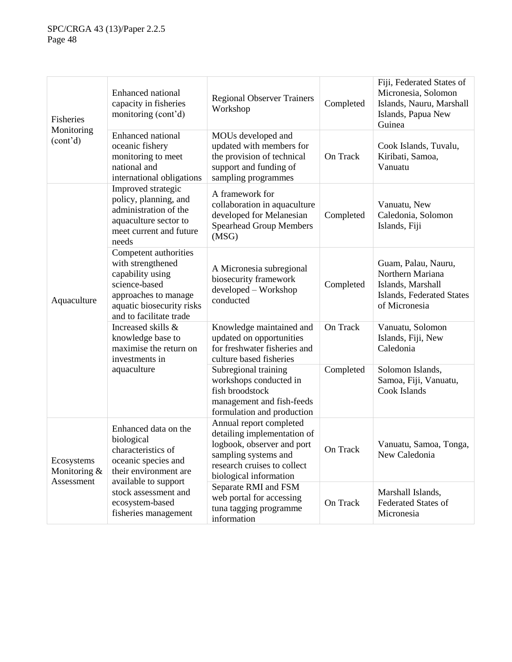| <b>Fisheries</b><br>Monitoring<br>(cont'd) | <b>Enhanced</b> national<br>capacity in fisheries<br>monitoring (cont'd)                                                                                        | <b>Regional Observer Trainers</b><br>Workshop                                                                                                                         | Completed | Fiji, Federated States of<br>Micronesia, Solomon<br>Islands, Nauru, Marshall<br>Islands, Papua New<br>Guinea |
|--------------------------------------------|-----------------------------------------------------------------------------------------------------------------------------------------------------------------|-----------------------------------------------------------------------------------------------------------------------------------------------------------------------|-----------|--------------------------------------------------------------------------------------------------------------|
|                                            | Enhanced national<br>oceanic fishery<br>monitoring to meet<br>national and<br>international obligations                                                         | MOUs developed and<br>updated with members for<br>the provision of technical<br>support and funding of<br>sampling programmes                                         | On Track  | Cook Islands, Tuvalu,<br>Kiribati, Samoa,<br>Vanuatu                                                         |
|                                            | Improved strategic<br>policy, planning, and<br>administration of the<br>aquaculture sector to<br>meet current and future<br>needs                               | A framework for<br>collaboration in aquaculture<br>developed for Melanesian<br><b>Spearhead Group Members</b><br>(MSG)                                                | Completed | Vanuatu, New<br>Caledonia, Solomon<br>Islands, Fiji                                                          |
| Aquaculture                                | Competent authorities<br>with strengthened<br>capability using<br>science-based<br>approaches to manage<br>aquatic biosecurity risks<br>and to facilitate trade | A Micronesia subregional<br>biosecurity framework<br>developed - Workshop<br>conducted                                                                                | Completed | Guam, Palau, Nauru,<br>Northern Mariana<br>Islands, Marshall<br>Islands, Federated States<br>of Micronesia   |
|                                            | Increased skills &<br>knowledge base to<br>maximise the return on<br>investments in                                                                             | Knowledge maintained and<br>updated on opportunities<br>for freshwater fisheries and<br>culture based fisheries                                                       | On Track  | Vanuatu, Solomon<br>Islands, Fiji, New<br>Caledonia                                                          |
|                                            | aquaculture                                                                                                                                                     | Subregional training<br>workshops conducted in<br>fish broodstock<br>management and fish-feeds<br>formulation and production                                          | Completed | Solomon Islands,<br>Samoa, Fiji, Vanuatu,<br>Cook Islands                                                    |
| Ecosystems<br>Monitoring &<br>Assessment   | Enhanced data on the<br>biological<br>characteristics of<br>oceanic species and<br>their environment are                                                        | Annual report completed<br>detailing implementation of<br>logbook, observer and port<br>sampling systems and<br>research cruises to collect<br>biological information | On Track  | Vanuatu, Samoa, Tonga,<br>New Caledonia                                                                      |
|                                            | available to support<br>stock assessment and<br>ecosystem-based<br>fisheries management                                                                         | Separate RMI and FSM<br>web portal for accessing<br>tuna tagging programme<br>information                                                                             | On Track  | Marshall Islands,<br><b>Federated States of</b><br>Micronesia                                                |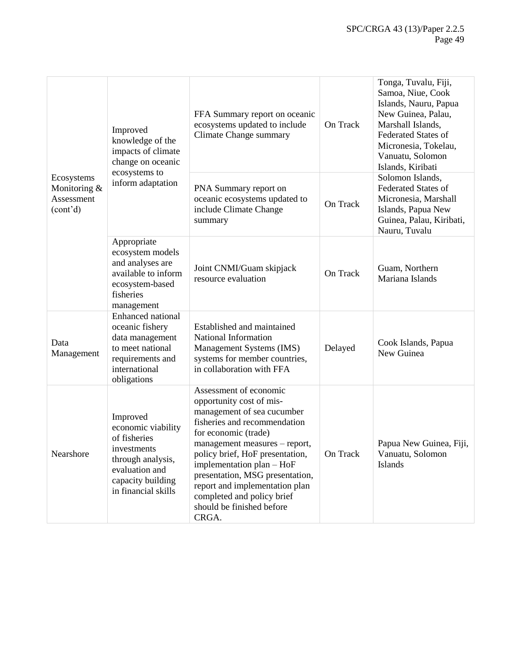| Ecosystems<br>Monitoring &<br>Assessment<br>(cont <sup>2</sup> d) | Improved<br>knowledge of the<br>impacts of climate<br>change on oceanic                                                                          | FFA Summary report on oceanic<br>ecosystems updated to include<br>Climate Change summary                                                                                                                                                                                                                                                                                           | On Track | Tonga, Tuvalu, Fiji,<br>Samoa, Niue, Cook<br>Islands, Nauru, Papua<br>New Guinea, Palau,<br>Marshall Islands,<br><b>Federated States of</b><br>Micronesia, Tokelau,<br>Vanuatu, Solomon<br>Islands, Kiribati |
|-------------------------------------------------------------------|--------------------------------------------------------------------------------------------------------------------------------------------------|------------------------------------------------------------------------------------------------------------------------------------------------------------------------------------------------------------------------------------------------------------------------------------------------------------------------------------------------------------------------------------|----------|--------------------------------------------------------------------------------------------------------------------------------------------------------------------------------------------------------------|
|                                                                   | ecosystems to<br>inform adaptation                                                                                                               | PNA Summary report on<br>oceanic ecosystems updated to<br>include Climate Change<br>summary                                                                                                                                                                                                                                                                                        | On Track | Solomon Islands,<br><b>Federated States of</b><br>Micronesia, Marshall<br>Islands, Papua New<br>Guinea, Palau, Kiribati,<br>Nauru, Tuvalu                                                                    |
|                                                                   | Appropriate<br>ecosystem models<br>and analyses are<br>available to inform<br>ecosystem-based<br>fisheries<br>management                         | Joint CNMI/Guam skipjack<br>resource evaluation                                                                                                                                                                                                                                                                                                                                    | On Track | Guam, Northern<br>Mariana Islands                                                                                                                                                                            |
| Data<br>Management                                                | <b>Enhanced</b> national<br>oceanic fishery<br>data management<br>to meet national<br>requirements and<br>international<br>obligations           | Established and maintained<br>National Information<br>Management Systems (IMS)<br>systems for member countries,<br>in collaboration with FFA                                                                                                                                                                                                                                       | Delayed  | Cook Islands, Papua<br>New Guinea                                                                                                                                                                            |
| Nearshore                                                         | Improved<br>economic viability<br>of fisheries<br>investments<br>through analysis,<br>evaluation and<br>capacity building<br>in financial skills | Assessment of economic<br>opportunity cost of mis-<br>management of sea cucumber<br>fisheries and recommendation<br>for economic (trade)<br>management measures – report,<br>policy brief, HoF presentation,<br>implementation plan - HoF<br>presentation, MSG presentation,<br>report and implementation plan<br>completed and policy brief<br>should be finished before<br>CRGA. | On Track | Papua New Guinea, Fiji,<br>Vanuatu, Solomon<br>Islands                                                                                                                                                       |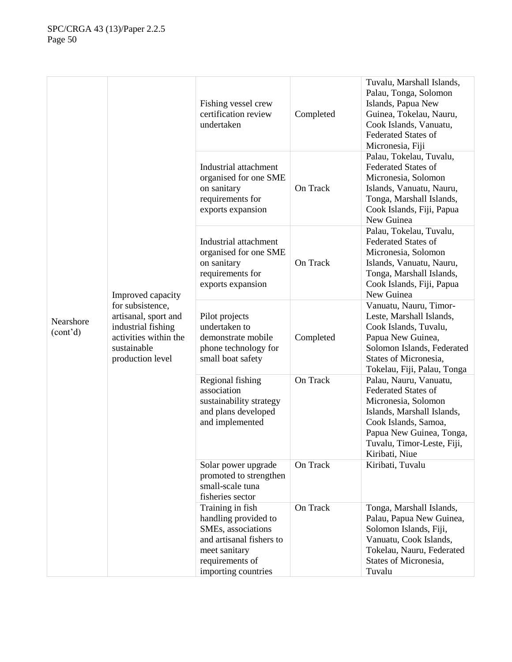| Nearshore<br>(cont <sup>2</sup> d) | Improved capacity<br>for subsistence,<br>artisanal, sport and<br>industrial fishing<br>activities within the<br>sustainable<br>production level | Fishing vessel crew<br>certification review<br>undertaken                                                                                             | Completed | Tuvalu, Marshall Islands,<br>Palau, Tonga, Solomon<br>Islands, Papua New<br>Guinea, Tokelau, Nauru,<br>Cook Islands, Vanuatu,<br><b>Federated States of</b><br>Micronesia, Fiji                               |
|------------------------------------|-------------------------------------------------------------------------------------------------------------------------------------------------|-------------------------------------------------------------------------------------------------------------------------------------------------------|-----------|---------------------------------------------------------------------------------------------------------------------------------------------------------------------------------------------------------------|
|                                    |                                                                                                                                                 | Industrial attachment<br>organised for one SME<br>on sanitary<br>requirements for<br>exports expansion                                                | On Track  | Palau, Tokelau, Tuvalu,<br><b>Federated States of</b><br>Micronesia, Solomon<br>Islands, Vanuatu, Nauru,<br>Tonga, Marshall Islands,<br>Cook Islands, Fiji, Papua<br>New Guinea                               |
|                                    |                                                                                                                                                 | Industrial attachment<br>organised for one SME<br>on sanitary<br>requirements for<br>exports expansion                                                | On Track  | Palau, Tokelau, Tuvalu,<br><b>Federated States of</b><br>Micronesia, Solomon<br>Islands, Vanuatu, Nauru,<br>Tonga, Marshall Islands,<br>Cook Islands, Fiji, Papua<br>New Guinea                               |
|                                    |                                                                                                                                                 | Pilot projects<br>undertaken to<br>demonstrate mobile<br>phone technology for<br>small boat safety                                                    | Completed | Vanuatu, Nauru, Timor-<br>Leste, Marshall Islands,<br>Cook Islands, Tuvalu,<br>Papua New Guinea,<br>Solomon Islands, Federated<br>States of Micronesia,<br>Tokelau, Fiji, Palau, Tonga                        |
|                                    |                                                                                                                                                 | Regional fishing<br>association<br>sustainability strategy<br>and plans developed<br>and implemented                                                  | On Track  | Palau, Nauru, Vanuatu,<br><b>Federated States of</b><br>Micronesia, Solomon<br>Islands, Marshall Islands,<br>Cook Islands, Samoa,<br>Papua New Guinea, Tonga,<br>Tuvalu, Timor-Leste, Fiji,<br>Kiribati, Niue |
|                                    |                                                                                                                                                 | Solar power upgrade<br>promoted to strengthen<br>small-scale tuna<br>fisheries sector                                                                 | On Track  | Kiribati, Tuvalu                                                                                                                                                                                              |
|                                    |                                                                                                                                                 | Training in fish<br>handling provided to<br>SMEs, associations<br>and artisanal fishers to<br>meet sanitary<br>requirements of<br>importing countries | On Track  | Tonga, Marshall Islands,<br>Palau, Papua New Guinea,<br>Solomon Islands, Fiji,<br>Vanuatu, Cook Islands,<br>Tokelau, Nauru, Federated<br>States of Micronesia,<br>Tuvalu                                      |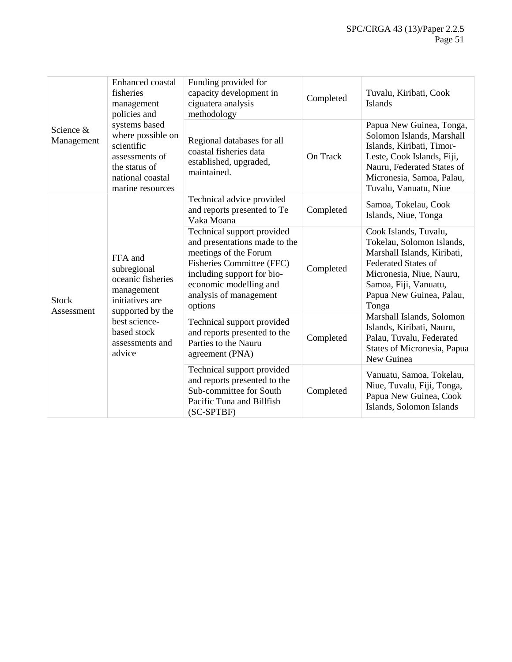| Science &<br>Management    | Enhanced coastal<br>fisheries<br>management<br>policies and                                                                                                   | Funding provided for<br>capacity development in<br>ciguatera analysis<br>methodology                                                                                                                                  | Completed | Tuvalu, Kiribati, Cook<br><b>Islands</b>                                                                                                                                                                  |
|----------------------------|---------------------------------------------------------------------------------------------------------------------------------------------------------------|-----------------------------------------------------------------------------------------------------------------------------------------------------------------------------------------------------------------------|-----------|-----------------------------------------------------------------------------------------------------------------------------------------------------------------------------------------------------------|
|                            | systems based<br>where possible on<br>scientific<br>assessments of<br>the status of<br>national coastal<br>marine resources                                   | Regional databases for all<br>coastal fisheries data<br>established, upgraded,<br>maintained.                                                                                                                         | On Track  | Papua New Guinea, Tonga,<br>Solomon Islands, Marshall<br>Islands, Kiribati, Timor-<br>Leste, Cook Islands, Fiji,<br>Nauru, Federated States of<br>Micronesia, Samoa, Palau,<br>Tuvalu, Vanuatu, Niue      |
| <b>Stock</b><br>Assessment | FFA and<br>subregional<br>oceanic fisheries<br>management<br>initiatives are<br>supported by the<br>best science-<br>based stock<br>assessments and<br>advice | Technical advice provided<br>and reports presented to Te<br>Vaka Moana                                                                                                                                                | Completed | Samoa, Tokelau, Cook<br>Islands, Niue, Tonga                                                                                                                                                              |
|                            |                                                                                                                                                               | Technical support provided<br>and presentations made to the<br>meetings of the Forum<br><b>Fisheries Committee (FFC)</b><br>including support for bio-<br>economic modelling and<br>analysis of management<br>options | Completed | Cook Islands, Tuvalu,<br>Tokelau, Solomon Islands,<br>Marshall Islands, Kiribati,<br><b>Federated States of</b><br>Micronesia, Niue, Nauru,<br>Samoa, Fiji, Vanuatu,<br>Papua New Guinea, Palau,<br>Tonga |
|                            |                                                                                                                                                               | Technical support provided<br>and reports presented to the<br>Parties to the Nauru<br>agreement (PNA)                                                                                                                 | Completed | Marshall Islands, Solomon<br>Islands, Kiribati, Nauru,<br>Palau, Tuvalu, Federated<br>States of Micronesia, Papua<br>New Guinea                                                                           |
|                            |                                                                                                                                                               | Technical support provided<br>and reports presented to the<br>Sub-committee for South<br>Pacific Tuna and Billfish<br>(SC-SPTBF)                                                                                      | Completed | Vanuatu, Samoa, Tokelau,<br>Niue, Tuvalu, Fiji, Tonga,<br>Papua New Guinea, Cook<br>Islands, Solomon Islands                                                                                              |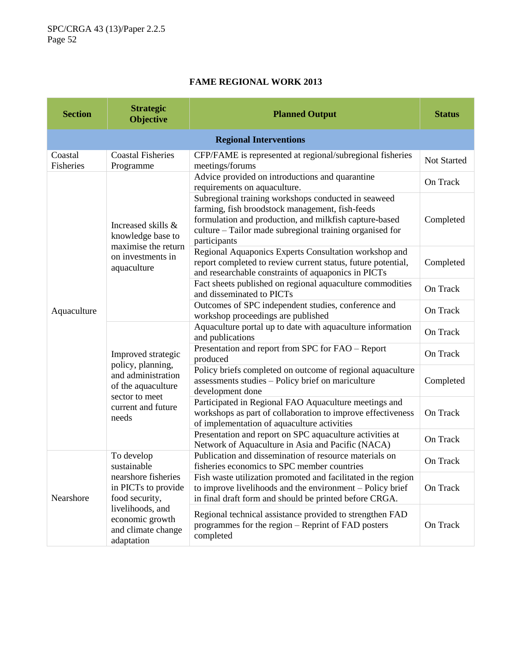# **FAME REGIONAL WORK 2013**

| <b>Section</b>       | <b>Strategic</b><br><b>Objective</b>                                                                                                 | <b>Planned Output</b>                                                                                                                                                                                                                        | <b>Status</b>      |  |  |  |  |
|----------------------|--------------------------------------------------------------------------------------------------------------------------------------|----------------------------------------------------------------------------------------------------------------------------------------------------------------------------------------------------------------------------------------------|--------------------|--|--|--|--|
|                      | <b>Regional Interventions</b>                                                                                                        |                                                                                                                                                                                                                                              |                    |  |  |  |  |
| Coastal<br>Fisheries | <b>Coastal Fisheries</b><br>Programme                                                                                                | CFP/FAME is represented at regional/subregional fisheries<br>meetings/forums                                                                                                                                                                 | <b>Not Started</b> |  |  |  |  |
| Aquaculture          | Increased skills &<br>knowledge base to<br>maximise the return<br>on investments in<br>aquaculture                                   | Advice provided on introductions and quarantine<br>requirements on aquaculture.                                                                                                                                                              | On Track           |  |  |  |  |
|                      |                                                                                                                                      | Subregional training workshops conducted in seaweed<br>farming, fish broodstock management, fish-feeds<br>formulation and production, and milkfish capture-based<br>culture - Tailor made subregional training organised for<br>participants | Completed          |  |  |  |  |
|                      |                                                                                                                                      | Regional Aquaponics Experts Consultation workshop and<br>report completed to review current status, future potential,<br>and researchable constraints of aquaponics in PICTs                                                                 | Completed          |  |  |  |  |
|                      |                                                                                                                                      | Fact sheets published on regional aquaculture commodities<br>and disseminated to PICTs                                                                                                                                                       | On Track           |  |  |  |  |
|                      |                                                                                                                                      | Outcomes of SPC independent studies, conference and<br>workshop proceedings are published                                                                                                                                                    | On Track           |  |  |  |  |
|                      | Improved strategic<br>policy, planning,<br>and administration<br>of the aquaculture<br>sector to meet<br>current and future<br>needs | Aquaculture portal up to date with aquaculture information<br>and publications                                                                                                                                                               | On Track           |  |  |  |  |
|                      |                                                                                                                                      | Presentation and report from SPC for FAO - Report<br>produced                                                                                                                                                                                | On Track           |  |  |  |  |
|                      |                                                                                                                                      | Policy briefs completed on outcome of regional aquaculture<br>assessments studies - Policy brief on mariculture<br>development done                                                                                                          | Completed          |  |  |  |  |
|                      |                                                                                                                                      | Participated in Regional FAO Aquaculture meetings and<br>workshops as part of collaboration to improve effectiveness<br>of implementation of aquaculture activities                                                                          | On Track           |  |  |  |  |
|                      |                                                                                                                                      | Presentation and report on SPC aquaculture activities at<br>Network of Aquaculture in Asia and Pacific (NACA)                                                                                                                                | On Track           |  |  |  |  |
|                      | To develop<br>sustainable                                                                                                            | Publication and dissemination of resource materials on<br>fisheries economics to SPC member countries                                                                                                                                        | On Track           |  |  |  |  |
| Nearshore            | nearshore fisheries<br>in PICTs to provide<br>food security,                                                                         | Fish waste utilization promoted and facilitated in the region<br>to improve livelihoods and the environment – Policy brief<br>in final draft form and should be printed before CRGA.                                                         | On Track           |  |  |  |  |
|                      | livelihoods, and<br>economic growth<br>and climate change<br>adaptation                                                              | Regional technical assistance provided to strengthen FAD<br>programmes for the region – Reprint of FAD posters<br>completed                                                                                                                  | On Track           |  |  |  |  |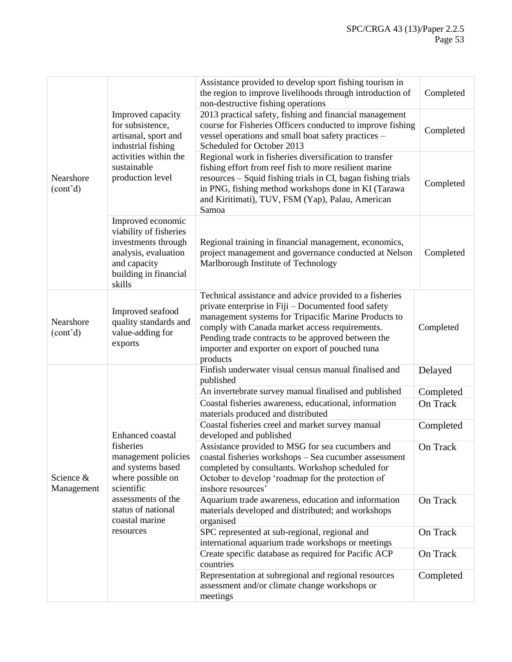| Nearshore<br>(cont <sup>2</sup> d) | Improved capacity<br>for subsistence,<br>artisanal, sport and<br>industrial fishing<br>activities within the<br>sustainable<br>production level                            | Assistance provided to develop sport fishing tourism in<br>the region to improve livelihoods through introduction of<br>non-destructive fishing operations                                                                                                                                                                                    | Completed |
|------------------------------------|----------------------------------------------------------------------------------------------------------------------------------------------------------------------------|-----------------------------------------------------------------------------------------------------------------------------------------------------------------------------------------------------------------------------------------------------------------------------------------------------------------------------------------------|-----------|
|                                    |                                                                                                                                                                            | 2013 practical safety, fishing and financial management<br>course for Fisheries Officers conducted to improve fishing<br>vessel operations and small boat safety practices -<br>Scheduled for October 2013                                                                                                                                    | Completed |
|                                    |                                                                                                                                                                            | Regional work in fisheries diversification to transfer<br>fishing effort from reef fish to more resilient marine<br>resources - Squid fishing trials in CI, bagan fishing trials<br>in PNG, fishing method workshops done in KI (Tarawa<br>and Kiritimati), TUV, FSM (Yap), Palau, American<br>Samoa                                          | Completed |
|                                    | Improved economic<br>viability of fisheries<br>investments through<br>analysis, evaluation<br>and capacity<br>building in financial<br>skills                              | Regional training in financial management, economics,<br>project management and governance conducted at Nelson<br>Marlborough Institute of Technology                                                                                                                                                                                         | Completed |
| Nearshore<br>(cont <sup>2</sup> d) | Improved seafood<br>quality standards and<br>value-adding for<br>exports                                                                                                   | Technical assistance and advice provided to a fisheries<br>private enterprise in Fiji - Documented food safety<br>management systems for Tripacific Marine Products to<br>comply with Canada market access requirements.<br>Pending trade contracts to be approved between the<br>importer and exporter on export of pouched tuna<br>products | Completed |
|                                    | Enhanced coastal<br>fisheries<br>management policies<br>and systems based<br>where possible on<br>scientific<br>assessments of the<br>status of national<br>coastal marine | Finfish underwater visual census manual finalised and<br>published                                                                                                                                                                                                                                                                            | Delayed   |
|                                    |                                                                                                                                                                            | An invertebrate survey manual finalised and published                                                                                                                                                                                                                                                                                         | Completed |
|                                    |                                                                                                                                                                            | Coastal fisheries awareness, educational, information<br>materials produced and distributed                                                                                                                                                                                                                                                   | On Track  |
|                                    |                                                                                                                                                                            | Coastal fisheries creel and market survey manual<br>developed and published                                                                                                                                                                                                                                                                   | Completed |
| Science &<br>Management            |                                                                                                                                                                            | Assistance provided to MSG for sea cucumbers and<br>coastal fisheries workshops - Sea cucumber assessment<br>completed by consultants. Workshop scheduled for<br>October to develop 'roadmap for the protection of<br>inshore resources'                                                                                                      | On Track  |
|                                    |                                                                                                                                                                            | Aquarium trade awareness, education and information<br>materials developed and distributed; and workshops<br>organised                                                                                                                                                                                                                        | On Track  |
|                                    | resources                                                                                                                                                                  | SPC represented at sub-regional, regional and<br>international aquarium trade workshops or meetings                                                                                                                                                                                                                                           | On Track  |
|                                    |                                                                                                                                                                            | Create specific database as required for Pacific ACP<br>countries                                                                                                                                                                                                                                                                             | On Track  |
|                                    |                                                                                                                                                                            | Representation at subregional and regional resources<br>assessment and/or climate change workshops or<br>meetings                                                                                                                                                                                                                             | Completed |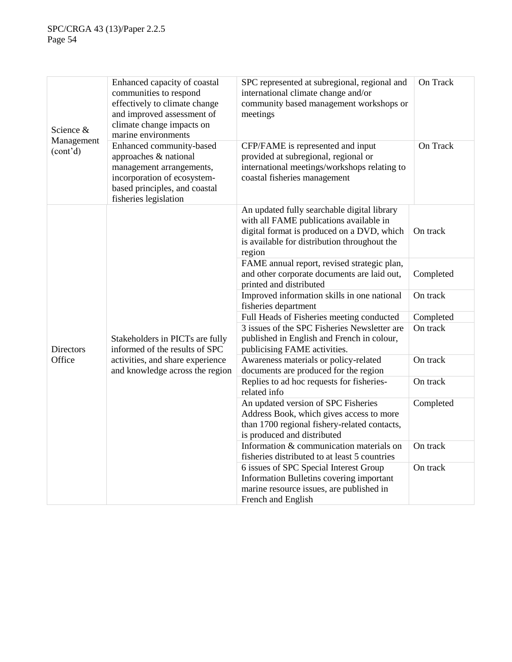| Science &<br>Management<br>(cont <sup>2</sup> d) | Enhanced capacity of coastal<br>communities to respond<br>effectively to climate change<br>and improved assessment of<br>climate change impacts on<br>marine environments | SPC represented at subregional, regional and<br>international climate change and/or<br>community based management workshops or<br>meetings                                                     | On Track  |
|--------------------------------------------------|---------------------------------------------------------------------------------------------------------------------------------------------------------------------------|------------------------------------------------------------------------------------------------------------------------------------------------------------------------------------------------|-----------|
|                                                  | Enhanced community-based<br>approaches & national<br>management arrangements,<br>incorporation of ecosystem-<br>based principles, and coastal<br>fisheries legislation    | CFP/FAME is represented and input<br>provided at subregional, regional or<br>international meetings/workshops relating to<br>coastal fisheries management                                      | On Track  |
|                                                  |                                                                                                                                                                           | An updated fully searchable digital library<br>with all FAME publications available in<br>digital format is produced on a DVD, which<br>is available for distribution throughout the<br>region | On track  |
|                                                  |                                                                                                                                                                           | FAME annual report, revised strategic plan,<br>and other corporate documents are laid out,<br>printed and distributed                                                                          | Completed |
|                                                  |                                                                                                                                                                           | Improved information skills in one national<br>fisheries department                                                                                                                            | On track  |
|                                                  |                                                                                                                                                                           | Full Heads of Fisheries meeting conducted                                                                                                                                                      | Completed |
| <b>Directors</b>                                 | Stakeholders in PICTs are fully<br>informed of the results of SPC<br>activities, and share experience<br>and knowledge across the region                                  | 3 issues of the SPC Fisheries Newsletter are<br>published in English and French in colour,<br>publicising FAME activities.                                                                     | On track  |
| Office                                           |                                                                                                                                                                           | Awareness materials or policy-related<br>documents are produced for the region                                                                                                                 | On track  |
|                                                  |                                                                                                                                                                           | Replies to ad hoc requests for fisheries-<br>related info                                                                                                                                      | On track  |
|                                                  |                                                                                                                                                                           | An updated version of SPC Fisheries<br>Address Book, which gives access to more<br>than 1700 regional fishery-related contacts,<br>is produced and distributed                                 | Completed |
|                                                  |                                                                                                                                                                           | Information & communication materials on<br>fisheries distributed to at least 5 countries                                                                                                      | On track  |
|                                                  |                                                                                                                                                                           | 6 issues of SPC Special Interest Group<br>Information Bulletins covering important<br>marine resource issues, are published in<br>French and English                                           | On track  |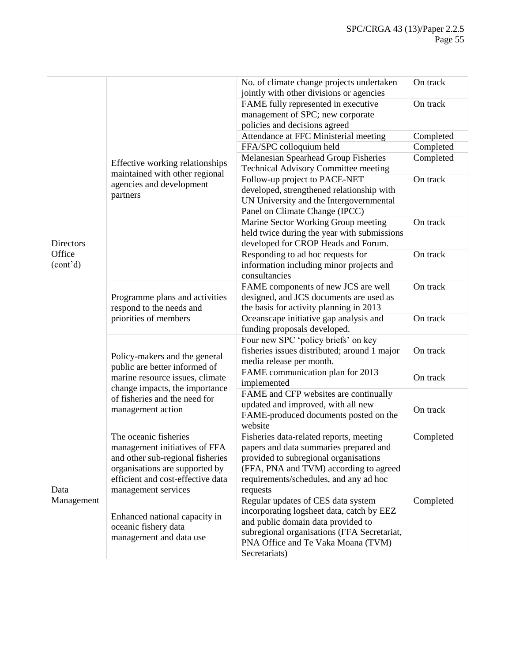|                       |                                                                                     | No. of climate change projects undertaken<br>jointly with other divisions or agencies | On track  |
|-----------------------|-------------------------------------------------------------------------------------|---------------------------------------------------------------------------------------|-----------|
|                       |                                                                                     | FAME fully represented in executive                                                   | On track  |
|                       |                                                                                     | management of SPC; new corporate                                                      |           |
|                       |                                                                                     | policies and decisions agreed                                                         |           |
|                       |                                                                                     | Attendance at FFC Ministerial meeting                                                 | Completed |
|                       |                                                                                     | FFA/SPC colloquium held                                                               | Completed |
|                       |                                                                                     | Melanesian Spearhead Group Fisheries                                                  | Completed |
|                       | Effective working relationships<br>maintained with other regional                   | <b>Technical Advisory Committee meeting</b>                                           |           |
|                       | agencies and development                                                            | Follow-up project to PACE-NET                                                         | On track  |
|                       | partners                                                                            | developed, strengthened relationship with                                             |           |
|                       |                                                                                     | UN University and the Intergovernmental                                               |           |
|                       |                                                                                     | Panel on Climate Change (IPCC)                                                        |           |
|                       |                                                                                     | Marine Sector Working Group meeting                                                   | On track  |
|                       |                                                                                     | held twice during the year with submissions                                           |           |
| <b>Directors</b>      |                                                                                     | developed for CROP Heads and Forum.                                                   |           |
| Office                |                                                                                     | Responding to ad hoc requests for                                                     | On track  |
| (cont <sup>2</sup> d) |                                                                                     | information including minor projects and                                              |           |
|                       |                                                                                     | consultancies                                                                         |           |
|                       | Programme plans and activities<br>respond to the needs and<br>priorities of members | FAME components of new JCS are well                                                   | On track  |
|                       |                                                                                     | designed, and JCS documents are used as                                               |           |
|                       |                                                                                     | the basis for activity planning in 2013                                               |           |
|                       |                                                                                     | Oceanscape initiative gap analysis and                                                | On track  |
|                       |                                                                                     | funding proposals developed.                                                          |           |
|                       |                                                                                     | Four new SPC 'policy briefs' on key                                                   |           |
|                       | Policy-makers and the general                                                       | fisheries issues distributed; around 1 major                                          | On track  |
|                       | public are better informed of                                                       | media release per month.                                                              |           |
|                       | marine resource issues, climate                                                     | FAME communication plan for 2013<br>implemented                                       | On track  |
|                       | change impacts, the importance<br>of fisheries and the need for                     | FAME and CFP websites are continually                                                 |           |
|                       |                                                                                     | updated and improved, with all new                                                    |           |
|                       | management action                                                                   | FAME-produced documents posted on the                                                 | On track  |
|                       |                                                                                     | website                                                                               |           |
|                       | The oceanic fisheries                                                               | Fisheries data-related reports, meeting                                               | Completed |
|                       | management initiatives of FFA                                                       | papers and data summaries prepared and                                                |           |
|                       | and other sub-regional fisheries                                                    | provided to subregional organisations                                                 |           |
|                       | organisations are supported by                                                      | (FFA, PNA and TVM) according to agreed                                                |           |
|                       | efficient and cost-effective data                                                   | requirements/schedules, and any ad hoc                                                |           |
| Data                  | management services                                                                 | requests                                                                              |           |
| Management            |                                                                                     | Regular updates of CES data system                                                    | Completed |
|                       | Enhanced national capacity in                                                       | incorporating logsheet data, catch by EEZ                                             |           |
|                       | oceanic fishery data                                                                | and public domain data provided to                                                    |           |
|                       | management and data use                                                             | subregional organisations (FFA Secretariat,                                           |           |
|                       |                                                                                     | PNA Office and Te Vaka Moana (TVM)                                                    |           |
|                       |                                                                                     | Secretariats)                                                                         |           |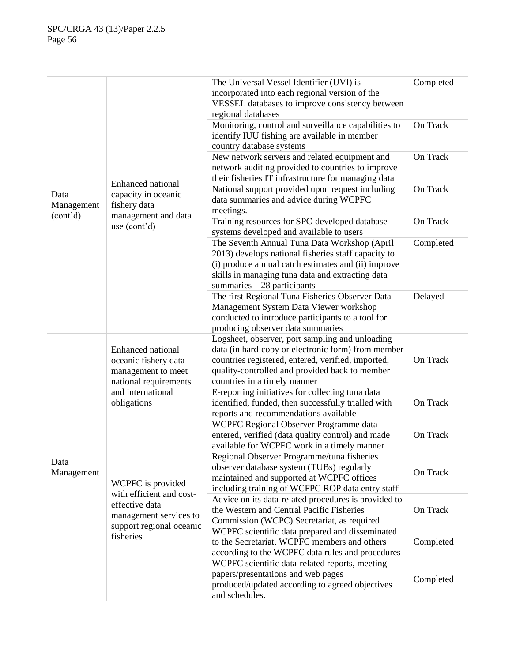|                                     |                                     | The Universal Vessel Identifier (UVI) is                                                                | Completed |
|-------------------------------------|-------------------------------------|---------------------------------------------------------------------------------------------------------|-----------|
|                                     |                                     | incorporated into each regional version of the                                                          |           |
|                                     |                                     | VESSEL databases to improve consistency between                                                         |           |
|                                     |                                     | regional databases                                                                                      |           |
|                                     |                                     | Monitoring, control and surveillance capabilities to                                                    | On Track  |
|                                     |                                     | identify IUU fishing are available in member                                                            |           |
|                                     |                                     | country database systems                                                                                |           |
|                                     |                                     | New network servers and related equipment and                                                           | On Track  |
|                                     |                                     | network auditing provided to countries to improve                                                       |           |
|                                     |                                     | their fisheries IT infrastructure for managing data                                                     |           |
|                                     | <b>Enhanced national</b>            | National support provided upon request including                                                        | On Track  |
| Data                                | capacity in oceanic                 | data summaries and advice during WCPFC                                                                  |           |
| Management<br>(cont <sup>2</sup> d) | fishery data<br>management and data | meetings.                                                                                               |           |
|                                     | use (cont'd)                        | Training resources for SPC-developed database                                                           | On Track  |
|                                     |                                     | systems developed and available to users                                                                |           |
|                                     |                                     | The Seventh Annual Tuna Data Workshop (April                                                            | Completed |
|                                     |                                     | 2013) develops national fisheries staff capacity to                                                     |           |
|                                     |                                     | (i) produce annual catch estimates and (ii) improve                                                     |           |
|                                     |                                     | skills in managing tuna data and extracting data                                                        |           |
|                                     |                                     | summaries $-28$ participants                                                                            |           |
|                                     |                                     | The first Regional Tuna Fisheries Observer Data                                                         | Delayed   |
|                                     |                                     | Management System Data Viewer workshop                                                                  |           |
|                                     |                                     | conducted to introduce participants to a tool for                                                       |           |
|                                     |                                     | producing observer data summaries                                                                       |           |
|                                     | Enhanced national                   | Logsheet, observer, port sampling and unloading                                                         |           |
|                                     |                                     | data (in hard-copy or electronic form) from member                                                      |           |
|                                     | oceanic fishery data                | countries registered, entered, verified, imported,                                                      | On Track  |
|                                     | management to meet                  | quality-controlled and provided back to member                                                          |           |
|                                     | national requirements               | countries in a timely manner                                                                            |           |
|                                     | and international                   | E-reporting initiatives for collecting tuna data<br>identified, funded, then successfully trialled with | On Track  |
|                                     | obligations                         |                                                                                                         |           |
|                                     |                                     | reports and recommendations available<br>WCPFC Regional Observer Programme data                         |           |
|                                     |                                     | entered, verified (data quality control) and made                                                       | On Track  |
|                                     |                                     | available for WCPFC work in a timely manner                                                             |           |
|                                     |                                     | Regional Observer Programme/tuna fisheries                                                              |           |
| Data                                |                                     | observer database system (TUBs) regularly                                                               |           |
| Management                          |                                     | maintained and supported at WCPFC offices                                                               | On Track  |
|                                     | WCPFC is provided                   | including training of WCFPC ROP data entry staff                                                        |           |
|                                     | with efficient and cost-            | Advice on its data-related procedures is provided to                                                    |           |
|                                     | effective data                      | the Western and Central Pacific Fisheries                                                               | On Track  |
|                                     | management services to              | Commission (WCPC) Secretariat, as required                                                              |           |
|                                     | support regional oceanic            | WCPFC scientific data prepared and disseminated                                                         |           |
|                                     | fisheries                           | to the Secretariat, WCPFC members and others                                                            | Completed |
|                                     |                                     | according to the WCPFC data rules and procedures                                                        |           |
|                                     |                                     | WCPFC scientific data-related reports, meeting                                                          |           |
|                                     |                                     | papers/presentations and web pages                                                                      |           |
|                                     |                                     | produced/updated according to agreed objectives                                                         | Completed |
|                                     |                                     | and schedules.                                                                                          |           |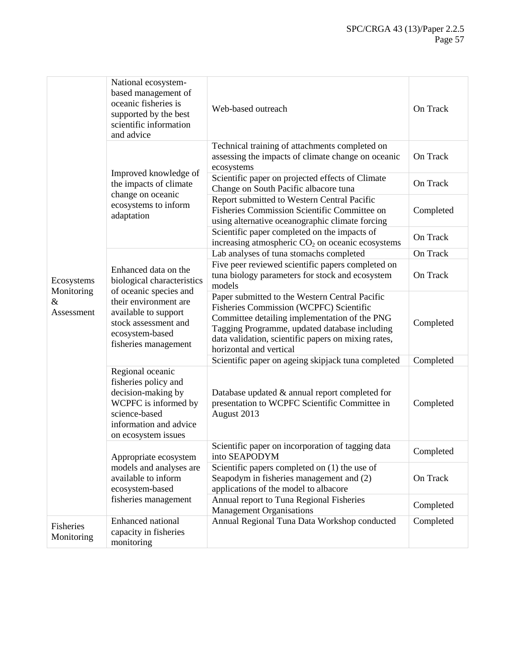|                                             | National ecosystem-<br>based management of<br>oceanic fisheries is<br>supported by the best<br>scientific information<br>and advice                                                              | Web-based outreach                                                                                                                                                                                                                                                                   | On Track  |
|---------------------------------------------|--------------------------------------------------------------------------------------------------------------------------------------------------------------------------------------------------|--------------------------------------------------------------------------------------------------------------------------------------------------------------------------------------------------------------------------------------------------------------------------------------|-----------|
|                                             |                                                                                                                                                                                                  | Technical training of attachments completed on<br>assessing the impacts of climate change on oceanic<br>ecosystems                                                                                                                                                                   | On Track  |
|                                             | Improved knowledge of<br>the impacts of climate                                                                                                                                                  | Scientific paper on projected effects of Climate<br>Change on South Pacific albacore tuna                                                                                                                                                                                            | On Track  |
|                                             | change on oceanic<br>ecosystems to inform<br>adaptation                                                                                                                                          | Report submitted to Western Central Pacific<br>Fisheries Commission Scientific Committee on<br>using alternative oceanographic climate forcing                                                                                                                                       | Completed |
|                                             |                                                                                                                                                                                                  | Scientific paper completed on the impacts of<br>increasing atmospheric CO <sub>2</sub> on oceanic ecosystems                                                                                                                                                                         | On Track  |
| Ecosystems<br>Monitoring<br>&<br>Assessment |                                                                                                                                                                                                  | Lab analyses of tuna stomachs completed                                                                                                                                                                                                                                              | On Track  |
|                                             | Enhanced data on the<br>biological characteristics<br>of oceanic species and<br>their environment are<br>available to support<br>stock assessment and<br>ecosystem-based<br>fisheries management | Five peer reviewed scientific papers completed on<br>tuna biology parameters for stock and ecosystem<br>models                                                                                                                                                                       | On Track  |
|                                             |                                                                                                                                                                                                  | Paper submitted to the Western Central Pacific<br><b>Fisheries Commission (WCPFC) Scientific</b><br>Committee detailing implementation of the PNG<br>Tagging Programme, updated database including<br>data validation, scientific papers on mixing rates,<br>horizontal and vertical | Completed |
|                                             |                                                                                                                                                                                                  | Scientific paper on ageing skipjack tuna completed                                                                                                                                                                                                                                   | Completed |
|                                             | Regional oceanic<br>fisheries policy and<br>decision-making by<br>WCPFC is informed by<br>science-based<br>information and advice<br>on ecosystem issues                                         | Database updated & annual report completed for<br>presentation to WCPFC Scientific Committee in<br>August 2013                                                                                                                                                                       | Completed |
|                                             | Appropriate ecosystem                                                                                                                                                                            | Scientific paper on incorporation of tagging data<br>into SEAPODYM                                                                                                                                                                                                                   | Completed |
|                                             | models and analyses are<br>available to inform<br>ecosystem-based                                                                                                                                | Scientific papers completed on $(1)$ the use of<br>Seapodym in fisheries management and (2)<br>applications of the model to albacore                                                                                                                                                 | On Track  |
|                                             | fisheries management                                                                                                                                                                             | Annual report to Tuna Regional Fisheries<br><b>Management Organisations</b>                                                                                                                                                                                                          | Completed |
| Fisheries<br>Monitoring                     | Enhanced national<br>capacity in fisheries<br>monitoring                                                                                                                                         | Annual Regional Tuna Data Workshop conducted                                                                                                                                                                                                                                         | Completed |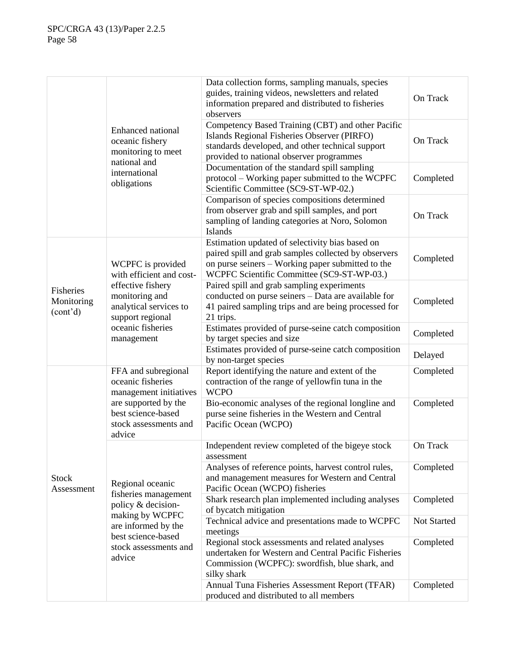|                                                  |                                                                                                                                                                       | Data collection forms, sampling manuals, species<br>guides, training videos, newsletters and related<br>information prepared and distributed to fisheries<br>observers                                     | On Track    |
|--------------------------------------------------|-----------------------------------------------------------------------------------------------------------------------------------------------------------------------|------------------------------------------------------------------------------------------------------------------------------------------------------------------------------------------------------------|-------------|
|                                                  | Enhanced national<br>oceanic fishery<br>monitoring to meet<br>national and<br>international<br>obligations                                                            | Competency Based Training (CBT) and other Pacific<br>Islands Regional Fisheries Observer (PIRFO)<br>standards developed, and other technical support<br>provided to national observer programmes           | On Track    |
|                                                  |                                                                                                                                                                       | Documentation of the standard spill sampling<br>protocol – Working paper submitted to the WCPFC<br>Scientific Committee (SC9-ST-WP-02.)                                                                    | Completed   |
|                                                  |                                                                                                                                                                       | Comparison of species compositions determined<br>from observer grab and spill samples, and port<br>sampling of landing categories at Noro, Solomon<br>Islands                                              | On Track    |
|                                                  | WCPFC is provided<br>with efficient and cost-<br>effective fishery<br>monitoring and<br>analytical services to<br>support regional<br>oceanic fisheries<br>management | Estimation updated of selectivity bias based on<br>paired spill and grab samples collected by observers<br>on purse seiners - Working paper submitted to the<br>WCPFC Scientific Committee (SC9-ST-WP-03.) | Completed   |
| Fisheries<br>Monitoring<br>(cont <sup>2</sup> d) |                                                                                                                                                                       | Paired spill and grab sampling experiments<br>conducted on purse seiners - Data are available for<br>41 paired sampling trips and are being processed for<br>21 trips.                                     | Completed   |
|                                                  |                                                                                                                                                                       | Estimates provided of purse-seine catch composition<br>by target species and size                                                                                                                          | Completed   |
|                                                  |                                                                                                                                                                       | Estimates provided of purse-seine catch composition<br>by non-target species                                                                                                                               | Delayed     |
|                                                  | FFA and subregional<br>oceanic fisheries<br>management initiatives<br>are supported by the<br>best science-based<br>stock assessments and<br>advice                   | Report identifying the nature and extent of the<br>contraction of the range of yellowfin tuna in the<br><b>WCPO</b>                                                                                        | Completed   |
|                                                  |                                                                                                                                                                       | Bio-economic analyses of the regional longline and<br>purse seine fisheries in the Western and Central<br>Pacific Ocean (WCPO)                                                                             | Completed   |
|                                                  | Regional oceanic<br>fisheries management<br>policy & decision-                                                                                                        | Independent review completed of the bigeye stock<br>assessment                                                                                                                                             | On Track    |
| <b>Stock</b><br>Assessment                       |                                                                                                                                                                       | Analyses of reference points, harvest control rules,<br>and management measures for Western and Central<br>Pacific Ocean (WCPO) fisheries                                                                  | Completed   |
|                                                  |                                                                                                                                                                       | Shark research plan implemented including analyses<br>of bycatch mitigation                                                                                                                                | Completed   |
|                                                  | making by WCPFC<br>are informed by the                                                                                                                                | Technical advice and presentations made to WCPFC<br>meetings                                                                                                                                               | Not Started |
|                                                  | best science-based<br>stock assessments and<br>advice                                                                                                                 | Regional stock assessments and related analyses<br>undertaken for Western and Central Pacific Fisheries<br>Commission (WCPFC): swordfish, blue shark, and<br>silky shark                                   | Completed   |
|                                                  |                                                                                                                                                                       | Annual Tuna Fisheries Assessment Report (TFAR)<br>produced and distributed to all members                                                                                                                  | Completed   |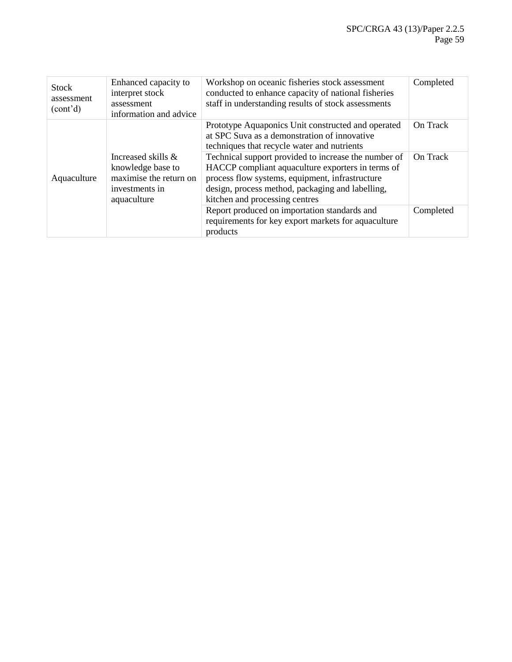| <b>Stock</b><br>assessment<br>(cont'd) | Enhanced capacity to<br>interpret stock<br>assessment<br>information and advice                    | Workshop on oceanic fisheries stock assessment<br>conducted to enhance capacity of national fisheries<br>staff in understanding results of stock assessments                                                                                       | Completed |
|----------------------------------------|----------------------------------------------------------------------------------------------------|----------------------------------------------------------------------------------------------------------------------------------------------------------------------------------------------------------------------------------------------------|-----------|
| Aquaculture                            | Increased skills &<br>knowledge base to<br>maximise the return on<br>investments in<br>aquaculture | Prototype Aquaponics Unit constructed and operated<br>at SPC Suva as a demonstration of innovative<br>techniques that recycle water and nutrients                                                                                                  | On Track  |
|                                        |                                                                                                    | Technical support provided to increase the number of<br>HACCP compliant aquaculture exporters in terms of<br>process flow systems, equipment, infrastructure<br>design, process method, packaging and labelling,<br>kitchen and processing centres | On Track  |
|                                        |                                                                                                    | Report produced on importation standards and<br>requirements for key export markets for aquaculture<br>products                                                                                                                                    | Completed |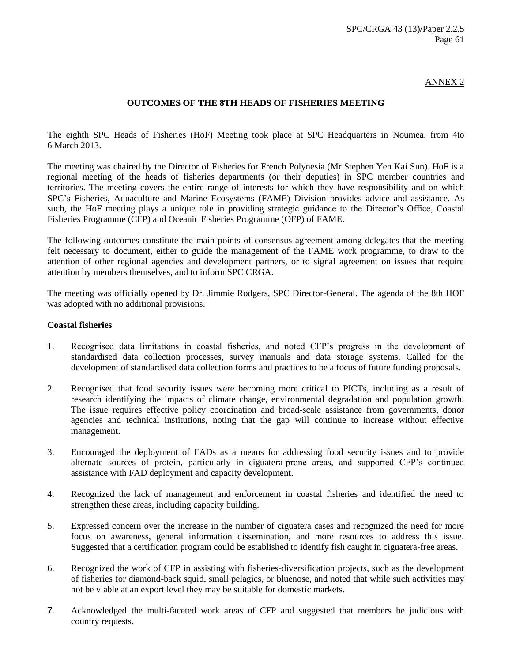### ANNEX 2

# **OUTCOMES OF THE 8TH HEADS OF FISHERIES MEETING**

The eighth SPC Heads of Fisheries (HoF) Meeting took place at SPC Headquarters in Noumea, from 4to 6 March 2013.

The meeting was chaired by the Director of Fisheries for French Polynesia (Mr Stephen Yen Kai Sun). HoF is a regional meeting of the heads of fisheries departments (or their deputies) in SPC member countries and territories. The meeting covers the entire range of interests for which they have responsibility and on which SPC's Fisheries, Aquaculture and Marine Ecosystems (FAME) Division provides advice and assistance. As such, the HoF meeting plays a unique role in providing strategic guidance to the Director's Office, Coastal Fisheries Programme (CFP) and Oceanic Fisheries Programme (OFP) of FAME.

The following outcomes constitute the main points of consensus agreement among delegates that the meeting felt necessary to document, either to guide the management of the FAME work programme, to draw to the attention of other regional agencies and development partners, or to signal agreement on issues that require attention by members themselves, and to inform SPC CRGA.

The meeting was officially opened by Dr. Jimmie Rodgers, SPC Director-General. The agenda of the 8th HOF was adopted with no additional provisions.

#### **Coastal fisheries**

- 1. Recognised data limitations in coastal fisheries, and noted CFP's progress in the development of standardised data collection processes, survey manuals and data storage systems. Called for the development of standardised data collection forms and practices to be a focus of future funding proposals.
- 2. Recognised that food security issues were becoming more critical to PICTs, including as a result of research identifying the impacts of climate change, environmental degradation and population growth. The issue requires effective policy coordination and broad-scale assistance from governments, donor agencies and technical institutions, noting that the gap will continue to increase without effective management.
- 3. Encouraged the deployment of FADs as a means for addressing food security issues and to provide alternate sources of protein, particularly in ciguatera-prone areas, and supported CFP's continued assistance with FAD deployment and capacity development.
- 4. Recognized the lack of management and enforcement in coastal fisheries and identified the need to strengthen these areas, including capacity building.
- 5. Expressed concern over the increase in the number of ciguatera cases and recognized the need for more focus on awareness, general information dissemination, and more resources to address this issue. Suggested that a certification program could be established to identify fish caught in ciguatera-free areas.
- 6. Recognized the work of CFP in assisting with fisheries-diversification projects, such as the development of fisheries for diamond-back squid, small pelagics, or bluenose, and noted that while such activities may not be viable at an export level they may be suitable for domestic markets.
- 7. Acknowledged the multi-faceted work areas of CFP and suggested that members be judicious with country requests.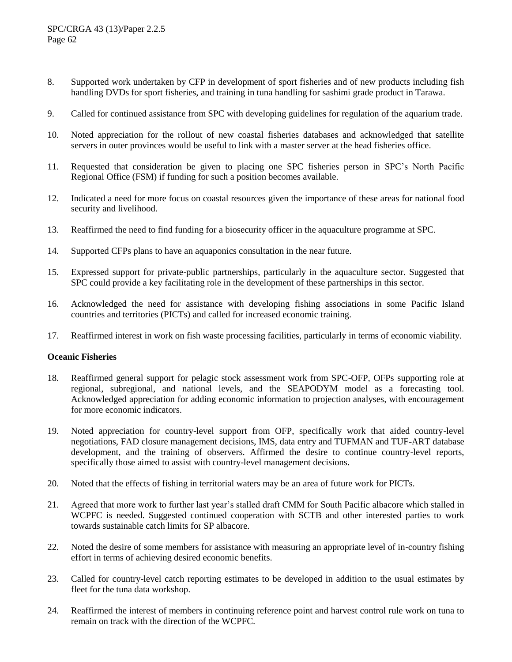- 8. Supported work undertaken by CFP in development of sport fisheries and of new products including fish handling DVDs for sport fisheries, and training in tuna handling for sashimi grade product in Tarawa.
- 9. Called for continued assistance from SPC with developing guidelines for regulation of the aquarium trade.
- 10. Noted appreciation for the rollout of new coastal fisheries databases and acknowledged that satellite servers in outer provinces would be useful to link with a master server at the head fisheries office.
- 11. Requested that consideration be given to placing one SPC fisheries person in SPC's North Pacific Regional Office (FSM) if funding for such a position becomes available.
- 12. Indicated a need for more focus on coastal resources given the importance of these areas for national food security and livelihood.
- 13. Reaffirmed the need to find funding for a biosecurity officer in the aquaculture programme at SPC.
- 14. Supported CFPs plans to have an aquaponics consultation in the near future.
- 15. Expressed support for private-public partnerships, particularly in the aquaculture sector. Suggested that SPC could provide a key facilitating role in the development of these partnerships in this sector.
- 16. Acknowledged the need for assistance with developing fishing associations in some Pacific Island countries and territories (PICTs) and called for increased economic training.
- 17. Reaffirmed interest in work on fish waste processing facilities, particularly in terms of economic viability.

#### **Oceanic Fisheries**

- 18. Reaffirmed general support for pelagic stock assessment work from SPC-OFP, OFPs supporting role at regional, subregional, and national levels, and the SEAPODYM model as a forecasting tool. Acknowledged appreciation for adding economic information to projection analyses, with encouragement for more economic indicators.
- 19. Noted appreciation for country-level support from OFP, specifically work that aided country-level negotiations, FAD closure management decisions, IMS, data entry and TUFMAN and TUF-ART database development, and the training of observers. Affirmed the desire to continue country-level reports, specifically those aimed to assist with country-level management decisions.
- 20. Noted that the effects of fishing in territorial waters may be an area of future work for PICTs.
- 21. Agreed that more work to further last year's stalled draft CMM for South Pacific albacore which stalled in WCPFC is needed. Suggested continued cooperation with SCTB and other interested parties to work towards sustainable catch limits for SP albacore.
- 22. Noted the desire of some members for assistance with measuring an appropriate level of in-country fishing effort in terms of achieving desired economic benefits.
- 23. Called for country-level catch reporting estimates to be developed in addition to the usual estimates by fleet for the tuna data workshop.
- 24. Reaffirmed the interest of members in continuing reference point and harvest control rule work on tuna to remain on track with the direction of the WCPFC.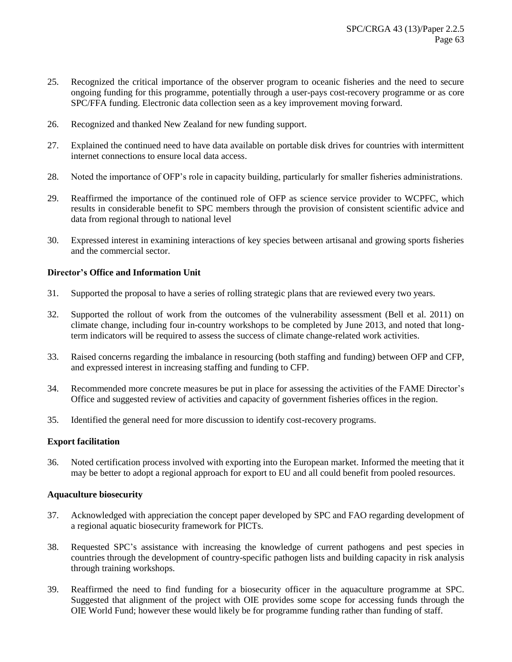- 25. Recognized the critical importance of the observer program to oceanic fisheries and the need to secure ongoing funding for this programme, potentially through a user-pays cost-recovery programme or as core SPC/FFA funding. Electronic data collection seen as a key improvement moving forward.
- 26. Recognized and thanked New Zealand for new funding support.
- 27. Explained the continued need to have data available on portable disk drives for countries with intermittent internet connections to ensure local data access.
- 28. Noted the importance of OFP's role in capacity building, particularly for smaller fisheries administrations.
- 29. Reaffirmed the importance of the continued role of OFP as science service provider to WCPFC, which results in considerable benefit to SPC members through the provision of consistent scientific advice and data from regional through to national level
- 30. Expressed interest in examining interactions of key species between artisanal and growing sports fisheries and the commercial sector.

# **Director's Office and Information Unit**

- 31. Supported the proposal to have a series of rolling strategic plans that are reviewed every two years.
- 32. Supported the rollout of work from the outcomes of the vulnerability assessment (Bell et al. 2011) on climate change, including four in-country workshops to be completed by June 2013, and noted that longterm indicators will be required to assess the success of climate change-related work activities.
- 33. Raised concerns regarding the imbalance in resourcing (both staffing and funding) between OFP and CFP, and expressed interest in increasing staffing and funding to CFP.
- 34. Recommended more concrete measures be put in place for assessing the activities of the FAME Director's Office and suggested review of activities and capacity of government fisheries offices in the region.
- 35. Identified the general need for more discussion to identify cost-recovery programs.

# **Export facilitation**

36. Noted certification process involved with exporting into the European market. Informed the meeting that it may be better to adopt a regional approach for export to EU and all could benefit from pooled resources.

# **Aquaculture biosecurity**

- 37. Acknowledged with appreciation the concept paper developed by SPC and FAO regarding development of a regional aquatic biosecurity framework for PICTs.
- 38. Requested SPC's assistance with increasing the knowledge of current pathogens and pest species in countries through the development of country-specific pathogen lists and building capacity in risk analysis through training workshops.
- 39. Reaffirmed the need to find funding for a biosecurity officer in the aquaculture programme at SPC. Suggested that alignment of the project with OIE provides some scope for accessing funds through the OIE World Fund; however these would likely be for programme funding rather than funding of staff.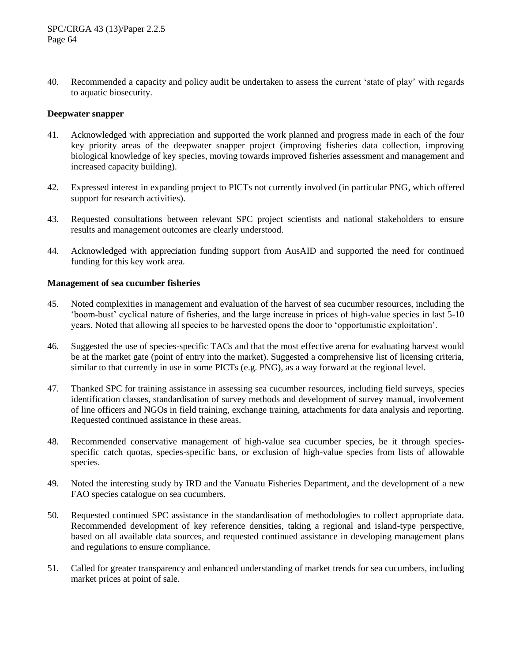40. Recommended a capacity and policy audit be undertaken to assess the current 'state of play' with regards to aquatic biosecurity.

### **Deepwater snapper**

- 41. Acknowledged with appreciation and supported the work planned and progress made in each of the four key priority areas of the deepwater snapper project (improving fisheries data collection, improving biological knowledge of key species, moving towards improved fisheries assessment and management and increased capacity building).
- 42. Expressed interest in expanding project to PICTs not currently involved (in particular PNG, which offered support for research activities).
- 43. Requested consultations between relevant SPC project scientists and national stakeholders to ensure results and management outcomes are clearly understood.
- 44. Acknowledged with appreciation funding support from AusAID and supported the need for continued funding for this key work area.

### **Management of sea cucumber fisheries**

- 45. Noted complexities in management and evaluation of the harvest of sea cucumber resources, including the 'boom-bust' cyclical nature of fisheries, and the large increase in prices of high-value species in last 5-10 years. Noted that allowing all species to be harvested opens the door to 'opportunistic exploitation'.
- 46. Suggested the use of species-specific TACs and that the most effective arena for evaluating harvest would be at the market gate (point of entry into the market). Suggested a comprehensive list of licensing criteria, similar to that currently in use in some PICTs (e.g. PNG), as a way forward at the regional level.
- 47. Thanked SPC for training assistance in assessing sea cucumber resources, including field surveys, species identification classes, standardisation of survey methods and development of survey manual, involvement of line officers and NGOs in field training, exchange training, attachments for data analysis and reporting. Requested continued assistance in these areas.
- 48. Recommended conservative management of high-value sea cucumber species, be it through speciesspecific catch quotas, species-specific bans, or exclusion of high-value species from lists of allowable species.
- 49. Noted the interesting study by IRD and the Vanuatu Fisheries Department, and the development of a new FAO species catalogue on sea cucumbers.
- 50. Requested continued SPC assistance in the standardisation of methodologies to collect appropriate data. Recommended development of key reference densities, taking a regional and island-type perspective, based on all available data sources, and requested continued assistance in developing management plans and regulations to ensure compliance.
- 51. Called for greater transparency and enhanced understanding of market trends for sea cucumbers, including market prices at point of sale.